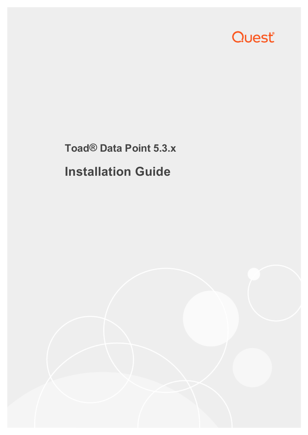

# **Toad® Data Point 5.3.x Installation Guide**

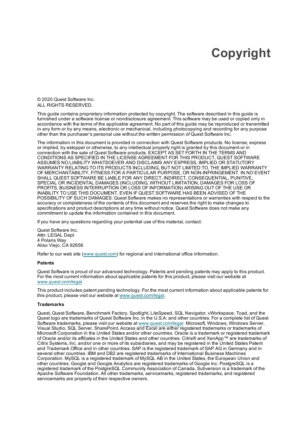## **Copyright**

<span id="page-1-0"></span>© 2020 Quest Software Inc. ALL RIGHTS RESERVED.

This guide contains proprietary information protected by copyright. The software described in this guide is furnished under a software license or nondisclosure agreement. This software may be used or copied only in accordance with the terms of the applicable agreement. No part of this guide may be reproduced or transmitted in any form or by any means, electronic or mechanical, including photocopying and recording for any purpose other than the purchaser's personal use without the written permission of Quest Software Inc.

The information in this document is provided in connection with Quest Software products. No license, express or implied, by estoppel or otherwise, to any intellectual property right is granted by this document or in connection with the sale of Quest Software products. EXCEPT AS SET FORTH IN THE TERMS AND CONDITIONS AS SPECIFIED IN THE LICENSE AGREEMENT FOR THIS PRODUCT, QUEST SOFTWARE ASSUMES NO LIABILITY WHATSOEVER AND DISCLAIMS ANY EXPRESS, IMPLIED OR STATUTORY WARRANTY RELATING TO ITS PRODUCTS INCLUDING, BUT NOT LIMITED TO, THE IMPLIED WARRANTY OF MERCHANTABILITY, FITNESS FOR A PARTICULAR PURPOSE, OR NON-INFRINGEMENT. IN NO EVENT SHALL QUEST SOFTWARE BE LIABLE FOR ANY DIRECT, INDIRECT, CONSEQUENTIAL, PUNITIVE, SPECIAL OR INCIDENTAL DAMAGES (INCLUDING, WITHOUT LIMITATION, DAMAGES FOR LOSS OF PROFITS, BUSINESS INTERRUPTION OR LOSS OF INFORMATION) ARISING OUT OF THE USE OR INABILITY TO USE THIS DOCUMENT, EVEN IF QUEST SOFTWARE HAS BEEN ADVISED OF THE POSSIBILITY OF SUCH DAMAGES. Quest Software makes no representations or warranties with respect to the accuracy or completeness of the contents of this document and reserves the right to make changes to specifications and product descriptions at any time without notice. Quest Software does not make any commitment to update the information contained in this document.

If you have any questions regarding your potential use of this material, contact:

Quest Software Inc. Attn: LEGAL Dept 4 Polaris Way Aliso Viejo, CA 92656

Refer to our web site [\(www.quest.com\)](http://www.quest.com/) for regional and international office information.

#### **Patents**

Quest Software is proud of our advanced technology. Patents and pending patents may apply to this product. For the most current information about applicable patents for this product, please visit our website at [www.quest.com/legal](http://www.quest.com/legal).

This product includes patent pending technology. For the most current information about applicable patents for this product, please visit our website at [www.quest.com/legal](https://www.quest.com/legal/).

#### **Trademarks**

Quest, Quest Software, Benchmark Factory, Spotlight, LiteSpeed, SQL Navigator, vWorkspace, Toad, and the Quest logo are trademarks of Quest Software Inc. in the U.S.A. and other countries. For a complete list of Quest Software trademarks, please visit our website at [www.quest.com/legal.](https://www.quest.com/legal/) Microsoft, Windows, Windows Server, Visual Studio, SQL Server, SharePoint, Access and Excel are either registered trademarks or trademarks of Microsoft Corporation in the United States and/or other countries. Oracle is a trademark or registered trademark of Oracle and/or its affiliates in the United States and other countries. Citrix® and XenApp™ are trademarks of Citrix Systems, Inc. and/or one or more of its subsidiaries, and may be registered in the United States Patent and Trademark Office and in other countries. SAP is the registered trademark of SAP AG in Germany and in several other countries. IBM and DB2 are registered trademarks of International Business Machines Corporation. MySQL is a registered trademark of MySQL AB in the United States, the European Union and other countries. Google and Google Analytics are registered trademarks of Google Inc. PostgreSQL is a registered trademark of the PostgreSQL Community Association of Canada. Subversion is a trademark of the Apache Software Foundation. All other trademarks, servicemarks, registered trademarks, and registered servicemarks are property of their respective owners.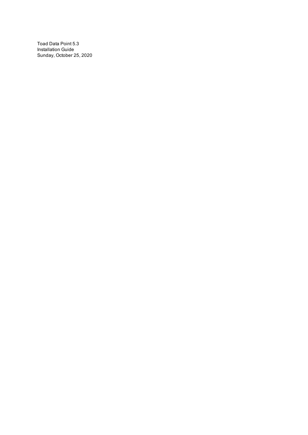Toad Data Point 5.3 Installation Guide Sunday, October 25, 2020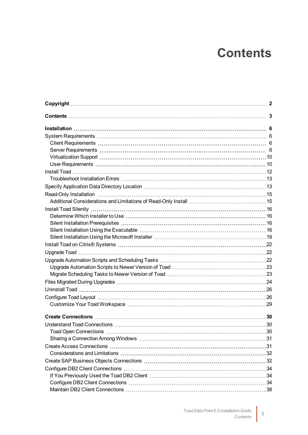## **Contents**

<span id="page-3-0"></span>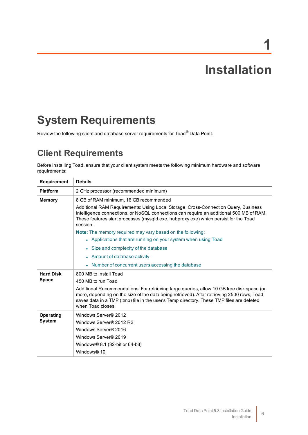# **1**

## **Installation**

## <span id="page-6-1"></span><span id="page-6-0"></span>**System Requirements**

<span id="page-6-2"></span>Review the following client and database server requirements for Toad® Data Point.

## **Client Requirements**

Before installing Toad, ensure that your client system meets the following minimum hardware and software requirements:

| <b>Requirement</b> | <b>Details</b>                                                                                                                                                                                                                                                                                            |  |  |  |  |
|--------------------|-----------------------------------------------------------------------------------------------------------------------------------------------------------------------------------------------------------------------------------------------------------------------------------------------------------|--|--|--|--|
| <b>Platform</b>    | 2 GHz processor (recommended minimum)                                                                                                                                                                                                                                                                     |  |  |  |  |
| <b>Memory</b>      | 8 GB of RAM minimum, 16 GB recommended                                                                                                                                                                                                                                                                    |  |  |  |  |
|                    | Additional RAM Requirements: Using Local Storage, Cross-Connection Query, Business<br>Intelligence connections, or NoSQL connections can require an additional 500 MB of RAM.<br>These features start processes (mysqld.exe, hubproxy.exe) which persist for the Toad<br>session.                         |  |  |  |  |
|                    | <b>Note:</b> The memory required may vary based on the following:                                                                                                                                                                                                                                         |  |  |  |  |
|                    | • Applications that are running on your system when using Toad                                                                                                                                                                                                                                            |  |  |  |  |
|                    | • Size and complexity of the database                                                                                                                                                                                                                                                                     |  |  |  |  |
|                    | • Amount of database activity                                                                                                                                                                                                                                                                             |  |  |  |  |
|                    | • Number of concurrent users accessing the database                                                                                                                                                                                                                                                       |  |  |  |  |
| <b>Hard Disk</b>   | 800 MB to install Toad                                                                                                                                                                                                                                                                                    |  |  |  |  |
| <b>Space</b>       | 450 MB to run Toad                                                                                                                                                                                                                                                                                        |  |  |  |  |
|                    | Additional Recommendations: For retrieving large queries, allow 10 GB free disk space (or<br>more, depending on the size of the data being retrieved). After retrieving 2500 rows, Toad<br>saves data in a TMP (.tmp) file in the user's Temp directory. These TMP files are deleted<br>when Toad closes. |  |  |  |  |
| <b>Operating</b>   | Windows Server® 2012                                                                                                                                                                                                                                                                                      |  |  |  |  |
| <b>System</b>      | Windows Server® 2012 R2                                                                                                                                                                                                                                                                                   |  |  |  |  |
|                    | Windows Server® 2016                                                                                                                                                                                                                                                                                      |  |  |  |  |
|                    | Windows Server® 2019                                                                                                                                                                                                                                                                                      |  |  |  |  |
|                    | Windows $\otimes$ 8.1 (32-bit or 64-bit)                                                                                                                                                                                                                                                                  |  |  |  |  |
|                    | Windows® 10                                                                                                                                                                                                                                                                                               |  |  |  |  |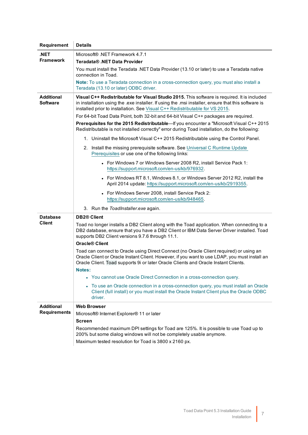| Requirement                          | <b>Details</b>                                                                                                                                                                                                                                                                      |  |  |  |  |
|--------------------------------------|-------------------------------------------------------------------------------------------------------------------------------------------------------------------------------------------------------------------------------------------------------------------------------------|--|--|--|--|
| .NET                                 | Microsoft® .NET Framework 4.7.1                                                                                                                                                                                                                                                     |  |  |  |  |
| Framework                            | Teradata® .NET Data Provider                                                                                                                                                                                                                                                        |  |  |  |  |
|                                      | You must install the Teradata .NET Data Provider (13.10 or later) to use a Teradata native<br>connection in Toad.                                                                                                                                                                   |  |  |  |  |
|                                      | Note: To use a Teradata connection in a cross-connection query, you must also install a<br>Teradata (13.10 or later) ODBC driver.                                                                                                                                                   |  |  |  |  |
| <b>Additional</b><br><b>Software</b> | Visual C++ Redistributable for Visual Studio 2015. This software is required. It is included<br>in installation using the .exe installer. If using the .msi installer, ensure that this software is<br>installed prior to installation. See Visual C++ Redistributable for VS 2015. |  |  |  |  |
|                                      | For 64-bit Toad Data Point, both 32-bit and 64-bit Visual C++ packages are required.                                                                                                                                                                                                |  |  |  |  |
|                                      | Prerequisites for the 2015 Redistributable-If you encounter a "Microsoft Visual C++ 2015<br>Redistributable is not installed correctly" error during Toad installation, do the following:                                                                                           |  |  |  |  |
|                                      | 1. Uninstall the Microsoft Visual C++ 2015 Redistributable using the Control Panel.                                                                                                                                                                                                 |  |  |  |  |
|                                      | 2. Install the missing prerequisite software. See Universal C Runtime Update<br>Prerequisites or use one of the following links:                                                                                                                                                    |  |  |  |  |
|                                      | • For Windows 7 or Windows Server 2008 R2, install Service Pack 1:<br>https://support.microsoft.com/en-us/kb/976932.                                                                                                                                                                |  |  |  |  |
|                                      | • For Windows RT 8.1, Windows 8.1, or Windows Server 2012 R2, install the<br>April 2014 update: https://support.microsoft.com/en-us/kb/2919355.                                                                                                                                     |  |  |  |  |
|                                      | • For Windows Server 2008, install Service Pack 2:<br>https://support.microsoft.com/en-us/kb/948465.                                                                                                                                                                                |  |  |  |  |
|                                      | 3. Run the ToadInstaller.exe again.                                                                                                                                                                                                                                                 |  |  |  |  |
| <b>Database</b>                      | <b>DB2® Client</b>                                                                                                                                                                                                                                                                  |  |  |  |  |
| <b>Client</b>                        | Toad no longer installs a DB2 Client along with the Toad application. When connecting to a<br>DB2 database, ensure that you have a DB2 Client or IBM Data Server Driver installed. Toad<br>supports DB2 Client versions 9.7.6 through 11.1.                                         |  |  |  |  |
|                                      | Oracle® Client                                                                                                                                                                                                                                                                      |  |  |  |  |
|                                      | Toad can connect to Oracle using Direct Connect (no Oracle Client required) or using an<br>Oracle Client or Oracle Instant Client. However, if you want to use LDAP, you must install an<br>Oracle Client. Toad supports 9i or later Oracle Clients and Oracle Instant Clients.     |  |  |  |  |
|                                      | Notes:                                                                                                                                                                                                                                                                              |  |  |  |  |
|                                      | • You cannot use Oracle Direct Connection in a cross-connection query.                                                                                                                                                                                                              |  |  |  |  |
|                                      | To use an Oracle connection in a cross-connection query, you must install an Oracle<br>Client (full install) or you must install the Oracle Instant Client plus the Oracle ODBC<br>driver.                                                                                          |  |  |  |  |
| <b>Additional</b>                    | <b>Web Browser</b>                                                                                                                                                                                                                                                                  |  |  |  |  |
| <b>Requirements</b>                  | Microsoft® Internet Explorer® 11 or later                                                                                                                                                                                                                                           |  |  |  |  |
|                                      | <b>Screen</b>                                                                                                                                                                                                                                                                       |  |  |  |  |
|                                      | Recommended maximum DPI settings for Toad are 125%. It is possible to use Toad up to<br>200% but some dialog windows will not be completely usable anymore.                                                                                                                         |  |  |  |  |
|                                      | Maximum tested resolution for Toad is 3800 x 2160 px.                                                                                                                                                                                                                               |  |  |  |  |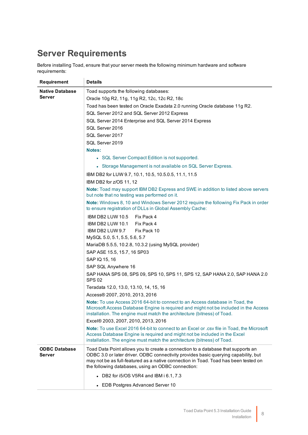## <span id="page-8-0"></span>**Server Requirements**

Before installing Toad, ensure that your server meets the following minimum hardware and software requirements:

| Requirement                    | <b>Details</b>                                                                                                                                                                                                                                                                                                       |  |  |  |  |  |
|--------------------------------|----------------------------------------------------------------------------------------------------------------------------------------------------------------------------------------------------------------------------------------------------------------------------------------------------------------------|--|--|--|--|--|
| <b>Native Database</b>         | Toad supports the following databases:                                                                                                                                                                                                                                                                               |  |  |  |  |  |
| Server                         | Oracle 10g R2, 11g, 11g R2, 12c, 12c R2, 18c                                                                                                                                                                                                                                                                         |  |  |  |  |  |
|                                | Toad has been tested on Oracle Exadata 2.0 running Oracle database 11g R2.                                                                                                                                                                                                                                           |  |  |  |  |  |
|                                | SQL Server 2012 and SQL Server 2012 Express                                                                                                                                                                                                                                                                          |  |  |  |  |  |
|                                | SQL Server 2014 Enterprise and SQL Server 2014 Express                                                                                                                                                                                                                                                               |  |  |  |  |  |
|                                | SQL Server 2016                                                                                                                                                                                                                                                                                                      |  |  |  |  |  |
|                                | SQL Server 2017                                                                                                                                                                                                                                                                                                      |  |  |  |  |  |
|                                | SQL Server 2019                                                                                                                                                                                                                                                                                                      |  |  |  |  |  |
|                                | Notes:                                                                                                                                                                                                                                                                                                               |  |  |  |  |  |
|                                | • SQL Server Compact Edition is not supported.                                                                                                                                                                                                                                                                       |  |  |  |  |  |
|                                | • Storage Management is not available on SQL Server Express.                                                                                                                                                                                                                                                         |  |  |  |  |  |
|                                | IBM DB2 for LUW 9.7, 10.1, 10.5, 10.5.0.5, 11.1, 11.5                                                                                                                                                                                                                                                                |  |  |  |  |  |
|                                | IBM DB2 for z/OS 11, 12                                                                                                                                                                                                                                                                                              |  |  |  |  |  |
|                                | Note: Toad may support IBM DB2 Express and SWE in addition to listed above servers<br>but note that no testing was performed on it.                                                                                                                                                                                  |  |  |  |  |  |
|                                | Note: Windows 8, 10 and Windows Server 2012 require the following Fix Pack in order<br>to ensure registration of DLLs in Global Assembly Cache:                                                                                                                                                                      |  |  |  |  |  |
|                                | IBM DB2 LUW 10.5<br>Fix Pack 4                                                                                                                                                                                                                                                                                       |  |  |  |  |  |
|                                | IBM DB2 LUW 10.1<br>Fix Pack 4                                                                                                                                                                                                                                                                                       |  |  |  |  |  |
|                                | IBM DB2 LUW 9.7<br>Fix Pack 10                                                                                                                                                                                                                                                                                       |  |  |  |  |  |
|                                | MySQL 5.0, 5.1, 5.5, 5.6, 5.7                                                                                                                                                                                                                                                                                        |  |  |  |  |  |
|                                | MariaDB 5.5.5, 10.2.8, 10.3.2 (using MySQL provider)                                                                                                                                                                                                                                                                 |  |  |  |  |  |
|                                | SAP ASE 15.5, 15.7, 16 SP03                                                                                                                                                                                                                                                                                          |  |  |  |  |  |
|                                | SAP IQ 15, 16                                                                                                                                                                                                                                                                                                        |  |  |  |  |  |
|                                | SAP SQL Anywhere 16                                                                                                                                                                                                                                                                                                  |  |  |  |  |  |
|                                | SAP HANA SPS 08, SPS 09, SPS 10, SPS 11, SPS 12, SAP HANA 2.0, SAP HANA 2.0<br><b>SPS 02</b>                                                                                                                                                                                                                         |  |  |  |  |  |
|                                | Teradata 12.0, 13.0, 13.10, 14, 15, 16                                                                                                                                                                                                                                                                               |  |  |  |  |  |
|                                | Access® 2007, 2010, 2013, 2016                                                                                                                                                                                                                                                                                       |  |  |  |  |  |
|                                | Note: To use Access 2016 64-bit to connect to an Access database in Toad, the<br>Microsoft Access Database Engine is required and might not be included in the Access<br>installation. The engine must match the architecture (bitness) of Toad.                                                                     |  |  |  |  |  |
|                                | Excel® 2003, 2007, 2010, 2013, 2016                                                                                                                                                                                                                                                                                  |  |  |  |  |  |
|                                | <b>Note:</b> To use Excel 2016 64-bit to connect to an Excel or .csy file in Toad, the Microsoft<br>Access Database Engine is required and might not be included in the Excel<br>installation. The engine must match the architecture (bitness) of Toad.                                                             |  |  |  |  |  |
| <b>ODBC Database</b><br>Server | Toad Data Point allows you to create a connection to a database that supports an<br>ODBC 3.0 or later driver. ODBC connectivity provides basic querying capability, but<br>may not be as full-featured as a native connection in Toad. Toad has been tested on<br>the following databases, using an ODBC connection: |  |  |  |  |  |
|                                | • DB2 for i5/OS V5R4 and IBM i 6.1, 7.3                                                                                                                                                                                                                                                                              |  |  |  |  |  |
|                                | • EDB Postgres Advanced Server 10                                                                                                                                                                                                                                                                                    |  |  |  |  |  |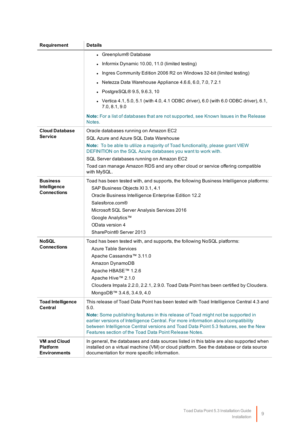| Requirement                                                   | <b>Details</b>                                                                                                                                                                                                                                                                                                                                                                                                            |  |  |  |  |  |
|---------------------------------------------------------------|---------------------------------------------------------------------------------------------------------------------------------------------------------------------------------------------------------------------------------------------------------------------------------------------------------------------------------------------------------------------------------------------------------------------------|--|--|--|--|--|
|                                                               | • Greenplum® Database                                                                                                                                                                                                                                                                                                                                                                                                     |  |  |  |  |  |
|                                                               | Informix Dynamic 10.00, 11.0 (limited testing)                                                                                                                                                                                                                                                                                                                                                                            |  |  |  |  |  |
|                                                               | Ingres Community Edition 2006 R2 on Windows 32-bit (limited testing)                                                                                                                                                                                                                                                                                                                                                      |  |  |  |  |  |
|                                                               | Netezza Data Warehouse Appliance 4.6.6, 6.0, 7.0, 7.2.1                                                                                                                                                                                                                                                                                                                                                                   |  |  |  |  |  |
|                                                               | PostgreSQL® 9.5, 9.6.3, 10                                                                                                                                                                                                                                                                                                                                                                                                |  |  |  |  |  |
|                                                               | Vertica 4.1, 5.0, 5.1 (with 4.0, 4.1 ODBC driver), 6.0 (with 6.0 ODBC driver), 6.1,<br>7.0, 8.1, 9.0                                                                                                                                                                                                                                                                                                                      |  |  |  |  |  |
|                                                               | Note: For a list of databases that are not supported, see Known Issues in the Release<br>Notes.                                                                                                                                                                                                                                                                                                                           |  |  |  |  |  |
| <b>Cloud Database</b>                                         | Oracle databases running on Amazon EC2                                                                                                                                                                                                                                                                                                                                                                                    |  |  |  |  |  |
| Service                                                       | SQL Azure and Azure SQL Data Warehouse                                                                                                                                                                                                                                                                                                                                                                                    |  |  |  |  |  |
|                                                               | Note: To be able to utilize a majority of Toad functionality, please grant VIEW<br>DEFINITION on the SQL Azure databases you want to work with.                                                                                                                                                                                                                                                                           |  |  |  |  |  |
|                                                               | SQL Server databases running on Amazon EC2                                                                                                                                                                                                                                                                                                                                                                                |  |  |  |  |  |
|                                                               | Toad can manage Amazon RDS and any other cloud or service offering compatible<br>with MySQL.                                                                                                                                                                                                                                                                                                                              |  |  |  |  |  |
| <b>Business</b><br>Intelligence<br><b>Connections</b>         | Toad has been tested with, and supports, the following Business Intelligence platforms:<br>SAP Business Objects XI 3.1, 4.1<br>Oracle Business Intelligence Enterprise Edition 12.2<br>Salesforce.com®<br>Microsoft SQL Server Analysis Services 2016<br>Google Analytics™<br>OData version 4<br>SharePoint® Server 2013                                                                                                  |  |  |  |  |  |
| <b>NoSQL</b><br><b>Connections</b>                            | Toad has been tested with, and supports, the following NoSQL platforms:<br><b>Azure Table Services</b><br>Apache Cassandra™ 3.11.0<br>Amazon DynamoDB<br>Apache HBASE™ 1.2.6<br>Apache Hive™ 2.1.0<br>Cloudera Impala 2.2.0, 2.2.1, 2.9.0. Toad Data Point has been certified by Cloudera.<br>MongoDB™ 3.4.6, 3.4.9, 4.0                                                                                                  |  |  |  |  |  |
| <b>Toad Intelligence</b><br><b>Central</b>                    | This release of Toad Data Point has been tested with Toad Intelligence Central 4.3 and<br>5.0.<br>Note: Some publishing features in this release of Toad might not be supported in<br>earlier versions of Intelligence Central. For more information about compatibility<br>between Intelligence Central versions and Toad Data Point 5.3 features, see the New<br>Features section of the Toad Data Point Release Notes. |  |  |  |  |  |
| <b>VM and Cloud</b><br><b>Platform</b><br><b>Environments</b> | In general, the databases and data sources listed in this table are also supported when<br>installed on a virtual machine (VM) or cloud platform. See the database or data source<br>documentation for more specific information.                                                                                                                                                                                         |  |  |  |  |  |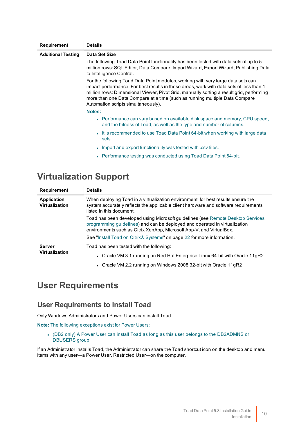| Requirement               | <b>Details</b>                                                                                                                                                                                                                                                                                                                                                                                |  |  |  |  |
|---------------------------|-----------------------------------------------------------------------------------------------------------------------------------------------------------------------------------------------------------------------------------------------------------------------------------------------------------------------------------------------------------------------------------------------|--|--|--|--|
| <b>Additional Testing</b> | Data Set Size                                                                                                                                                                                                                                                                                                                                                                                 |  |  |  |  |
|                           | The following Toad Data Point functionality has been tested with data sets of up to 5<br>million rows: SQL Editor, Data Compare, Import Wizard, Export Wizard, Publishing Data<br>to Intelligence Central.                                                                                                                                                                                    |  |  |  |  |
|                           | For the following Toad Data Point modules, working with very large data sets can<br>impact performance. For best results in these areas, work with data sets of less than 1<br>million rows: Dimensional Viewer, Pivot Grid, manually sorting a result grid, performing<br>more than one Data Compare at a time (such as running multiple Data Compare<br>Automation scripts simultaneously). |  |  |  |  |
|                           | Notes:                                                                                                                                                                                                                                                                                                                                                                                        |  |  |  |  |
|                           | • Performance can vary based on available disk space and memory, CPU speed,<br>and the bitness of Toad, as well as the type and number of columns.                                                                                                                                                                                                                                            |  |  |  |  |
|                           | • It is recommended to use Toad Data Point 64-bit when working with large data<br>sets.                                                                                                                                                                                                                                                                                                       |  |  |  |  |
|                           | • Import and export functionality was tested with .csv files.                                                                                                                                                                                                                                                                                                                                 |  |  |  |  |
|                           | • Performance testing was conducted using Toad Data Point 64-bit.                                                                                                                                                                                                                                                                                                                             |  |  |  |  |

### <span id="page-10-0"></span>**Virtualization Support**

| Requirement                            | <b>Details</b>                                                                                                                                                                                                                        |  |  |  |
|----------------------------------------|---------------------------------------------------------------------------------------------------------------------------------------------------------------------------------------------------------------------------------------|--|--|--|
| Application<br><b>Virtualization</b>   | When deploying Toad in a virtualization environment, for best results ensure the<br>system accurately reflects the applicable client hardware and software requirements<br>listed in this document.                                   |  |  |  |
|                                        | Toad has been developed using Microsoft guidelines (see Remote Desktop Services<br>programming guidelines) and can be deployed and operated in virtualization<br>environments such as Citrix XenApp, Microsoft App-V, and VirtualBox. |  |  |  |
|                                        | See "Install Toad on Citrix® Systems" on page 22 for more information.                                                                                                                                                                |  |  |  |
| <b>Server</b><br><b>Virtualization</b> | Toad has been tested with the following:                                                                                                                                                                                              |  |  |  |
|                                        | • Oracle VM 3.1 running on Red Hat Enterprise Linux 64-bit with Oracle 11gR2                                                                                                                                                          |  |  |  |
|                                        | • Oracle VM 2.2 running on Windows 2008 32-bit with Oracle 11gR2                                                                                                                                                                      |  |  |  |

### <span id="page-10-1"></span>**User Requirements**

### **User Requirements to Install Toad**

Only Windows Administrators and Power Users can install Toad.

**Note:** The following exceptions exist for Power Users:

• (DB2 only) A Power User can install Toad as long as this user belongs to the DB2ADMNS or DBUSERS group.

If an Administrator installs Toad, the Administrator can share the Toad shortcut icon on the desktop and menu items with any user—a Power User, Restricted User—on the computer.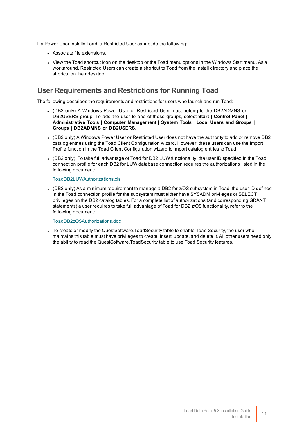If a Power User installs Toad, a Restricted User cannot do the following:

- Associate file extensions.
- View the Toad shortcut icon on the desktop or the Toad menu options in the Windows Start menu. As a workaround, Restricted Users can create a shortcut to Toad from the install directory and place the shortcut on their desktop.

### **User Requirements and Restrictions for Running Toad**

The following describes the requirements and restrictions for users who launch and run Toad:

- <sup>l</sup> (DB2 only) A Windows Power User or Restricted User must belong to the DB2ADMNS or DB2USERS group. To add the user to one of these groups, select **Start | Control Panel | Administrative Tools | Computer Management | System Tools | Local Users and Groups | Groups | DB2ADMNS or DB2USERS**.
- (DB2 only) A Windows Power User or Restricted User does not have the authority to add or remove DB2 catalog entries using the Toad Client Configuration wizard. However, these users can use the Import Profile function in the Toad Client Configuration wizard to import catalog entries to Toad.
- (DB2 only) To take full advantage of Toad for DB2 LUW functionality, the user ID specified in the Toad connection profile for each DB2 for LUW database connection requires the authorizations listed in the following document:

[ToadDB2LUWAuthorizations.xls](http://dev.toadfordb2.com/releasenotes/latest/ToadDB2LUWAuthorizations.xls)

• (DB2 only) As a minimum requirement to manage a DB2 for z/OS subsystem in Toad, the user ID defined in the Toad connection profile for the subsystem must either have SYSADM privileges or SELECT privileges on the DB2 catalog tables. For a complete list of authorizations (and corresponding GRANT statements) a user requires to take full advantage of Toad for DB2 z/OS functionality, refer to the following document:

[ToadDB2zOSAuthorizations.doc](http://dev.toadfordb2.com/releasenotes/latest//ToadDB2zOSAuthorizations.doc)

• To create or modify the QuestSoftware.ToadSecurity table to enable Toad Security, the user who maintains this table must have privileges to create, insert, update, and delete it. All other users need only the ability to read the QuestSoftware.ToadSecurity table to use Toad Security features.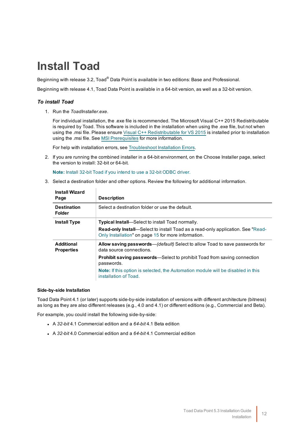## <span id="page-12-0"></span>**Install Toad**

Beginning with release 3.2, Toad® Data Point is available in two editions: Base and Professional.

Beginning with release 4.1, Toad Data Point is available in a 64-bit version, as well as a 32-bit version.

### *To install Toad*

1. Run the *ToadInstaller.exe*.

For individual installation, the .exe file is recommended. The Microsoft Visual C++ 2015 Redistributable is required by Toad. This software is included in the installation when using the .exe file, but not when using the .msi file. Please ensure Visual C++ [Redistributable](https://www.microsoft.com/en-us/download/details.aspx?id=48145) for VS 2015 is installed prior to installation using the .msi file. See MSI [Prerequisites](#page-19-1) for more information.

For help with installation errors, see [Troubleshoot](#page-13-0) Installation Errors.

2. If you are running the combined installer in a 64-bit environment, on the Choose Installer page, select the version to install: 32-bit or 64-bit.

**Note:** Install 32-bit Toad if you intend to use a 32-bit ODBC driver.

3. Select a destination folder and other options. Review the following for additional information.

| <b>Install Wizard</b><br>Page          | <b>Description</b>                                                                                                                             |
|----------------------------------------|------------------------------------------------------------------------------------------------------------------------------------------------|
| <b>Destination</b><br><b>Folder</b>    | Select a destination folder or use the default.                                                                                                |
| <b>Install Type</b>                    | <b>Typical Install</b> —Select to install Toad normally.                                                                                       |
|                                        | <b>Read-only Install</b> —Select to install Toad as a read-only application. See "Read-<br>Only Installation" on page 15 for more information. |
| <b>Additional</b><br><b>Properties</b> | Allow saving passwords—(default) Select to allow Toad to save passwords for<br>data source connections.                                        |
|                                        | <b>Prohibit saving passwords—Select to prohibit Toad from saving connection</b><br>passwords.                                                  |
|                                        | <b>Note:</b> If this option is selected, the Automation module will be disabled in this<br>installation of Toad.                               |

#### **Side-by-side Installation**

Toad Data Point 4.1 (or later) supports side-by-side installation of versions with different architecture (bitness) as long as they are also different releases (e.g., 4.0 and 4.1) or different editions (e.g., Commercial and Beta).

For example, you could install the following side-by-side:

- <sup>l</sup> A *32-bit* 4.1 Commercial edition and a *64-bit* 4.1 Beta edition
- <sup>l</sup> A *32-bit* 4.0 Commercial edition and a *64-bit* 4.1 Commercial edition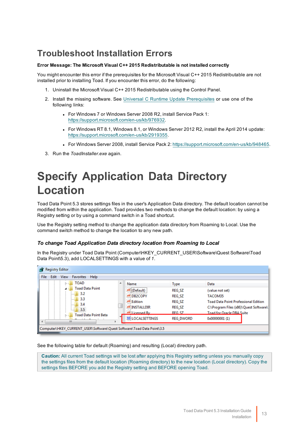## <span id="page-13-0"></span>**Troubleshoot Installation Errors**

### **Error Message: The Microsoft Visual C++ 2015 Redistributable is not installed correctly**

You might encounter this error if the prerequisites for the Microsoft Visual C++ 2015 Redistributable are not installed prior to installing Toad. If you encounter this error, do the following:

- 1. Uninstall the Microsoft Visual C++ 2015 Redistributable using the Control Panel.
- 2. Install the missing software. See Universal C Runtime Update [Prerequisites](https://support.microsoft.com/en-us/kb/2999226#bookmark-prerequisites) or use one of the following links:
	- For Windows 7 or Windows Server 2008 R2, install Service Pack 1: [https://support.microsoft.com/en-us/kb/976932.](https://support.microsoft.com/en-us/kb/976932)
	- For Windows RT 8.1, Windows 8.1, or Windows Server 2012 R2, install the April 2014 update: <https://support.microsoft.com/en-us/kb/2919355>.
	- <sup>l</sup> For Windows Server 2008, install Service Pack 2: <https://support.microsoft.com/en-us/kb/948465>.
- <span id="page-13-1"></span>3. Run the *ToadInstaller.exe* again.

## **Specify Application Data Directory Location**

Toad Data Point 5.3 stores settings files in the user's Application Data directory. The default location cannot be modified from within the application. Toad provides two methods to change the default location: by using a Registry setting or by using a command switch in a Toad shortcut.

Use the Registry setting method to change the application data directory from Roaming to Local. Use the command switch method to change the location to any new path.

### *To change Toad Application Data directory location from Roaming to Local*

In the Registry under Toad Data Point (Computer\HKEY\_CURRENT\_USER\Software\Quest Software\Toad Data Point\5.3), add LOCALSETTINGS with a value of *1*.

| <b>Registry Editor</b><br>Edit<br>File<br>View<br>Help<br><b>Favorites</b>                                                           |   |                 |                  |                                             |
|--------------------------------------------------------------------------------------------------------------------------------------|---|-----------------|------------------|---------------------------------------------|
| <b>TOAD</b><br><b>B</b><br><b>Toad Data Point</b><br>3.2<br>$-1$<br>3.3<br>$- - -$<br>3.4<br>$-0.001$<br>3.5<br>Toad Data Point Beta | ۸ | Name            | <b>Type</b>      | Data                                        |
|                                                                                                                                      |   | ab (Default)    | REG SZ           | (value not set)                             |
|                                                                                                                                      |   | ab DB2COPY      | REG SZ           | TACOM35                                     |
|                                                                                                                                      |   | ab Edition      | REG SZ           | <b>Toad Data Point Professional Edition</b> |
|                                                                                                                                      |   | ab INSTALLDIR   | REG SZ           | C:\Program Files (x86)\Quest Software\      |
|                                                                                                                                      |   | ab Licensed By  | REG SZ           | <b>Toad for Oracle DBA Suite</b>            |
| Ш                                                                                                                                    |   | 部 LOCALSETTINGS | <b>REG DWORD</b> | 0x00000001(1)                               |
| Computer\HKEY_CURRENT_USER\Software\Quest Software\Toad Data Point\3.5                                                               |   |                 |                  |                                             |

See the following table for default (Roaming) and resulting (Local) directory path.

**Caution:** All current Toad settings will be lost after applying this Registry setting unless you manually copy the settings files from the default location (Roaming directory) to the new location (Local directory). Copy the settings files BEFORE you add the Registry setting and BEFORE opening Toad.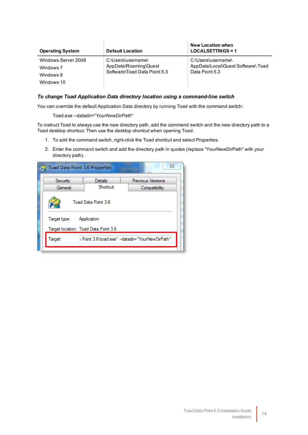| <b>Operating System</b>          | <b>Default Location</b>                     | <b>New Location when</b><br>$LOGALSETTINGS = 1$          |  |
|----------------------------------|---------------------------------------------|----------------------------------------------------------|--|
| Windows Server 2008<br>Windows 7 | C:\Users\username\<br>AppData\Roaming\Quest | C:\Users\username\<br>AppData\Local\Quest Software\ Toad |  |
| Windows 8                        | Software\Toad Data Point 5.3                | Data Point 5.3                                           |  |
| Windows 10                       |                                             |                                                          |  |

Ŷ.

### *To change Toad Application Data directory location using a command-line switch*

You can override the default Application Data directory by running Toad with the command switch:

Toad.exe --datadir="*YourNewDirPath*"

To instruct Toad to always use the new directory path, add the command switch and the new directory path to a Toad desktop shortcut. Then use the desktop shortcut when opening Toad.

- 1. To add the command switch, right-click the Toad shortcut and select Properties.
- 2. Enter the command switch and add the directory path in quotes (replace "YourNewDirPath" with your directory path).

| 7 Toad Data Point 3.6 Properties     |                     | $\Sigma$                                         |
|--------------------------------------|---------------------|--------------------------------------------------|
| Security                             | Details             | <b>Previous Versions</b>                         |
| General                              | Shortcut            | Compatibility                                    |
|                                      | Toad Data Point 3.6 |                                                  |
| Target type: Application             |                     |                                                  |
| Target location: Toad Data Point 3.6 |                     |                                                  |
| Target:                              |                     | I Point 3.6\toad.exe" --datadir="YourNewDirPath" |
|                                      |                     |                                                  |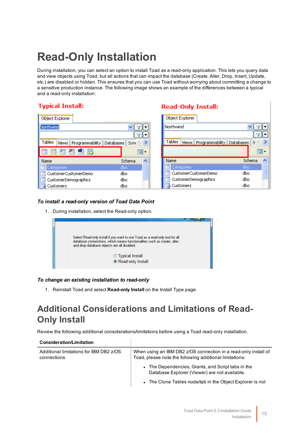## <span id="page-15-0"></span>**Read-Only Installation**

During installation, you can select an option to install Toad as a read-only application. This lets you query data and view objects using Toad, but all actions that can impact the database (Create, Alter, Drop, Insert, Update, etc.) are disabled or hidden. This ensures that you can use Toad without worrying about committing a change to a sensitive production instance. The following image shows an example of the differences between a typical and a read-only installation:

### **Typical Install:**

| Object Explorer                           |                                 |   |
|-------------------------------------------|---------------------------------|---|
| Northwind                                 |                                 |   |
|                                           |                                 |   |
| Tables<br>Programmability<br><b>Views</b> | <b>Databases</b><br><b>Sync</b> |   |
| 醖<br>簡<br>$\lambda$<br>齨                  |                                 |   |
| Name                                      | Schema                          |   |
| Categories                                | dbo                             |   |
| CustomerCustomerDemo                      | dbo                             | ≣ |
| CustomerDemographics                      | dbo                             |   |
| Customers                                 | dbo                             |   |

### **Read-Only Install:**

| Object Explorer                                  |          |
|--------------------------------------------------|----------|
| Northwind                                        |          |
|                                                  |          |
| <b>Tables</b><br>Views Programmability Databases | S.       |
|                                                  |          |
| Name                                             | Schema   |
| Categories                                       | dbo      |
| CustomerCustomerDemo                             | ≣<br>dbo |
| CustomerDemographics                             | dbo      |
| Customers                                        | dbo      |

### *To install a read-only version of Toad Data Point*

1. During installation, select the Read-only option.



### *To change an existing installation to read-only*

<span id="page-15-1"></span>1. Reinstall Toad and select **Read-only Install** on the Install Type page.

## **Additional Considerations and Limitations of Read-Only Install**

Review the following additional considerations/limitations before using a Toad read-only installation.

| <b>Consideration/Limitation</b>                        |                                                                                                                            |
|--------------------------------------------------------|----------------------------------------------------------------------------------------------------------------------------|
| Additional limitations for IBM DB2 z/OS<br>connections | When using an IBM DB2 z/OS connection in a read-only install of<br>Toad, please note the following additional limitations: |
|                                                        | • The Dependencies, Grants, and Script tabs in the<br>Database Explorer (Viewer) are not available.                        |
|                                                        | • The Clone Tables node/tab in the Object Explorer is not                                                                  |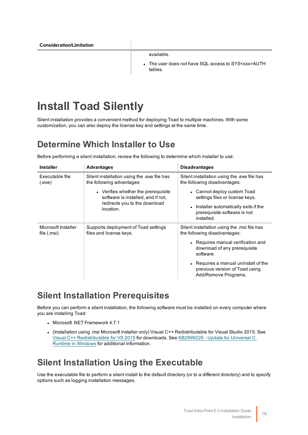available.

The user does not have SQL access to SYS<xxx>AUTH tables.

## <span id="page-16-0"></span>**Install Toad Silently**

Silent installation provides a convenient method for deploying Toad to multiple machines. With some customization, you can also deploy the license key and settings at the same time.

### <span id="page-16-1"></span>**Determine Which Installer to Use**

Before performing a silent installation, review the following to determine which installer to use:

| <b>Installer</b>                   | <b>Advantages</b>                                                                                                       | <b>Disadvantages</b>                                                                                                                                                                                                                                             |
|------------------------------------|-------------------------------------------------------------------------------------------------------------------------|------------------------------------------------------------------------------------------------------------------------------------------------------------------------------------------------------------------------------------------------------------------|
| Executable file<br>(.exe)          | Silent installation using the .exe file has<br>the following advantages:                                                | Silent installation using the .exe file has<br>the following disadvantages:                                                                                                                                                                                      |
|                                    | • Verifies whether the prerequisite<br>software is installed, and if not,<br>redirects you to the download<br>location. | • Cannot deploy custom Toad<br>settings files or license keys.<br>Installer automatically exits if the<br>$\bullet$<br>prerequisite software is not<br>installed.                                                                                                |
| Microsoft Installer<br>file (.msi) | Supports deployment of Toad settings<br>files and license keys.                                                         | Silent installation using the .msi file has<br>the following disadvantages:<br>• Requires manual verification and<br>download of any prerequisite<br>software.<br>• Requires a manual uninstall of the<br>previous version of Toad using<br>Add/Remove Programs. |

### <span id="page-16-2"></span>**Silent Installation Prerequisites**

Before you can perform a silent installation, the following software must be installed on every computer where you are installing Toad:

- Microsoft .NET Framework 4.7.1
- (Installation using .msi Microsoft installer only) Visual C++ Redistributable for Visual Studio 2015. See Visual C++ [Redistributable](https://www.microsoft.com/en-us/download/details.aspx?id=48145) for VS 2015 for downloads. See [KB2999226](https://support.microsoft.com/en-us/kb/2999226) - Update for Universal C Runtime in [Windows](https://support.microsoft.com/en-us/kb/2999226) for additional information.

### <span id="page-16-3"></span>**Silent Installation Using the Executable**

Use the executable file to perform a silent install to the default directory (or to a different directory) and to specify options such as logging installation messages.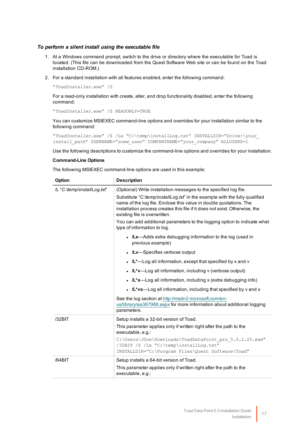### *To perform a silent install using the executable file*

- 1. At a Windows command prompt, switch to the drive or directory where the executable for Toad is located. (This file can be downloaded from the Quest Software Web site or can be found on the Toad installation CD-ROM.)
- 2. For a standard installation with all features enabled, enter the following command:

"*ToadInstaller*.exe" /S

For a read-only installation with create, alter, and drop functionality disabled, enter the following command:

"*ToadInstaller*.exe" /S READONLY=TRUE

You can customize MSIEXEC command-line options and overrides for your installation similar to the following command:

"*ToadInstaller*.exe" /S /Lx "C:\temp\installLog.txt" INSTALLDIR="Drive:\*your\_ install\_path*" USERNAME="*some\_user*" COMPANYNAME="*your\_company*" ALLUSERS=1

Use the following descriptions to customize the command-line options and overrides for your installation.

#### **Command-Line Options**

The following MSIEXEC command-line options are used in this example:

| Option                      | <b>Description</b>                                                                                                                                                                                                                                                                                                                                                                                                                                |
|-----------------------------|---------------------------------------------------------------------------------------------------------------------------------------------------------------------------------------------------------------------------------------------------------------------------------------------------------------------------------------------------------------------------------------------------------------------------------------------------|
| /L "C:\temp\installLog.txf" | (Optional) Write installation messages to the specified log file.<br>Substitute "C:\temp\installLog.txt" in the example with the fully qualified<br>name of the log file. Enclose this value in double quotations. The<br>installation process creates this file if it does not exist. Otherwise, the<br>existing file is overwritten.<br>You can add additional parameters to the logging option to indicate what<br>type of information to log. |
|                             | • ILx-Adds extra debugging information to the log (used in<br>previous example)                                                                                                                                                                                                                                                                                                                                                                   |
|                             | • /Lv-Specifies verbose output                                                                                                                                                                                                                                                                                                                                                                                                                    |
|                             | • $/L^*$ —Log all information, except that specified by x and v                                                                                                                                                                                                                                                                                                                                                                                   |
|                             | • /L*v-Log all information, including v (verbose output)                                                                                                                                                                                                                                                                                                                                                                                          |
|                             | • $/L*x$ —Log all information, including x (extra debugging info)                                                                                                                                                                                                                                                                                                                                                                                 |
|                             | • $/L^*vx$ —Log all information, including that specified by v and x                                                                                                                                                                                                                                                                                                                                                                              |
|                             | See the log section at http://msdn2.microsoft.com/en-<br>us/library/aa367988.aspx for more information about additional logging<br>parameters.                                                                                                                                                                                                                                                                                                    |
| /32BIT                      | Setup installs a 32-bit version of Toad.                                                                                                                                                                                                                                                                                                                                                                                                          |
|                             | This parameter applies only if written right after the path to the<br>executable, e.g.:                                                                                                                                                                                                                                                                                                                                                           |
|                             | C:\Users\JDoe\Downloads\ToadDataPoint pro 5.0.2.20.exe"<br>/32BIT /S /Lx "C:\temp\installLog.txt"<br>INSTALLDIR="C:\Program Files\Quest Software\Toad"                                                                                                                                                                                                                                                                                            |
| /64BIT                      | Setup installs a 64-bit version of Toad.<br>This parameter applies only if written right after the path to the<br>executable, e.g.:                                                                                                                                                                                                                                                                                                               |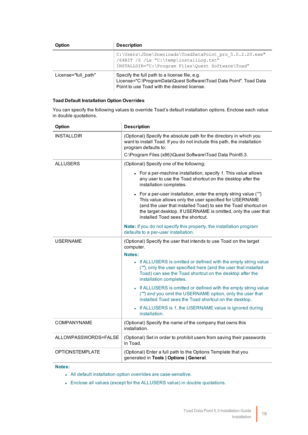| Option              | <b>Description</b>                                                                                                                                                 |
|---------------------|--------------------------------------------------------------------------------------------------------------------------------------------------------------------|
|                     | C:\Users\JDoe\Downloads\ToadDataPoint pro 5.0.2.20.exe"<br>/64BIT /S /Lx "C:\temp\installLog.txt"<br>INSTALLDIR="C:\Program Files\Quest Software\Toad"             |
| License="full path" | Specify the full path to a license file, e.g.<br>License="C:\ProgramData\Quest Software\Toad Data Point". Toad Data<br>Point to use Toad with the desired license. |

### **Toad Default Installation Option Overrides**

You can specify the following values to override Toad's default installation options. Enclose each value in double quotations.

| Option                 | <b>Description</b>                                                                                                                                                                                                                                                                                  |
|------------------------|-----------------------------------------------------------------------------------------------------------------------------------------------------------------------------------------------------------------------------------------------------------------------------------------------------|
| <b>INSTALLDIR</b>      | (Optional) Specify the absolute path for the directory in which you<br>want to install Toad. If you do not include this path, the installation<br>program defaults to:                                                                                                                              |
|                        | C:\Program Files (x86)\Quest Software\Toad Data Point5.3.                                                                                                                                                                                                                                           |
| ALLUSERS               | (Optional) Specify one of the following:                                                                                                                                                                                                                                                            |
|                        | • For a per-machine installation, specify 1. This value allows<br>any user to use the Toad shortcut on the desktop after the<br>installation completes.                                                                                                                                             |
|                        | • For a per-user installation, enter the empty string value ("")<br>This value allows only the user specified for USERNAME<br>(and the user that installed Toad) to see the Toad shortcut on<br>the target desktop. If USERNAME is omitted, only the user that<br>installed Toad sees the shortcut. |
|                        | <b>Note:</b> If you do not specify this property, the installation program<br>defaults to a per-user installation.                                                                                                                                                                                  |
| <b>USERNAME</b>        | (Optional) Specify the user that intends to use Toad on the target<br>computer.                                                                                                                                                                                                                     |
|                        | Notes:                                                                                                                                                                                                                                                                                              |
|                        | • If ALLUSERS is omitted or defined with the empty string value<br>(""), only the user specified here (and the user that installed<br>Toad) can see the Toad shortcut on the desktop after the<br>installation completes.                                                                           |
|                        | • If ALLUSERS is omitted or defined with the empty string value<br>("") and you omit the USERNAME option, only the user that<br>installed Toad sees the Toad shortcut on the desktop.                                                                                                               |
|                        | • If ALLUSERS is 1, the USERNAME value is ignored during<br>installation.                                                                                                                                                                                                                           |
| <b>COMPANYNAME</b>     | (Optional) Specify the name of the company that owns this<br>installation.                                                                                                                                                                                                                          |
| ALLOWPASSWORDS=FALSE   | (Optional) Set in order to prohibit users from saving their passwords<br>in Toad.                                                                                                                                                                                                                   |
| <b>OPTIONSTEMPLATE</b> | (Optional) Enter a full path to the Options Template that you<br>generated in Tools   Options   General.                                                                                                                                                                                            |

### **Notes:**

- All default installation option overrides are case-sensitive.
- Enclose all values (except for the ALLUSERS value) in double quotations.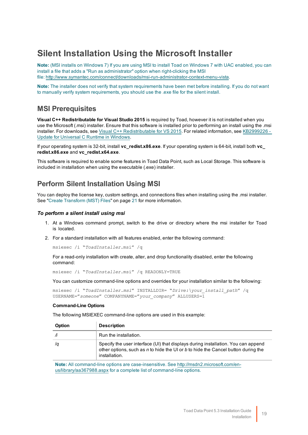### <span id="page-19-0"></span>**Silent Installation Using the Microsoft Installer**

**Note:** (MSI installs on Windows 7) If you are using MSI to install Toad on Windows 7 with UAC enabled, you can install a file that adds a "Run as administrator" option when right-clicking the MSI file:<http://www.symantec.com/connect/downloads/msi-run-administrator-context-menu-vista>.

**Note:** The installer does not verify that system requirements have been met before installing. If you do not want to manually verify system requirements, you should use the .exe file for the silent install.

### <span id="page-19-1"></span>**MSI Prerequisites**

**Visual C++ Redistributable for Visual Studio 2015** is required by Toad, however it is not installed when you use the Microsoft (.msi) installer. Ensure that this software is installed prior to performing an install using the .msi installer. For downloads, see Visual C++ [Redistributable](https://www.microsoft.com/en-us/download/details.aspx?id=48145) for VS 2015. For related information, see [KB2999226](https://support.microsoft.com/en-us/kb/2999226) -Update for [Universal](https://support.microsoft.com/en-us/kb/2999226) C Runtime in Windows.

If your operating system is 32-bit, install **vc\_redist.x86.exe**. If your operating system is 64-bit, install both **vc\_ redist.x86.exe** and **vc\_redist.x64.exe**.

This software is required to enable some features in Toad Data Point, such as Local Storage. This software is included in installation when using the executable (.exe) installer.

### <span id="page-19-2"></span>**Perform Silent Installation Using MSI**

You can deploy the license key, custom settings, and connections files when installing using the .msi installer. See "Create Transform [\(MST\) Files"](#page-21-0) on page 21 for more information.

### *To perform a silent install using msi*

- 1. At a Windows command prompt, switch to the drive or directory where the msi installer for Toad is located.
- 2. For a standard installation with all features enabled, enter the following command:

msiexec /i "*ToadInstaller*.msi" /q

For a read-only installation with create, alter, and drop functionality disabled, enter the following command:

msiexec /i "*ToadInstaller*.msi" /q READONLY=TRUE

You can customize command-line options and overrides for your installation similar to the following:

```
msiexec /i "ToadInstaller.msi" INSTALLDIR= "Drive:\your_install_path" /q
USERNAME="someone" COMPANYNAME="your_company" ALLUSERS=1
```
### **Command-Line Options**

The following MSIEXEC command-line options are used in this example:

| Option | <b>Description</b>                                                                                                                                                                      |
|--------|-----------------------------------------------------------------------------------------------------------------------------------------------------------------------------------------|
|        | Run the installation.                                                                                                                                                                   |
| /a     | Specify the user interface (UI) that displays during installation. You can append<br>other options, such as n to hide the UI or b to hide the Cancel button during the<br>installation. |

**Note:** All command-line options are case-insensitive. See [http://msdn2.microsoft.com/en](http://msdn2.microsoft.com/en-us/library/aa367988.aspx)[us/library/aa367988.aspx](http://msdn2.microsoft.com/en-us/library/aa367988.aspx) for a complete list of command-line options.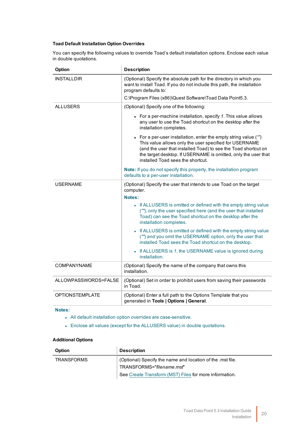### **Toad Default Installation Option Overrides**

You can specify the following values to override Toad's default installation options. Enclose each value in double quotations.

| Option                 | <b>Description</b>                                                                                                                                                                                                                                                                                  |
|------------------------|-----------------------------------------------------------------------------------------------------------------------------------------------------------------------------------------------------------------------------------------------------------------------------------------------------|
| <b>INSTALLDIR</b>      | (Optional) Specify the absolute path for the directory in which you<br>want to install Toad. If you do not include this path, the installation<br>program defaults to:                                                                                                                              |
|                        | C:\Program Files (x86)\Quest Software\Toad Data Point5.3.                                                                                                                                                                                                                                           |
| ALLUSERS               | (Optional) Specify one of the following:                                                                                                                                                                                                                                                            |
|                        | • For a per-machine installation, specify $1$ . This value allows<br>any user to use the Toad shortcut on the desktop after the<br>installation completes.                                                                                                                                          |
|                        | • For a per-user installation, enter the empty string value ("")<br>This value allows only the user specified for USERNAME<br>(and the user that installed Toad) to see the Toad shortcut on<br>the target desktop. If USERNAME is omitted, only the user that<br>installed Toad sees the shortcut. |
|                        | <b>Note:</b> If you do not specify this property, the installation program<br>defaults to a per-user installation.                                                                                                                                                                                  |
| USERNAME               | (Optional) Specify the user that intends to use Toad on the target<br>computer.                                                                                                                                                                                                                     |
|                        | Notes:                                                                                                                                                                                                                                                                                              |
|                        | • If ALLUSERS is omitted or defined with the empty string value<br>(""), only the user specified here (and the user that installed<br>Toad) can see the Toad shortcut on the desktop after the<br>installation completes.                                                                           |
|                        | If ALLUSERS is omitted or defined with the empty string value<br>("") and you omit the USERNAME option, only the user that<br>installed Toad sees the Toad shortcut on the desktop.                                                                                                                 |
|                        | • If ALLUSERS is 1, the USERNAME value is ignored during<br>installation.                                                                                                                                                                                                                           |
| <b>COMPANYNAME</b>     | (Optional) Specify the name of the company that owns this<br>installation.                                                                                                                                                                                                                          |
| ALLOWPASSWORDS=FALSE   | (Optional) Set in order to prohibit users from saving their passwords<br>in Toad.                                                                                                                                                                                                                   |
| <b>OPTIONSTEMPLATE</b> | (Optional) Enter a full path to the Options Template that you<br>generated in Tools   Options   General.                                                                                                                                                                                            |

#### **Notes:**

- All default installation option overrides are case-sensitive.
- Enclose all values (except for the ALLUSERS value) in double quotations.

#### **Additional Options**

| <b>Option</b> | <b>Description</b>                                        |
|---------------|-----------------------------------------------------------|
| TRANSFORMS    | (Optional) Specify the name and location of the mst file. |
|               | TRANSFORMS="filename.msf"                                 |
|               | See Create Transform (MST) Files for more information.    |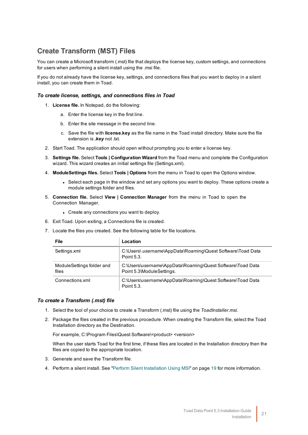### <span id="page-21-0"></span>**Create Transform (MST) Files**

You can create a Microsoft transform (.mst) file that deploys the license key, custom settings, and connections for users when performing a silent install using the .msi file.

If you do not already have the license key, settings, and connections files that you want to deploy in a silent install, you can create them in Toad.

#### *To create license, settings, and connections files in Toad*

- 1. **License file.** In Notepad, do the following:
	- a. Enter the license key in the first line.
	- b. Enter the site message in the second line.
	- c. Save the file with **license.key** as the file name in the Toad install directory. Make sure the file extension is *.key* not .txt.
- 2. Start Toad. The application should open without prompting you to enter a license key.
- 3. **Settings file.** Select **Tools | Configuration Wizard** from the Toad menu and complete the Configuration wizard. This wizard creates an initial settings file (Settings.xml).
- 4. **ModuleSettings files.** Select **Tools | Options** from the menu in Toad to open the Options window.
	- Select each page in the window and set any options you want to deploy. These options create a module settings folder and files.
- 5. **Connection file.** Select **View | Connection Manager** from the menu in Toad to open the Connection Manager.
	- Create any connections you want to deploy.
- 6. Exit Toad. Upon exiting, a Connections file is created.
- 7. Locate the files you created. See the following table for file locations.

| File                               | Location                                                                                |
|------------------------------------|-----------------------------------------------------------------------------------------|
| Settings.xml                       | C:\Users\ username\AppData\Roaming\Quest Software\Toad Data<br>Point 5.3.               |
| ModuleSettings folder and<br>files | C:\Users\username\AppData\Roaming\Quest Software\Toad Data<br>Point 5.3\ModuleSettings. |
| Connections.xml                    | C:\Users\username\AppData\Roaming\Quest Software\Toad Data<br>Point 5.3.                |

### *To create a Transform (.mst) file*

- 1. Select the tool of your choice to create a Transform (.mst) file using the *ToadInstaller.msi*.
- 2. Package the files created in the previous procedure. When creating the Transform file, select the Toad Installation directory as the Destination.

For example, C:\Program Files\Quest Software\<product> <version>

When the user starts Toad for the first time, if these files are located in the Installation directory then the files are copied to the appropriate location.

- 3. Generate and save the Transform file.
- 4. Perform a silent install. See "Perform Silent Installation Using MSI" on page 19 for more [information.](#page-19-2)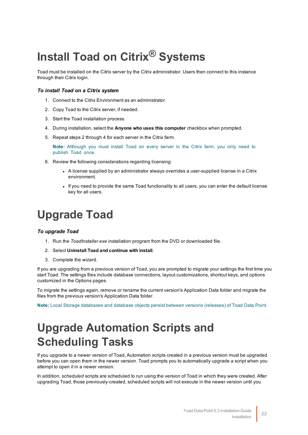# <span id="page-22-0"></span>**Install Toad on Citrix® Systems**

Toad must be installed on the Citrix server by the Citrix administrator. Users then connect to this instance through their Citrix login.

### *To install Toad on a Citrix system*

- 1. Connect to the Citrix Environment as an administrator.
- 2. Copy Toad to the Citrix server, if needed.
- 3. Start the Toad installation process.
- 4. During installation, select the **Anyone who uses this computer** checkbox when prompted.
- 5. Repeat steps 2 through 4 for each server in the Citrix farm.

**Note:** Although you must install Toad on every server in the Citrix farm, you only need to publish Toad once.

- 6. Review the following considerations regarding licensing:
	- A license supplied by an administrator always overrides a user-supplied license in a Citrix environment.
	- If you need to provide the same Toad functionality to all users, you can enter the default license key for all users.

## <span id="page-22-1"></span>**Upgrade Toad**

### *To upgrade Toad*

- 1. Run the *ToadInstaller.exe* installation program from the DVD or downloaded file.
- 2. Select **Uninstall Toad and continue with install**.
- 3. Complete the wizard.

If you are upgrading from a previous version of Toad, you are prompted to migrate your settings the first time you start Toad. The settings files include database connections, layout customizations, shortcut keys, and options customized in the Options pages.

To migrate the settings again, remove or rename the current version's Application Data folder and migrate the files from the previous version's Application Data folder.

<span id="page-22-2"></span>**Note:** Local Storage databases and database objects persist between versions (releases) of Toad Data Point.

## **Upgrade Automation Scripts and Scheduling Tasks**

If you upgrade to a newer version of Toad, Automation scripts created in a previous version must be upgraded before you can open them in the newer version. Toad prompts you to automatically upgrade a script when you attempt to open it in a newer version.

In addition, *scheduled* scripts are scheduled to run using the version of Toad in which they were created. After upgrading Toad, those previously-created, scheduled scripts will not execute in the newer version until you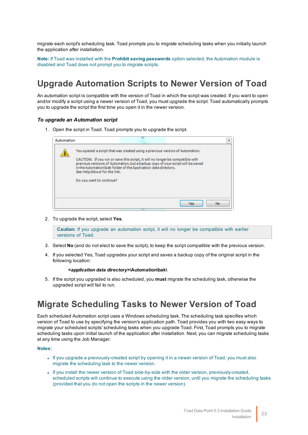migrate each script's scheduling task. Toad prompts you to migrate scheduling tasks when you initially launch the application after installation.

**Note:** If Toad was installed with the **Prohibit saving passwords** option selected, the Automation module is disabled and Toad does not prompt you to migrate scripts.

### <span id="page-23-0"></span>**Upgrade Automation Scripts to Newer Version of Toad**

An automation script is compatible with the version of Toad in which the script was created. If you want to open and/or modify a script using a newer version of Toad, you must upgrade the script. Toad automatically prompts you to upgrade the script the first time you open it in the newer version.

### *To upgrade an Automation script*

1. Open the script in Toad. Toad prompts you to upgrade the script.

| Automation |                                                                                                                                                                                                                                                                                                                                                                                 | 窈   |
|------------|---------------------------------------------------------------------------------------------------------------------------------------------------------------------------------------------------------------------------------------------------------------------------------------------------------------------------------------------------------------------------------|-----|
|            | You opened a script that was created using a previous version of Automation.<br>CAUTION: If you run or save this script, it will no longer be compatible with<br>previous versions of Automation, but a backup copy of your script will be saved<br>in the Automation\bak folder of the Application data directory.<br>See Help About for the link.<br>Do you want to continue? |     |
|            | Yes                                                                                                                                                                                                                                                                                                                                                                             | No. |

2. To upgrade the script, select **Yes**.

**Caution:** If you upgrade an automation script, it will no longer be compatible with earlier versions of Toad.

- 3. Select **No** (and do not elect to save the script), to keep the script compatible with the previous version.
- 4. If you selected Yes, Toad upgrades your script and saves a backup copy of the original script in the following location:

#### **<***application data directory***>\Automation\bak\**

5. If the script you upgraded is also scheduled, you **must** migrate the scheduling task, otherwise the upgraded script will fail to run.

### <span id="page-23-1"></span>**Migrate Scheduling Tasks to Newer Version of Toad**

Each scheduled Automation script uses a Windows scheduling task. The scheduling task specifies which version of Toad to use by specifying the version's application path. Toad provides you with two easy ways to migrate your scheduled scripts' scheduling tasks when you upgrade Toad. First, Toad prompts you to migrate scheduling tasks upon initial launch of the application after installation. Next, you can migrate scheduling tasks at any time using the Job Manager.

#### **Notes:**

- If you upgrade a previously-created script by opening it in a newer version of Toad, you must also migrate the scheduling task to the newer version.
- If you install the newer version of Toad side-by-side with the older version, previously-created, scheduled scripts will continue to execute using the older version, until you migrate the scheduling tasks (provided that you do not open the scripts in the newer version).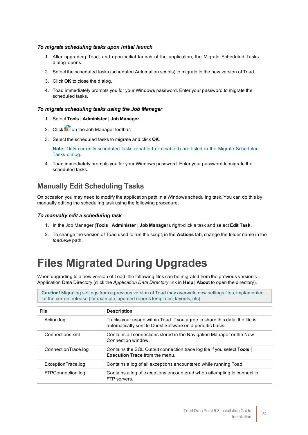### *To migrate scheduling tasks upon initial launch*

- 1. After upgrading Toad, and upon initial launch of the application, the Migrate Scheduled Tasks dialog opens.
- 2. Select the scheduled tasks (scheduled Automation scripts) to migrate to the new version of Toad.
- 3. Click **OK** to close the dialog.
- 4. Toad immediately prompts you for your Windows password. Enter your password to migrate the scheduled tasks.

#### *To migrate scheduling tasks using the Job Manager*

- 1. Select **Tools | Administer | Job Manager**.
- 2. Click  $\mathbb{F}$  on the Job Manager toolbar.
- 3. Select the scheduled tasks to migrate and click **OK**.

**Note:** Only currently-scheduled tasks (enabled or disabled) are listed in the Migrate Scheduled Tasks dialog.

4. Toad immediately prompts you for your Windows password. Enter your password to migrate the scheduled tasks.

### **Manually Edit Scheduling Tasks**

On occasion you may need to modify the application path in a Windows scheduling task. You can do this by manually editing the scheduling task using the following procedure.

#### *To manually edit a scheduling task*

- 1. In the Job Manager (**Tools | Administer | Job Manager**), right-click a task and select **Edit Task**.
- <span id="page-24-0"></span>2. To change the version of Toad used to run the script, in the **Actions** tab, change the folder name in the *toad.exe* path.

## **Files Migrated During Upgrades**

When upgrading to a new version of Toad, the following files can be migrated from the previous version's Application Data Directory (click the *Application Data Directory* link in **Help | About** to open the directory).

**Caution!** Migrating settings from a previous version of Toad may overwrite new settings files, implemented for the current release (for example, updated reports templates, layouts, etc).

| <b>File</b>         | <b>Description</b>                                                                                                                       |
|---------------------|------------------------------------------------------------------------------------------------------------------------------------------|
| Action.log          | Tracks your usage within Toad. If you agree to share this data, the file is<br>automatically sent to Quest Software on a periodic basis. |
| Connections xml     | Contains all connections stored in the Navigation Manager or the New<br>Connection window.                                               |
| ConnectionTrace.log | Contains the SQL Output connection trace log file if you select Tools  <br><b>Execution Trace from the menu.</b>                         |
| ExceptionTrace.log  | Contains a log of all exceptions encountered while running Toad.                                                                         |
| FTPConnection.log   | Contains a log of exceptions encountered when attempting to connect to<br>FTP servers.                                                   |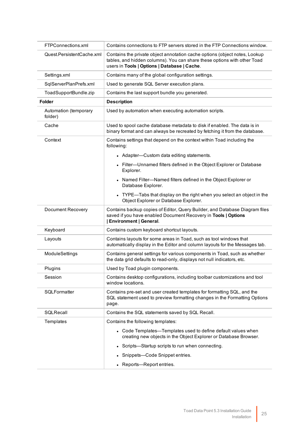| FTPConnections.xml               | Contains connections to FTP servers stored in the FTP Connections window.                                                                                                                              |
|----------------------------------|--------------------------------------------------------------------------------------------------------------------------------------------------------------------------------------------------------|
| Quest.PersistentCache.xml        | Contains the private object annotation cache options (object notes, Lookup<br>tables, and hidden columns). You can share these options with other Toad<br>users in Tools   Options   Database   Cache. |
| Settings.xml                     | Contains many of the global configuration settings.                                                                                                                                                    |
| SqlServerPlanPrefs.xml           | Used to generate SQL Server execution plans.                                                                                                                                                           |
| ToadSupportBundle.zip            | Contains the last support bundle you generated.                                                                                                                                                        |
| <b>Folder</b>                    | <b>Description</b>                                                                                                                                                                                     |
| Automation (temporary<br>folder) | Used by automation when executing automation scripts.                                                                                                                                                  |
| Cache                            | Used to spool cache database metadata to disk if enabled. The data is in<br>binary format and can always be recreated by fetching it from the database.                                                |
| Context                          | Contains settings that depend on the context within Toad including the<br>following:                                                                                                                   |
|                                  | • Adapter—Custom data editing statements.                                                                                                                                                              |
|                                  | • Filter-Unnamed filters defined in the Object Explorer or Database<br>Explorer.                                                                                                                       |
|                                  | Named Filter-Named filters defined in the Object Explorer or<br>Database Explorer.                                                                                                                     |
|                                  | • TYPE-Tabs that display on the right when you select an object in the<br>Object Explorer or Database Explorer.                                                                                        |
| <b>Document Recovery</b>         | Contains backup copies of Editor, Query Builder, and Database Diagram files<br>saved if you have enabled Document Recovery in Tools   Options<br><b>Environment   General.</b>                         |
| Keyboard                         | Contains custom keyboard shortcut layouts.                                                                                                                                                             |
| Layouts                          | Contains layouts for some areas in Toad, such as tool windows that<br>automatically display in the Editor and column layouts for the Messages tab.                                                     |
| ModuleSettings                   | Contains general settings for various components in Toad, such as whether<br>the data grid defaults to read-only, displays not null indicators, etc.                                                   |
| Plugins                          | Used by Toad plugin components.                                                                                                                                                                        |
| Session                          | Contains desktop configurations, including toolbar customizations and tool<br>window locations.                                                                                                        |
| SQLFormatter                     | Contains pre-set and user created templates for formatting SQL, and the<br>SQL statement used to preview formatting changes in the Formatting Options<br>page.                                         |
| SQLRecall                        | Contains the SQL statements saved by SQL Recall.                                                                                                                                                       |
| Templates                        | Contains the following templates:                                                                                                                                                                      |
|                                  | • Code Templates—Templates used to define default values when<br>creating new objects in the Object Explorer or Database Browser.                                                                      |
|                                  | Scripts—Startup scripts to run when connecting.                                                                                                                                                        |
|                                  | Snippets-Code Snippet entries.                                                                                                                                                                         |
|                                  | Reports-Report entries.                                                                                                                                                                                |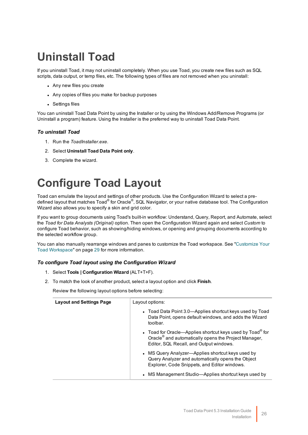## <span id="page-26-0"></span>**Uninstall Toad**

If you uninstall Toad, it may not uninstall completely. When you use Toad, you create new files such as SQL scripts, data output, or temp files, etc. The following types of files are not removed when you uninstall:

- Any new files you create
- Any copies of files you make for backup purposes
- Settings files

You can uninstall Toad Data Point by using the Installer or by using the Windows Add/Remove Programs (or Uninstall a program) feature. Using the Installer is the preferred way to uninstall Toad Data Point.

### *To uninstall Toad*

- 1. Run the *ToadInstaller.exe*.
- 2. Select **Uninstall Toad Data Point only**.
- <span id="page-26-1"></span>3. Complete the wizard.

## **Configure Toad Layout**

Toad can emulate the layout and settings of other products. Use the Configuration Wizard to select a predefined layout that matches Toad<sup>®</sup> for Oracle<sup>®</sup>, SQL Navigator, or your native database tool. The Configuration Wizard also allows you to specify a skin and grid color.

If you want to group documents using Toad's built-in workflow: Understand, Query, Report, and Automate, select the *Toad for Data Analysts (Original)* option. Then open the Configuration Wizard again and select *Custom* to configure Toad behavior, such as showing/hiding windows, or opening and grouping documents according to the selected workflow group.

You can also manually rearrange windows and panes to customize the Toad workspace. See ["Customize](#page-29-0) Your Toad [Workspace"](#page-29-0) on page 29 for more information.

### *To configure Toad layout using the Configuration Wizard*

- 1. Select **Tools | Configuration Wizard** (ALT+T+F).
- 2. To match the look of another product, select a layout option and click **Finish**.

Review the following layout options before selecting:

| <b>Layout and Settings Page</b> | Layout options:                                                                                                                                                                      |
|---------------------------------|--------------------------------------------------------------------------------------------------------------------------------------------------------------------------------------|
|                                 | • Toad Data Point 3.0—Applies shortcut keys used by Toad<br>Data Point, opens default windows, and adds the Wizard<br>toolbar.                                                       |
|                                 | • Toad for Oracle—Applies shortcut keys used by Toad <sup>®</sup> for<br>Oracle <sup>®</sup> and automatically opens the Project Manager,<br>Editor, SQL Recall, and Output windows. |
|                                 | • MS Query Analyzer—Applies shortcut keys used by<br>Query Analyzer and automatically opens the Object<br>Explorer, Code Snippets, and Editor windows.                               |
|                                 | • MS Management Studio-Applies shortcut keys used by                                                                                                                                 |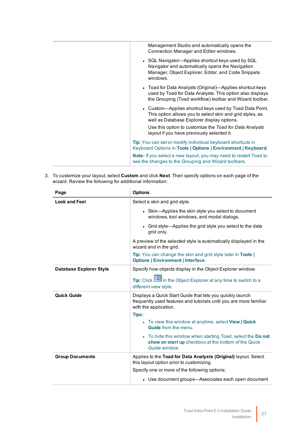| Management Studio and automatically opens the<br>Connection Manager and Editor windows.                                                                                            |
|------------------------------------------------------------------------------------------------------------------------------------------------------------------------------------|
| • SQL Navigator—Applies shortcut keys used by SQL<br>Navigator and automatically opens the Navigation<br>Manager, Object Explorer, Editor, and Code Snippets<br>windows.           |
| • Toad for Data Analysts (Original)—Applies shortcut keys<br>used by Toad for Data Analysts. This option also displays<br>the Grouping (Toad workflow) toolbar and Wizard toolbar. |
| • Custom-Applies shortcut keys used by Toad Data Point.<br>This option allows you to select skin and grid styles, as<br>well as Database Explorer display options.                 |
| Use this option to customize the Toad for Data Analysts<br>layout if you have previously selected it.                                                                              |
| <b>Tip:</b> You can set or modify individual keyboard shortcuts in<br>Keyboard Options in Tools   Options   Environment   Keyboard.                                                |
| <b>Note:</b> If you select a new layout, you may need to restart Toad to<br>see the changes to the Grouping and Wizard toolbars.                                                   |
|                                                                                                                                                                                    |

3. To customize your layout, select **Custom** and click **Next**. Then specify options on each page of the wizard. Review the following for additional information:

| <b>Options</b>                                                                                                                                                    |
|-------------------------------------------------------------------------------------------------------------------------------------------------------------------|
| Select a skin and grid style.                                                                                                                                     |
| • Skin-Applies the skin style you select to document<br>windows, tool windows, and modal dialogs.                                                                 |
| • Grid style—Applies the grid style you select to the data<br>grid only.                                                                                          |
| A preview of the selected style is automatically displayed in the<br>wizard and in the grid.                                                                      |
| Tip: You can change the skin and grid style later in Tools  <br><b>Options   Environment   Interface.</b>                                                         |
| Specify how objects display in the Object Explorer window.<br>Tip: Click in the Object Explorer at any time to switch to a<br>different view style.               |
| Displays a Quick Start Guide that lets you quickly launch<br>frequently used features and tutorials until you are more familiar<br>with the application.<br>Tips: |
| • To view this window at anytime, select View   Quick<br><b>Guide</b> from the menu.                                                                              |
| • To hide this window when starting Toad, select the Donot<br>show on start up checkbox at the bottom of the Quick<br>Guide window.                               |
| Applies to the Toad for Data Analysts (Original) layout. Select<br>this layout option prior to customizing.                                                       |
| Specify one or more of the following options:                                                                                                                     |
| • Use document groups—Associates each open document                                                                                                               |
|                                                                                                                                                                   |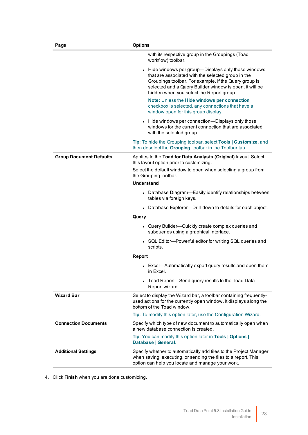| Page                           | <b>Options</b>                                                                                                                                                                                                                                                                                                                                                                  |
|--------------------------------|---------------------------------------------------------------------------------------------------------------------------------------------------------------------------------------------------------------------------------------------------------------------------------------------------------------------------------------------------------------------------------|
|                                | with its respective group in the Groupings (Toad<br>workflow) toolbar.                                                                                                                                                                                                                                                                                                          |
|                                | • Hide windows per group-Displays only those windows<br>that are associated with the selected group in the<br>Groupings toolbar. For example, if the Query group is<br>selected and a Query Builder window is open, it will be<br>hidden when you select the Report group.<br>Note: Unless the Hide windows per connection<br>checkbox is selected, any connections that have a |
|                                | window open for this group display.<br>• Hide windows per connection-Displays only those                                                                                                                                                                                                                                                                                        |
|                                | windows for the current connection that are associated<br>with the selected group.                                                                                                                                                                                                                                                                                              |
|                                | Tip: To hide the Grouping toolbar, select Tools   Customize, and<br>then deselect the Grouping toolbar in the Toolbar tab.                                                                                                                                                                                                                                                      |
| <b>Group Document Defaults</b> | Applies to the Toad for Data Analysts (Original) layout. Select<br>this layout option prior to customizing.                                                                                                                                                                                                                                                                     |
|                                | Select the default window to open when selecting a group from<br>the Grouping toolbar.                                                                                                                                                                                                                                                                                          |
|                                | Understand                                                                                                                                                                                                                                                                                                                                                                      |
|                                | • Database Diagram-Easily identify relationships between<br>tables via foreign keys.                                                                                                                                                                                                                                                                                            |
|                                | • Database Explorer---Drill-down to details for each object.                                                                                                                                                                                                                                                                                                                    |
|                                | Query                                                                                                                                                                                                                                                                                                                                                                           |
|                                | • Query Builder-Quickly create complex queries and<br>subqueries using a graphical interface.                                                                                                                                                                                                                                                                                   |
|                                | • SQL Editor-Powerful editor for writing SQL queries and<br>scripts.                                                                                                                                                                                                                                                                                                            |
|                                | <b>Report</b>                                                                                                                                                                                                                                                                                                                                                                   |
|                                | • Excel-Automatically export query results and open them<br>in Excel.                                                                                                                                                                                                                                                                                                           |
|                                | • Toad Report-Send query results to the Toad Data<br>Report wizard.                                                                                                                                                                                                                                                                                                             |
| <b>Wizard Bar</b>              | Select to display the Wizard bar, a toolbar containing frequently-<br>used actions for the currently open window. It displays along the<br>bottom of the Toad window.                                                                                                                                                                                                           |
|                                | Tip: To modify this option later, use the Configuration Wizard.                                                                                                                                                                                                                                                                                                                 |
| <b>Connection Documents</b>    | Specify which type of new document to automatically open when<br>a new database connection is created.                                                                                                                                                                                                                                                                          |
|                                | Tip: You can modify this option later in Tools   Options  <br>Database   General.                                                                                                                                                                                                                                                                                               |
| <b>Additional Settings</b>     | Specify whether to automatically add files to the Project Manager<br>when saving, executing, or sending the files to a report. This<br>option can help you locate and manage your work.                                                                                                                                                                                         |

4. Click **Finish** when you are done customizing.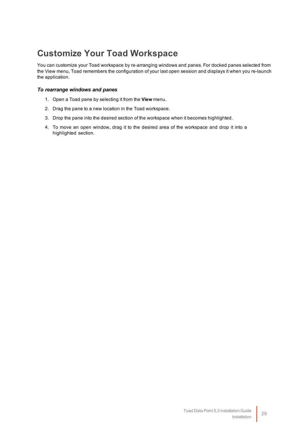## <span id="page-29-0"></span>**Customize Your Toad Workspace**

You can customize your Toad workspace by re-arranging windows and panes. For docked panes selected from the View menu, Toad remembers the configuration of your last open session and displays it when you re-launch the application.

### *To rearrange windows and panes*

- 1. Open a Toad pane by selecting it from the **View** menu.
- 2. Drag the pane to a new location in the Toad workspace.
- 3. Drop the pane into the desired section of the workspace when it becomes highlighted.
- 4. To move an open window, drag it to the desired area of the workspace and drop it into a highlighted section.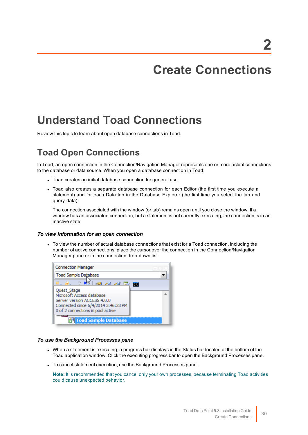## **Create Connections**

## <span id="page-30-1"></span><span id="page-30-0"></span>**Understand Toad Connections**

<span id="page-30-2"></span>Review this topic to learn about open database connections in Toad.

## **Toad Open Connections**

In Toad, an open connection in the Connection/Navigation Manager represents one or more actual connections to the database or data source. When you open a database connection in Toad:

- Toad creates an initial database connection for general use.
- Toad also creates a separate database connection for each Editor (the first time you execute a statement) and for each Data tab in the Database Explorer (the first time you select the tab and query data).

The connection associated with the window (or tab) remains open until you close the window. If a window has an associated connection, but a statement is not currently executing, the connection is in an inactive state.

### *To view information for an open connection*

• To view the number of actual database connections that exist for a Toad connection, including the number of active connections, place the cursor over the connection in the Connection/Navigation Manager pane or in the connection drop-down list.



### *To use the Background Processes pane*

- When a statement is executing, a progress bar displays in the Status bar located at the bottom of the Toad application window. Click the executing progress bar to open the Background Processes pane.
- To cancel statement execution, use the Background Processes pane.

**Note:** It is recommended that you cancel only your own processes, because terminating Toad activities could cause unexpected behavior.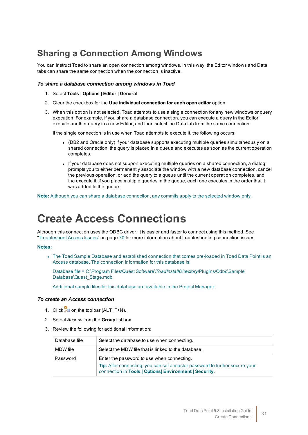## <span id="page-31-0"></span>**Sharing a Connection Among Windows**

You can instruct Toad to share an open connection among windows. In this way, the Editor windows and Data tabs can share the same connection when the connection is inactive.

#### *To share a database connection among windows in Toad*

- 1. Select **Tools | Options | Editor | General**.
- 2. Clear the checkbox for the **Use individual connection for each open editor** option.
- 3. When this option is not selected, Toad attempts to use a single connection for any new windows or query execution. For example, if you share a database connection, you can execute a query in the Editor, execute another query in a new Editor, and then select the Data tab from the same connection.

If the single connection is in use when Toad attempts to execute it, the following occurs:

- (DB2 and Oracle only) If your database supports executing multiple queries simultaneously on a shared connection, the query is placed in a queue and executes as soon as the current operation completes.
- If your database does not support executing multiple queries on a shared connection, a dialog prompts you to either permanently associate the window with a new database connection, cancel the previous operation, or add the query to a queue until the current operation completes, and the execute it. If you place multiple queries in the queue, each one executes in the order that it was added to the queue.

<span id="page-31-1"></span>**Note:** Although you can share a database connection, any commits apply to the selected window only.

## **Create Access Connections**

Although this connection uses the ODBC driver, it is easier and faster to connect using this method. [See](#page-70-1) ["Troubleshoot](#page-70-1) Access Issues" on page 70 for more information about troubleshooting connection issues.

### **Notes:**

• The Toad Sample Database and established connection that comes pre-loaded in Toad Data Point is an Access database. The connection information for this database is:

Database file = C:\Program Files\Quest Software\*ToadInstallDirectory*\Plugins\Odbc\Sample Database\Quest\_Stage.mdb

Additional sample files for this database are available in the Project Manager.

#### *To create an Access connection*

- 1. Click  $\frac{10}{24}$  on the toolbar (ALT+F+N).
- 2. Select *Access* from the **Group** list box.
- 3. Review the following for additional information:

| Database file | Select the database to use when connecting.                                                                                                                                                |
|---------------|--------------------------------------------------------------------------------------------------------------------------------------------------------------------------------------------|
| MDW file      | Select the MDW file that is linked to the database.                                                                                                                                        |
| Password      | Enter the password to use when connecting.<br><b>Tip:</b> After connecting, you can set a master password to further secure your<br>connection in Tools   Options  Environment   Security. |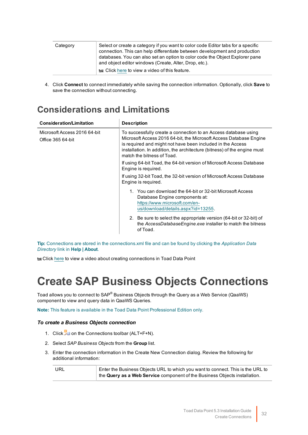| Category | Select or create a category if you want to color code Editor tabs for a specific<br>connection. This can help differentiate between development and production<br>databases. You can also set an option to color code the Object Explorer pane<br>and object editor windows (Create, Alter, Drop, etc.). |
|----------|----------------------------------------------------------------------------------------------------------------------------------------------------------------------------------------------------------------------------------------------------------------------------------------------------------|
|          | to Click here to view a video of this feature.                                                                                                                                                                                                                                                           |

4. Click **Connect** to connect immediately while saving the connection information. Optionally, click **Save** to save the connection without connecting.

## <span id="page-32-0"></span>**Considerations and Limitations**

| <b>Consideration/Limitation</b>                   | <b>Description</b>                                                                                                                                                                                                                                                                                            |
|---------------------------------------------------|---------------------------------------------------------------------------------------------------------------------------------------------------------------------------------------------------------------------------------------------------------------------------------------------------------------|
| Microsoft Access 2016 64-bit<br>Office 365 64-bit | To successfully create a connection to an Access database using<br>Microsoft Access 2016 64-bit, the Microsoft Access Database Engine<br>is required and might not have been included in the Access<br>installation. In addition, the architecture (bitness) of the engine must<br>match the bitness of Toad. |
|                                                   | If using 64-bit Toad, the 64-bit version of Microsoft Access Database<br>Engine is required.                                                                                                                                                                                                                  |
|                                                   | If using 32-bit Toad, the 32-bit version of Microsoft Access Database<br>Engine is required.                                                                                                                                                                                                                  |
|                                                   | 1. You can download the 64-bit or 32-bit Microsoft Access<br>Database Engine components at:<br>https://www.microsoft.com/en-<br>us/download/details.aspx?id=13255.                                                                                                                                            |
|                                                   | 2. Be sure to select the appropriate version (64-bit or 32-bit) of<br>the AccessDatabaseEngine.exe installer to match the bitness<br>of Toad.                                                                                                                                                                 |

**Tip:** Connections are stored in the connections.xml file and can be found by clicking the *Application Data Directory* link in **Help | About**.

<span id="page-32-1"></span>to Click [here](http://www.toadworld.com/products/toad-data-point/m/media-library/646.aspx) to view a video about creating connections in Toad Data Point

## **Create SAP Business Objects Connections**

Toad allows you to connect to SAP® Business Objects through the Query as a Web Service (QaaWS) component to view and query data in QaaWS Queries.

**Note:** This feature is available in the Toad Data Point Professional Edition only.

### *To create a Business Objects connection*

- 1. Click  $\frac{1}{2}$  on the Connections toolbar (ALT+F+N).
- 2. Select *SAP Business Objects* from the **Group** list.
- 3. Enter the connection information in the Create New Connection dialog. Review the following for additional information:

| URL | $\overline{\phantom{a}}$ Enter the Business Objects URL to which you want to connect. This is the URL to |
|-----|----------------------------------------------------------------------------------------------------------|
|     | the Query as a Web Service component of the Business Objects installation.                               |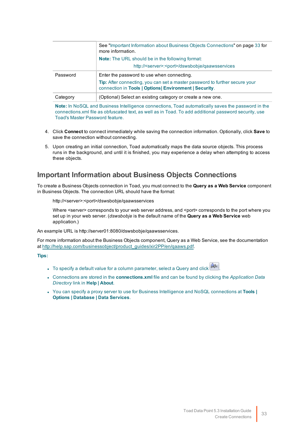|          | See "Important Information about Business Objects Connections" on page 33 for<br>more information.                                            |
|----------|-----------------------------------------------------------------------------------------------------------------------------------------------|
|          | <b>Note:</b> The URL should be in the following format:                                                                                       |
|          | http:// <server>:<port>/dswsbobje/gaawsservices</port></server>                                                                               |
| Password | Enter the password to use when connecting.                                                                                                    |
|          | <b>Tip:</b> After connecting, you can set a master password to further secure your<br>connection in Tools   Options   Environment   Security. |
| Category | (Optional) Select an existing category or create a new one.                                                                                   |

**Note:** In NoSQL and Business Intelligence connections, Toad automatically saves the password in the connections.xml file as obfuscated text, as well as in Toad. To add additional password security, use Toad's Master Password feature.

- 4. Click **Connect** to connect immediately while saving the connection information. Optionally, click **Save** to save the connection without connecting.
- 5. Upon creating an initial connection, Toad automatically maps the data source objects. This process runs in the background, and until it is finished, you may experience a delay when attempting to access these objects.

### <span id="page-33-0"></span>**Important Information about Business Objects Connections**

To create a Business Objects connection in Toad, you must connect to the **Query as a Web Service** component in Business Objects. The connection URL should have the format:

http://<server>:<port>/dswsbobje/qaawsservices

Where <server> corresponds to your web server address, and <port> corresponds to the port where you set up in your web server. (*dswsbobje* is the default name of the **Query as a Web Service** web application.)

An example URL is http://server01:8080/dswsbobje/qaawsservices.

For more information about the Business Objects component, Query as a Web Service, see the documentation at [http://help.sap.com/businessobject/product\\_guides/xir2PP/en/qaaws.pdf](http://help.sap.com/businessobject/product_guides/xir2PP/en/qaaws.pdf).

**Tips:**

- To specify a default value for a column parameter, select a Query and click  $\boxed{\hat{a}^{\dagger}}$
- <sup>l</sup> Connections are stored in the **connections.xml** file and can be found by clicking the *Application Data Directory* link in **Help | About**.
- <sup>l</sup> You can specify a proxy server to use for Business Intelligence and NoSQL connections at **Tools | Options | Database | Data Services**.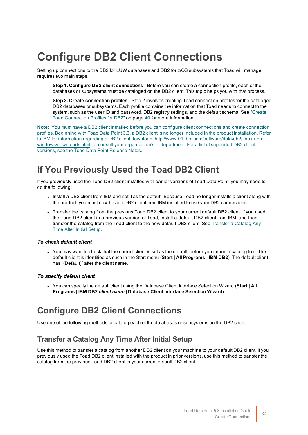## <span id="page-34-0"></span>**Configure DB2 Client Connections**

Setting up connections to the DB2 for LUW databases and DB2 for z/OS subsystems that Toad will manage requires two main steps.

**Step 1. Configure DB2 client connections** - Before you can create a connection profile, each of the databases or subsystems must be cataloged on the DB2 client. This topic helps you with that process.

**Step 2. Create connection profiles** - Step 2 involves creating Toad connection profiles for the cataloged DB2 databases or subsystems. Each profile contains the information that Toad needs to connect to the system, such as the user ID and password, DB2 registry settings, and the default schema. See ["Create](#page-40-1) Toad Connection Profiles for DB2" on page 40 for more [information.](#page-40-1)

**Note:** You must have a DB2 client installed before you can configure client connections and create connection profiles. Beginning with Toad Data Point 3.6, a DB2 client is no longer included in the product installation. Refer to IBM for information regarding a DB2 client download, [http://www-01.ibm.com/software/data/db2/linux-unix](http://www-01.ibm.com/software/data/db2/linux-unix-windows/downloads.html)[windows/downloads.html,](http://www-01.ibm.com/software/data/db2/linux-unix-windows/downloads.html) or consult your organization's IT department. For a list of supported DB2 client versions, see the Toad Data Point Release Notes.

## <span id="page-34-1"></span>**If You Previously Used the Toad DB2 Client**

If you previously used the Toad DB2 client installed with earlier versions of Toad Data Point, you may need to do the following:

- Install a DB2 client from IBM and set it as the default. Because Toad no longer installs a client along with the product, you must now have a DB2 client from IBM installed to use your DB2 connections.
- Transfer the catalog from the previous Toad DB2 client to your current default DB2 client. If you used the Toad DB2 client in a previous version of Toad, install a default DB2 client from IBM, and then transfer the catalog from the Toad client to the new default DB2 client. See [Transfer](#page-34-3) a Catalog Any Time After Initial [Setup.](#page-34-3)

### *To check default client*

• You may want to check that the correct client is set as the default, before you import a catalog to it. The default client is identified as such in the Start menu (**Start | All Programs | IBM DB2**). The default client has "(Default)" after the client name.

### *To specify default client*

<sup>l</sup> You can specify the default client using the Database Client Interface Selection Wizard (**Start | All Programs | IBM DB2** *client name* **| Database Client Interface Selection Wizard**).

### <span id="page-34-2"></span>**Configure DB2 Client Connections**

<span id="page-34-3"></span>Use one of the following methods to catalog each of the databases or subsystems on the DB2 client.

### **Transfer a Catalog Any Time After Initial Setup**

Use this method to transfer a catalog from another DB2 client on your machine to your default DB2 client. If you previously used the Toad DB2 client installed with the product in prior versions, use this method to transfer the catalog from the previous Toad DB2 client to your current default DB2 client.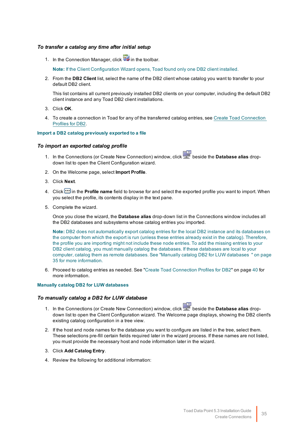### *To transfer a catalog any time after initial setup*

1. In the Connection Manager, click **in** the toolbar.

**Note:** If the Client Configuration Wizard opens, Toad found only one DB2 client installed.

2. From the **DB2 Client** list, select the name of the DB2 client whose catalog you want to transfer to your default DB2 client.

This list contains all current previously installed DB2 clients on your computer, including the default DB2 client instance and any Toad DB2 client installations.

- 3. Click **OK**.
- 4. To create a connection in Toad for any of the transferred catalog entries, see Create Toad [Connection](#page-40-1) [Profiles](#page-40-1) for DB2.

#### **Import a DB2 catalog previously exported to a file**

#### *To import an exported catalog profile*

- 1. In the Connections (or Create New Connection) window, click beside the **Database alias** dropdown list to open the Client Configuration wizard.
- 2. On the Welcome page, select **Import Profile**.
- 3. Click **Next**.
- 4. Click **in** in the **Profile name** field to browse for and select the exported profile you want to import. When you select the profile, its contents display in the text pane.
- 5. Complete the wizard.

Once you close the wizard, the **Database alias** drop-down list in the Connections window includes all the DB2 databases and subsystems whose catalog entries you imported.

**Note:** DB2 does not automatically export catalog entries for the local DB2 instance and its databases on the computer from which the export is run (unless these entries already exist in the catalog). Therefore, the profile you are importing might not include these node entries. To add the missing entries to your DB2 client catalog, you must manually catalog the databases. If these databases are local to your computer, catalog them as remote databases. See "Manually catalog DB2 for LUW [databases](#page-35-0) " on page 35 for more [information.](#page-35-0)

6. Proceed to catalog entries as needed. See "Create Toad [Connection](#page-40-1) Profiles for DB2" on page 40 for more [information.](#page-40-1)

#### <span id="page-35-0"></span>**Manually catalog DB2 for LUW databases**

### *To manually catalog a DB2 for LUW database*

- 1. In the Connections (or Create New Connection) window, click beside the **Database alias** dropdown list to open the Client Configuration wizard. The Welcome page displays, showing the DB2 client's existing catalog configuration in a tree view.
- 2. If the host and node names for the database you want to configure are listed in the tree, select them. These selections pre-fill certain fields required later in the wizard process. If these names are not listed, you must provide the necessary host and node information later in the wizard.
- 3. Click **Add Catalog Entry**.
- 4. Review the following for additional information: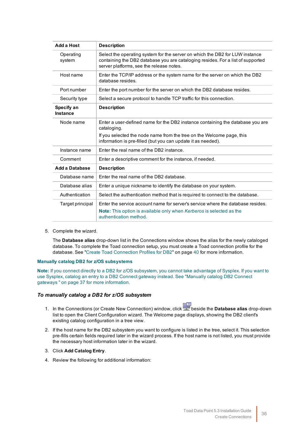| Add a Host                    | <b>Description</b>                                                                                                                                                                                          |
|-------------------------------|-------------------------------------------------------------------------------------------------------------------------------------------------------------------------------------------------------------|
| Operating<br>system           | Select the operating system for the server on which the DB2 for LUW instance<br>containing the DB2 database you are cataloging resides. For a list of supported<br>server platforms, see the release notes. |
| Host name                     | Enter the TCP/IP address or the system name for the server on which the DB2<br>database resides.                                                                                                            |
| Port number                   | Enter the port number for the server on which the DB2 database resides.                                                                                                                                     |
| Security type                 | Select a secure protocol to handle TCP traffic for this connection.                                                                                                                                         |
| Specify an<br><b>Instance</b> | <b>Description</b>                                                                                                                                                                                          |
| Node name                     | Enter a user-defined name for the DB2 instance containing the database you are<br>cataloging.                                                                                                               |
|                               | If you selected the node name from the tree on the Welcome page, this<br>information is pre-filled (but you can update it as needed).                                                                       |
| Instance name                 | Fnter the real name of the DB2 instance.                                                                                                                                                                    |
| Comment                       | Enter a descriptive comment for the instance, if needed.                                                                                                                                                    |
| Add a Database                | <b>Description</b>                                                                                                                                                                                          |
| Database name                 | Enter the real name of the DB2 database.                                                                                                                                                                    |
| Database alias                | Enter a unique nickname to identify the database on your system.                                                                                                                                            |
| Authentication                | Select the authentication method that is required to connect to the database.                                                                                                                               |
| Target principal              | Enter the service account name for server's service where the database resides.<br><b>Note:</b> This option is available only when Kerberos is selected as the<br>authentication method.                    |

5. Complete the wizard.

The **Database alias** drop-down list in the Connections window shows the alias for the newly cataloged database. To complete the Toad connection setup, you must create a Toad connection profile for the database. See "Create Toad Connection Profiles for DB2" on page 40 for more [information.](#page-40-0)

#### <span id="page-36-0"></span>**Manually catalog DB2 for z/OS subsystems**

**Note:** If you connect directly to a DB2 for z/OS subsystem, you cannot take advantage of Sysplex. If you want to use Sysplex, catalog an entry to a DB2 Connect gateway instead. See ["Manually](#page-37-0) catalog DB2 Connect gateways " on page 37 for more [information.](#page-37-0)

#### *To manually catalog a DB2 for z/OS subsystem*

- 1. In the Connections (or Create New Connection) window, click beside the **Database alias** drop-down list to open the Client Configuration wizard. The Welcome page displays, showing the DB2 client's existing catalog configuration in a tree view.
- 2. If the host name for the DB2 subsystem you want to configure is listed in the tree, select it. This selection pre-fills certain fields required later in the wizard process. If the host name is not listed, you must provide the necessary host information later in the wizard.
- 3. Click **Add Catalog Entry**.
- 4. Review the following for additional information: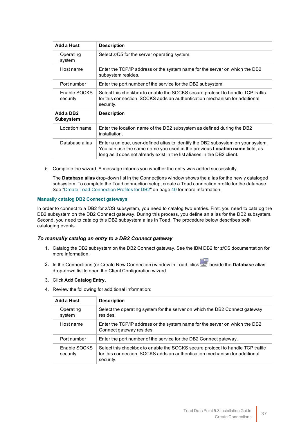| Add a Host                                | <b>Description</b>                                                                                                                                                                                                                                |
|-------------------------------------------|---------------------------------------------------------------------------------------------------------------------------------------------------------------------------------------------------------------------------------------------------|
| Operating<br>system                       | Select z/OS for the server operating system.                                                                                                                                                                                                      |
| Host name                                 | Enter the TCP/IP address or the system name for the server on which the DB2<br>subsystem resides.                                                                                                                                                 |
| Port number                               | Enter the port number of the service for the DB2 subsystem.                                                                                                                                                                                       |
| Enable SOCKS<br>security                  | Select this checkbox to enable the SOCKS secure protocol to handle TCP traffic<br>for this connection. SOCKS adds an authentication mechanism for additional<br>security.                                                                         |
| Add a DB <sub>2</sub><br><b>Subsystem</b> | <b>Description</b>                                                                                                                                                                                                                                |
| Location name                             | Enter the location name of the DB2 subsystem as defined during the DB2<br>installation.                                                                                                                                                           |
| Database alias                            | Enter a unique, user-defined alias to identify the DB2 subsystem on your system.<br>You can use the same name you used in the previous <b>Location name</b> field, as<br>long as it does not already exist in the list aliases in the DB2 client. |

5. Complete the wizard. A message informs you whether the entry was added successfully.

The **Database alias** drop-down list in the Connections window shows the alias for the newly cataloged subsystem. To complete the Toad connection setup, create a Toad connection profile for the database. See "Create Toad Connection Profiles for DB2" on page 40 for more [information.](#page-40-0)

#### <span id="page-37-0"></span>**Manually catalog DB2 Connect gateways**

In order to connect to a DB2 for z/OS subsystem, you need to catalog two entries. First, you need to catalog the DB2 subsystem on the DB2 Connect gateway. During this process, you define an alias for the DB2 subsystem. Second, you need to catalog this DB2 subsystem alias in Toad. The procedure below describes both cataloging events.

#### *To manually catalog an entry to a DB2 Connect gateway*

- 1. Catalog the DB2 subsystem on the DB2 Connect gateway. See the IBM DB2 for z/OS documentation for more information.
- 2. In the Connections (or Create New Connection) window in Toad, click beside the **Database alias** drop-down list to open the Client Configuration wizard.

#### 3. Click **Add Catalog Entry**.

4. Review the following for additional information:

| Add a Host               | <b>Description</b>                                                                                                                                                        |
|--------------------------|---------------------------------------------------------------------------------------------------------------------------------------------------------------------------|
| Operating<br>system      | Select the operating system for the server on which the DB2 Connect gateway<br>resides.                                                                                   |
| Host name                | Enter the TCP/IP address or the system name for the server on which the DB2<br>Connect gateway resides.                                                                   |
| Port number              | Enter the port number of the service for the DB2 Connect gateway.                                                                                                         |
| Enable SOCKS<br>security | Select this checkbox to enable the SOCKS secure protocol to handle TCP traffic<br>for this connection. SOCKS adds an authentication mechanism for additional<br>security. |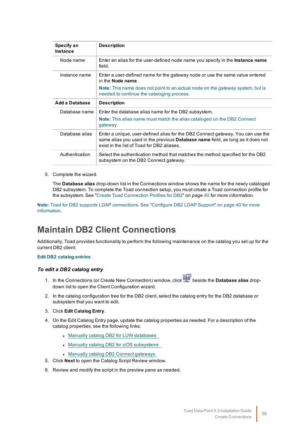| Specify an<br><b>Instance</b> | <b>Description</b>                                                                                                                                                                                               |
|-------------------------------|------------------------------------------------------------------------------------------------------------------------------------------------------------------------------------------------------------------|
| Node name                     | Enter an alias for the user-defined node name you specify in the <b>Instance name</b><br>field.                                                                                                                  |
| Instance name                 | Enter a user-defined name for the gateway node or use the same value entered<br>in the <b>Node name</b>                                                                                                          |
|                               | <b>Note:</b> This name does not point to an actual node on the gateway system, but is<br>needed to continue the cataloging process.                                                                              |
| Add a Database                | <b>Description</b>                                                                                                                                                                                               |
| Database name                 | Enter the database alias name for the DB2 subsystem.                                                                                                                                                             |
|                               | <b>Note:</b> This alias name must match the alias cataloged on the DB2 Connect<br>gateway.                                                                                                                       |
| Database alias                | Enter a unique, user-defined alias for the DB2 Connect gateway. You can use the<br>same alias you used in the previous Database name field, as long as it does not<br>exist in the list of Toad for DB2 aliases. |
| Authentication                | Select the authentication method that matches the method specified for the DB2<br>subsystem on the DB2 Connect gateway.                                                                                          |

5. Complete the wizard.

The **Database alias** drop-down list in the Connections window shows the name for the newly cataloged DB2 subsystem. To complete the Toad connection setup, you must create a Toad connection profile for the subsystem. See "Create Toad Connection Profiles for DB2" on page 40 for more [information.](#page-40-0)

**Note:** Toad for DB2 supports LDAP connections. See ["Configure](#page-40-1) DB2 LDAP Support" on page 40 for more [information.](#page-40-1)

### **Maintain DB2 Client Connections**

Additionally, Toad provides functionality to perform the following maintenance on the catalog you set up for the current DB2 client:

#### **Edit DB2 catalog entries**

#### *To edit a DB2 catalog entry*

- 1. In the Connections (or Create New Connection) window, click beside the **Database alias** dropdown list to open the Client Configuration wizard.
- 2. In the catalog configuration tree for the DB2 client, select the catalog entry for the DB2 database or subsystem that you want to edit.
- 3. Click **Edit Catalog Entry**.
- 4. On the Edit Catalog Entry page, update the catalog properties as needed. For a description of the catalog properties, see the following links:
	- Manually catalog DB2 for LUW [databases](#page-35-0)
	- Manually catalog DB2 for z/OS [subsystems](#page-36-0)
	- Manually catalog DB2 Connect gateways
- 5. Click **Next** to open the Catalog Script Review window.
- 6. Review and modify the script in the preview pane as needed.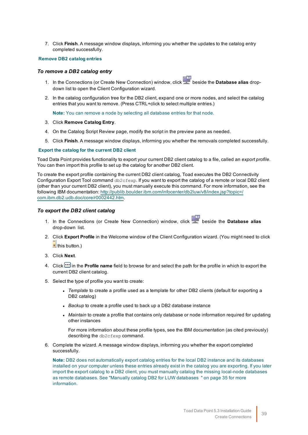7. Click **Finish**. A message window displays, informing you whether the updates to the catalog entry completed successfully.

#### **Remove DB2 catalog entries**

#### *To remove a DB2 catalog entry*

- 1. In the Connections (or Create New Connection) window, click beside the **Database alias** dropdown list to open the Client Configuration wizard.
- 2. In the catalog configuration tree for the DB2 client, expand one or more nodes, and select the catalog entries that you want to remove. (Press CTRL+click to select multiple entries.)

**Note:** You can remove a node by selecting all database entries for that node.

- 3. Click **Remove Catalog Entry**.
- 4. On the Catalog Script Review page, modify the script in the preview pane as needed.
- 5. Click **Finish**. A message window displays, informing you whether the removals completed successfully.

#### **Export the catalog for the current DB2 client**

Toad Data Point provides functionality to export your current DB2 client catalog to a file, called an *export profile*. You can then import this profile to set up the catalog for another DB2 client.

To create the export profile containing the current DB2 client catalog, Toad executes the DB2 Connectivity Configuration Export Tool command db2cfexp. If you want to export the catalog of a remote or local DB2 client (other than your current DB2 client), you must manually execute this command. For more information, see the following IBM documentation: [http://publib.boulder.ibm.com/infocenter/db2luw/v8/index.jsp?topic=/](http://publib.boulder.ibm.com/infocenter/db2luw/v8/index.jsp?topic=/com.ibm.db2.udb.doc/core/r0002442.htm) com.ibm.db2.udb.doc/core/r0002442.htm.

#### *To export the DB2 client catalog*

- 1. In the Connections (or Create New Connection) window, click beside the **Database alias** drop-down list.
- 2. Click **Export Profile** in the Welcome window of the Client Configuration wizard. (You might need to click  $\frac{1}{\sqrt{2}}$ this button.)
- 3. Click **Next**.
- 4. Click  $\Box$  in the **Profile name** field to browse for and select the path for the profile in which to export the current DB2 client catalog.
- 5. Select the type of profile you want to create:
	- <sup>l</sup> *Template* to create a profile used as a template for other DB2 clients (default for exporting a DB2 catalog)
	- Backup to create a profile used to back up a DB2 database instance
	- Maintain to create a profile that contains only database or node information required for updating other instances

For more information about these profile types, see the IBM documentation (as cited previously) describing the db2cfexp command.

6. Complete the wizard. A message window displays, informing you whether the export completed successfully.

**Note:** DB2 does not automatically export catalog entries for the local DB2 instance and its databases installed on your computer unless these entries already exist in the catalog you are exporting. If you later import the export catalog to a DB2 client, you must manually catalog the missing local-node databases as remote databases. See "Manually catalog DB2 for LUW [databases](#page-35-0) " on page 35 for more [information.](#page-35-0)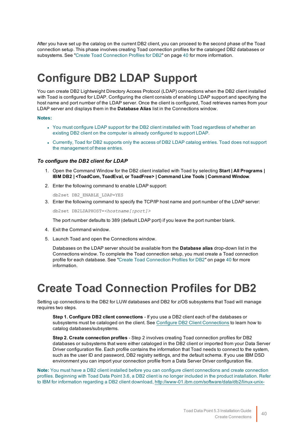After you have set up the catalog on the current DB2 client, you can proceed to the second phase of the Toad connection setup. This phase involves creating Toad connection profiles for the cataloged DB2 databases or subsystems. See "Create Toad Connection Profiles for DB2" on page 40 for more [information.](#page-40-0)

# <span id="page-40-1"></span>**Configure DB2 LDAP Support**

You can create DB2 Lightweight Directory Access Protocol (LDAP) connections when the DB2 client installed with Toad is configured for LDAP. Configuring the client consists of enabling LDAP support and specifying the host name and port number of the LDAP server. Once the client is configured, Toad retrieves names from your LDAP server and displays them in the **Database Alias** list in the Connections window.

#### **Notes:**

- You must configure LDAP support for the DB2 client installed with Toad regardless of whether an existing DB2 client on the computer is already configured to support LDAP.
- Currently, Toad for DB2 supports only the access of DB2 LDAP catalog entries. Toad does not support the management of these entries.

#### *To configure the DB2 client for LDAP*

- 1. Open the Command Window for the DB2 client installed with Toad by selecting **Start | All Programs | IBM DB2 | <ToadCom, ToadEval, or ToadFree> | Command Line Tools | Command Window**.
- 2. Enter the following command to enable LDAP support:

db2set DB2\_ENABLE\_LDAP=YES

3. Enter the following command to specify the TCP/IP host name and port number of the LDAP server:

db2set DB2LDAPHOST=*<hostname[:port]>*

The port number defaults to 389 (default LDAP port) if you leave the port number blank.

- 4. Exit the Command window.
- 5. Launch Toad and open the Connections window.

Databases on the LDAP server should be available from the **Database alias** drop-down list in the Connections window. To complete the Toad connection setup, you must create a Toad connection profile for each database. See "Create Toad [Connection](#page-40-0) Profiles for DB2" on page 40 for more [information.](#page-40-0)

# <span id="page-40-0"></span>**Create Toad Connection Profiles for DB2**

Setting up connections to the DB2 for LUW databases and DB2 for z/OS subsystems that Toad will manage requires two steps.

**Step 1. Configure DB2 client connections** - If you use a DB2 client each of the databases or subsystems must be cataloged on the client. See Configure DB2 Client [Connections](#page-34-0) to learn how to catalog databases/subsystems.

**Step 2. Create connection profiles** - Step 2 involves creating Toad connection profiles for DB2 databases or subsystems that were either cataloged in the DB2 client or imported from your Data Server Driver configuration file. Each profile contains the information that Toad needs to connect to the system, such as the user ID and password, DB2 registry settings, and the default schema. If you use IBM DSD environment you can import your connection profile from a Data Server Driver configuration file.

**Note:** You must have a DB2 client installed before you can configure client connections and create connection profiles. Beginning with Toad Data Point 3.6, a DB2 client is no longer included in the product installation. Refer to IBM for information regarding a DB2 client download, [http://www-01.ibm.com/software/data/db2/linux-unix-](http://www-01.ibm.com/software/data/db2/linux-unix-windows/downloads.html)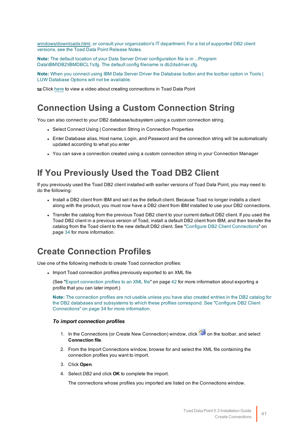[windows/downloads.html,](http://www-01.ibm.com/software/data/db2/linux-unix-windows/downloads.html) or consult your organization's IT department. For a list of supported DB2 client versions, see the Toad Data Point Release Notes.

**Note:** The default location of your Data Server Driver configuration file is in ...Program Data\IBM\DB2\IBMDBCL1\cfg. The default config filename is db2dsdriver.cfg.

**Note:** When you connect using IBM Data Server Driver the Database button and the toolbar option in Tools | LUW Database Options will not be available.

Click [here](http://www.toadworld.com/products/toad-data-point/m/media-library/646.aspx) to view a video about creating connections in Toad Data Point

### **Connection Using a Custom Connection String**

You can also connect to your DB2 database/subsystem using a custom connection string.

- Select Connect Using | Connection String in Connection Properties
- Enter Database alias, Host name, Login, and Password and the connection string will be automatically updated according to what you enter
- You can save a connection created using a custom connection string in your Connection Manager

### **If You Previously Used the Toad DB2 Client**

If you previously used the Toad DB2 client installed with earlier versions of Toad Data Point, you may need to do the following:

- Install a DB2 client from IBM and set it as the default client. Because Toad no longer installs a client along with the product, you must now have a DB2 client from IBM installed to use your DB2 connections.
- Transfer the catalog from the previous Toad DB2 client to your current default DB2 client. If you used the Toad DB2 client in a previous version of Toad, install a default DB2 client from IBM, and then transfer the catalog from the Toad client to the new default DB2 client. See "Configure DB2 Client [Connections"](#page-34-0) on page 34 for more [information.](#page-34-0)

### **Create Connection Profiles**

Use one of the following methods to create Toad connection profiles:

<span id="page-41-0"></span>• Import Toad connection profiles previously exported to an XML file

(See "Export connection profiles to an XML file" on page 42 for more [information](#page-42-0) about exporting a profile that you can later import.)

**Note:** The connection profiles are not usable unless you have also created entries in the DB2 catalog for the DB2 databases and subsystems to which these profiles correspond. See ["Configure](#page-34-0) DB2 Client [Connections"](#page-34-0) on page 34 for more information.

#### *To import connection profiles*

- 1. In the Connections (or Create New Connection) window, click on the toolbar, and select **Connection file**.
- 2. From the Import Connections window, browse for and select the XML file containing the connection profiles you want to import.
- 3. Click **Open**.
- 4. Select *DB2* and click **OK** to complete the import.

The connections whose profiles you imported are listed on the Connections window.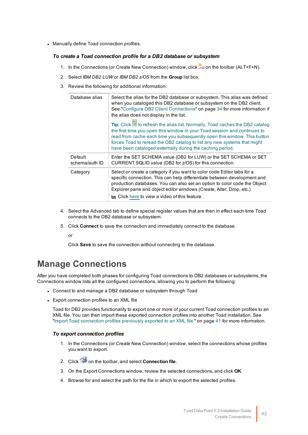• Manually define Toad connection profiles.

#### *To create a Toad connection profile for a DB2 database or subsystem*

- 1. In the Connections (or Create New Connection) window, click **Fe** on the toolbar (ALT+F+N).
- 2. Select *IBM DB2 LUW* or *IBM DB2 z/OS* from the **Group** list box.
- 3. Review the following for additional information:

| Database alias            | Select the alias for the DB2 database or subsystem. This alias was defined<br>when you cataloged this DB2 database or subsystem on the DB2 client.<br>See "Configure DB2 Client Connections" on page 34 for more information if<br>the alias does not display in the list.<br>Tip: Click ighthrough the alias list. Normally, Toad caches the DB2 catalog<br>the first time you open this window in your Toad session and continues to<br>read from cache each time you subsequently open this window. This button<br>forces Toad to reread the DB2 catalog to list any new systems that might<br>have been cataloged externally during the caching period. |
|---------------------------|-------------------------------------------------------------------------------------------------------------------------------------------------------------------------------------------------------------------------------------------------------------------------------------------------------------------------------------------------------------------------------------------------------------------------------------------------------------------------------------------------------------------------------------------------------------------------------------------------------------------------------------------------------------|
| Default<br>schema/auth ID | Enter the SET SCHEMA value (DB2 for LUW) or the SET SCHEMA or SET<br>CURRENT SQLID value (DB2 for z/OS) for this connection.                                                                                                                                                                                                                                                                                                                                                                                                                                                                                                                                |
| Category                  | Select or create a category if you want to color code Editor tabs for a<br>specific connection. This can help differentiate between development and<br>production databases. You can also set an option to color code the Object<br>Explorer pane and object editor windows (Create, Alter, Drop, etc.).<br>to Click here to view a video of this feature.                                                                                                                                                                                                                                                                                                  |

- 4. Select the Advanced tab to define special register values that are then in effect each time Toad connects to the DB2 database or subsystem.
- 5. Click **Connect** to save the connection and immediately connect to the database.

or

Click **Save** to save the connection without connecting to the database.

### **Manage Connections**

After you have completed both phases for configuring Toad connections to DB2 databases or subsystems, the Connections window lists all the configured connections, allowing you to perform the following:

- <span id="page-42-0"></span>• Connect to and manage a DB2 database or subsystem through Toad
- Export connection profiles to an XML file

Toad for DB2 provides functionality to export one or more of your current Toad connection profiles to an XML file. You can then import these exported connection profiles into another Toad installation. [See](#page-41-0) "Import Toad connection profiles previously exported to an XML file " on page 41 for more [information.](#page-41-0)

#### *To export connection profiles*

- 1. In the Connections (or Create New Connection) window, select the connections whose profiles you want to export.
- 2. Click on the toolbar, and select **Connection file**.
- 3. On the Export Connections window, review the selected connections, and click **OK**.
- 4. Browse for and select the path for the file in which to export the selected profiles.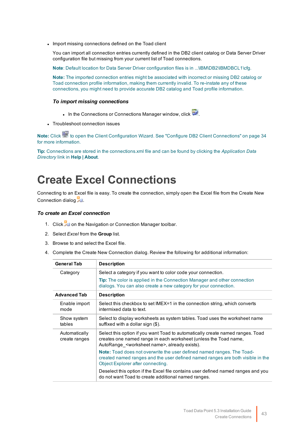• Import missing connections defined on the Toad client

You can import all connection entries currently defined in the DB2 client catalog or Data Server Driver configuration file but missing from your current list of Toad connections.

**Note**: Default location for Data Server Driver configuration files is in ...\IBM\DB2\IBMDBCL1\cfg.

**Note:** The imported connection entries might be associated with incorrect or missing DB2 catalog or Toad connection profile information, making them currently invalid. To re-instate any of these connections, you might need to provide accurate DB2 catalog and Toad profile information.

#### *To import missing connections*

- In the Connections or Connections Manager window, click  $\overline{\mathbf{E}}$  .
- Troubleshoot connection issues

Note: Click **the client Configuration Wizard**. See "Configure DB2 Client [Connections"](#page-34-0) on page 34 for more [information.](#page-34-0)

**Tip:** Connections are stored in the connections.xml file and can be found by clicking the *Application Data Directory* link in **Help | About**.

# **Create Excel Connections**

Connecting to an Excel file is easy. To create the connection, simply open the Excel file from the Create New Connection dialog

#### *To create an Excel connection*

- 1. Click **on the Navigation or Connection Manager toolbar.**
- 2. Select *Excel* from the **Group** list.
- 3. Browse to and select the Excel file.
- 4. Complete the Create New Connection dialog. Review the following for additional information:

| <b>General Tab</b>             | <b>Description</b>                                                                                                                                                                                                |
|--------------------------------|-------------------------------------------------------------------------------------------------------------------------------------------------------------------------------------------------------------------|
| Category                       | Select a category if you want to color code your connection.                                                                                                                                                      |
|                                | <b>Tip:</b> The color is applied in the Connection Manager and other connection<br>dialogs. You can also create a new category for your connection.                                                               |
| <b>Advanced Tab</b>            | <b>Description</b>                                                                                                                                                                                                |
| Enable import<br>mode          | Select this checkbox to set IMEX=1 in the connection string, which converts<br>intermixed data to text.                                                                                                           |
| Show system<br>tables          | Select to display worksheets as system tables. Toad uses the worksheet name<br>suffixed with a dollar sign (\$).                                                                                                  |
| Automatically<br>create ranges | Select this option if you want Toad to automatically create named ranges. Toad<br>creates one named range in each worksheet (unless the Toad name,<br>AutoRange <worksheet name="">, already exists).</worksheet> |
|                                | <b>Note:</b> Toad does not overwrite the user defined named ranges. The Toad-<br>created named ranges and the user defined named ranges are both visible in the<br>Object Explorer after connecting.              |
|                                | Deselect this option if the Excel file contains user defined named ranges and you<br>do not want Toad to create additional named ranges.                                                                          |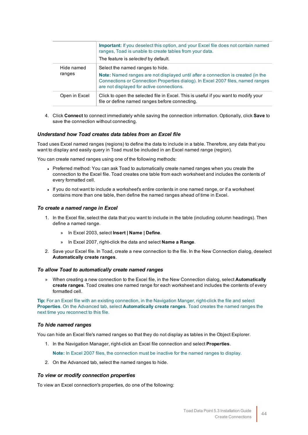|                      | <b>Important:</b> If you deselect this option, and your Excel file does not contain named<br>ranges, Toad is unable to create tables from your data.<br>The feature is selected by default.                                                          |
|----------------------|------------------------------------------------------------------------------------------------------------------------------------------------------------------------------------------------------------------------------------------------------|
| Hide named<br>ranges | Select the named ranges to hide.<br>Note: Named ranges are not displayed until after a connection is created (in the<br>Connections or Connection Properties dialog). In Excel 2007 files, named ranges<br>are not displayed for active connections. |
| Open in Excel        | Click to open the selected file in Excel. This is useful if you want to modify your<br>file or define named ranges before connecting.                                                                                                                |

4. Click **Connect** to connect immediately while saving the connection information. Optionally, click **Save** to save the connection without connecting.

#### *Understand how Toad creates data tables from an Excel file*

Toad uses Excel named ranges (regions) to define the data to include in a table. Therefore, any data that you want to display and easily query in Toad must be included in an Excel named range (region).

You can create named ranges using one of the following methods:

- Preferred method: You can ask Toad to automatically create named ranges when you create the connection to the Excel file. Toad creates one table from each worksheet and includes the contents of every formatted cell.
- If you do not want to include a worksheet's entire contents in one named range, or if a worksheet contains more than one table, then define the named ranges ahead of time in Excel.

#### *To create a named range in Excel*

- 1. In the Excel file, select the data that you want to include in the table (including column headings). Then define a named range.
	- » In Excel 2003, select **Insert | Name | Define**.
	- » In Excel 2007, right-click the data and select **Name a Range**.
- 2. Save your Excel file. In Toad, create a new connection to the file. In the New Connection dialog, deselect **Automatically create ranges**.

#### *To allow Toad to automatically create named ranges*

» When creating a new connection to the Excel file, in the New Connection dialog, select **Automatically create ranges**. Toad creates one named range for each worksheet and includes the contents of every formatted cell.

**Tip:** For an Excel file with an existing connection, in the Navigation Manger, right-click the file and select **Properties**. On the Advanced tab, select **Automatically create ranges**. Toad creates the named ranges the next time you reconnect to this file.

#### *To hide named ranges*

You can hide an Excel file's named ranges so that they do not display as tables in the Object Explorer.

1. In the Navigation Manager, right-click an Excel file connection and select **Properties**.

**Note:** In Excel 2007 files, the connection must be inactive for the named ranges to display.

2. On the Advanced tab, select the named ranges to hide.

#### *To view or modify connection properties*

To view an Excel connection's properties, do one of the following: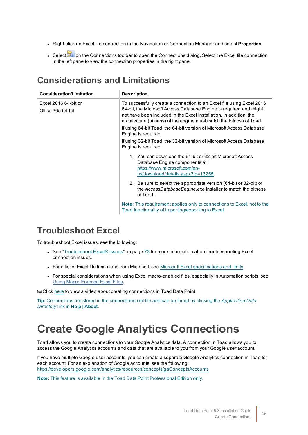- <sup>l</sup> Right-click an Excel file connection in the Navigation or Connection Manager and select **Properties**.
- Select **24** on the Connections toolbar to open the Connections dialog. Select the Excel file connection in the left pane to view the connection properties in the right pane.

## **Considerations and Limitations**

| <b>Consideration/Limitation</b>                  | <b>Description</b>                                                                                                                                                                                                                                                                        |
|--------------------------------------------------|-------------------------------------------------------------------------------------------------------------------------------------------------------------------------------------------------------------------------------------------------------------------------------------------|
| Excel 2016 64-bit or<br><b>Office 365 64-bit</b> | To successfully create a connection to an Excel file using Excel 2016<br>64-bit, the Microsoft Access Database Engine is required and might<br>not have been included in the Excel installation. In addition, the<br>architecture (bitness) of the engine must match the bitness of Toad. |
|                                                  | If using 64-bit Toad, the 64-bit version of Microsoft Access Database<br>Engine is required.                                                                                                                                                                                              |
|                                                  | If using 32-bit Toad, the 32-bit version of Microsoft Access Database<br>Engine is required.                                                                                                                                                                                              |
|                                                  | 1. You can download the 64-bit or 32-bit Microsoft Access<br>Database Engine components at:<br>https://www.microsoft.com/en-<br>us/download/details.aspx?id=13255.                                                                                                                        |
|                                                  | 2. Be sure to select the appropriate version (64-bit or 32-bit) of<br>the AccessDatabaseEngine.exe installer to match the bitness<br>of Toad.                                                                                                                                             |
|                                                  | <b>Note:</b> This requirement applies only to connections to Excel, not to the<br>Toad functionality of importing/exporting to Excel.                                                                                                                                                     |

### **Troubleshoot Excel**

To troubleshoot Excel issues, see the following:

- See ["Troubleshoot](#page-73-0) Excel® Issues" on page 73 for more information about troubleshooting Excel connection issues.
- For a list of Excel file limitations from Microsoft, see Microsoft Excel [specifications](https://support.office.com/en-us/article/Excel-specifications-and-limits-1672b34d-7043-467e-8e27-269d656771c3) and limits.
- For special considerations when using Excel macro-enabled files, especially in Automation scripts, see Using Macro-Enabled Excel Files.

**to Click** [here](http://www.toadworld.com/products/toad-data-point/m/media-library/646.aspx) to view a video about creating connections in Toad Data Point

**Tip:** Connections are stored in the connections.xml file and can be found by clicking the *Application Data Directory* link in **Help | About**.

# **Create Google Analytics Connections**

Toad allows you to create connections to your Google Analytics data. A connection in Toad allows you to access the Google Analytics accounts and data that are available to you from your Google *user* account.

If you have multiple Google user accounts, you can create a separate Google Analytics connection in Toad for each account. For an explanation of Google accounts, see the following: <https://developers.google.com/analytics/resources/concepts/gaConceptsAccounts>

**Note:** This feature is available in the Toad Data Point Professional Edition only.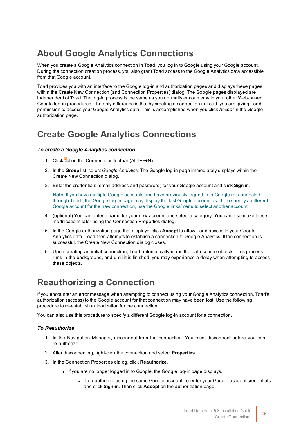## **About Google Analytics Connections**

When you create a Google Analytics connection in Toad, you log in to Google using your Google account. During the connection creation process, you also grant Toad access to the Google Analytics data accessible from that Google account.

Toad provides you with an interface to the Google log-in and authorization pages and displays these pages within the Create New Connection (and Connection Properties) dialog. The Google pages displayed are independent of Toad. The log-in process is the same as you normally encounter with your other Web-based Google log-in procedures. The only difference is that by creating a connection in Toad, you are giving Toad permission to access your Google Analytics data. This is accomplished when you click *Accept* in the Google authorization page.

## **Create Google Analytics Connections**

#### *To create a Google Analytics connection*

- 1. Click  $\ddot{=}$  on the Connections toolbar (ALT+F+N).
- 2. In the **Group** list, select *Google Analytics*. The Google log-in page immediately displays within the Create New Connection dialog.
- 3. Enter the credentials (email address and password) for your Google account and click **Sign in**.

**Note:** If you have multiple Google accounts and have previously logged in to Google (or connected through Toad), the Google log-in page may display the last Google account used. To specify a different Google account for the new connection, use the Google links/menu to select another account.

- 4. (optional) You can enter a name for your new account and select a category. You can also make these modifications later using the Connection Properties dialog.
- 5. In the Google authorization page that displays, click **Accept** to allow Toad access to your Google Analytics data. Toad then attempts to establish a connection to Google Analytics. If the connection is successful, the Create New Connection dialog closes.
- 6. Upon creating an initial connection, Toad automatically maps the data source objects. This process runs in the background, and until it is finished, you may experience a delay when attempting to access these objects.

## **Reauthorizing a Connection**

If you encounter an error message when attempting to connect using your Google Analytics connection, Toad's authorization (access) to the Google account for that connection may have been lost. Use the following procedure to re-establish authorization for the connection.

You can also use this procedure to specify a different Google log-in account for a connection.

#### *To Reauthorize*

- 1. In the Navigation Manager, disconnect from the connection. You must disconnect before you can re-authorize.
- 2. After disconnecting, right-click the connection and select **Properties**.
- 3. In the Connection Properties dialog, click **Reauthorize**.
	- If you are no longer logged in to Google, the Google log-in page displays.
		- To reauthorize using the same Google account, re-enter your Google account credentials and click **Sign-in**. Then click **Accept** on the authorization page.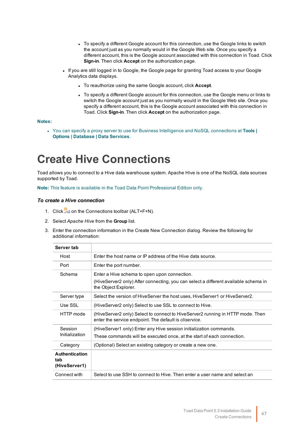- To specify a different Google account for this connection, use the Google links to switch the account just as you normally would in the Google Web site. Once you specify a different account, this is the Google account associated with this connection in Toad. Click **Sign-in**. Then click **Accept** on the authorization page.
- <sup>l</sup> If you are still logged in to Google, the Google page for granting Toad access to your Google Analytics data displays.
	- **.** To reauthorize using the same Google account, click **Accept**.
	- To specify a different Google account for this connection, use the Google menu or links to switch the Google account just as you normally would in the Google Web site. Once you specify a different account, this is the Google account associated with this connection in Toad. Click **Sign-in**. Then click **Accept** on the authorization page.

#### **Notes:**

<sup>l</sup> You can specify a proxy server to use for Business Intelligence and NoSQL connections at **Tools | Options | Database | Data Services**.

# **Create Hive Connections**

Toad allows you to connect to a Hive data warehouse system. Apache Hive is one of the NoSQL data sources supported by Toad.

**Note:** This feature is available in the Toad Data Point Professional Edition only.

#### *To create a Hive connection*

- 1. Click **the Connections toolbar (ALT+F+N).**
- 2. Select *Apache Hive* from the **Group** list.
- 3. Enter the connection information in the Create New Connection dialog. Review the following for additional information:

| Server tab                                    |                                                                                                                                                             |
|-----------------------------------------------|-------------------------------------------------------------------------------------------------------------------------------------------------------------|
| Host                                          | Enter the host name or IP address of the Hive data source.                                                                                                  |
| Port                                          | Enter the port number.                                                                                                                                      |
| Schema                                        | Enter a Hive schema to open upon connection.<br>(HiveServer2 only) After connecting, you can select a different available schema in<br>the Object Explorer. |
| Server type                                   | Select the version of HiveServer the host uses, HiveServer1 or HiveServer2.                                                                                 |
| Use SSL                                       | (HiveServer2 only) Select to use SSL to connect to Hive.                                                                                                    |
| HTTP mode                                     | (HiveServer2 only) Select to connect to HiveServer2 running in HTTP mode. Then<br>enter the service endpoint. The default is <i>cliservice</i> .            |
| Session                                       | (HiveServer1 only) Enter any Hive session initialization commands.                                                                                          |
| Initialization                                | These commands will be executed once, at the start of each connection.                                                                                      |
| Category                                      | (Optional) Select an existing category or create a new one.                                                                                                 |
| <b>Authentication</b><br>tab<br>(HiveServer1) |                                                                                                                                                             |
| Connect with                                  | Select to use SSH to connect to Hive. Then enter a user name and select an                                                                                  |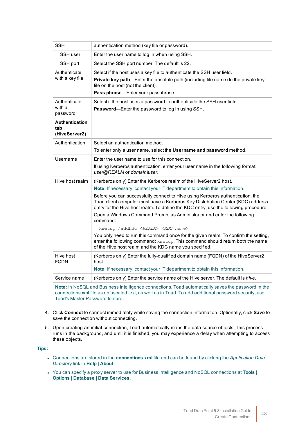| <b>SSH</b>                                    | authentication method (key file or password).                                                                                                                                                                                                                                                                                                                                                                                                                                                                                                                                                                                                                                                                                                                                                 |
|-----------------------------------------------|-----------------------------------------------------------------------------------------------------------------------------------------------------------------------------------------------------------------------------------------------------------------------------------------------------------------------------------------------------------------------------------------------------------------------------------------------------------------------------------------------------------------------------------------------------------------------------------------------------------------------------------------------------------------------------------------------------------------------------------------------------------------------------------------------|
| SSH user                                      | Enter the user name to log in when using SSH.                                                                                                                                                                                                                                                                                                                                                                                                                                                                                                                                                                                                                                                                                                                                                 |
| SSH port                                      | Select the SSH port number. The default is 22.                                                                                                                                                                                                                                                                                                                                                                                                                                                                                                                                                                                                                                                                                                                                                |
| Authenticate<br>with a key file               | Select if the host uses a key file to authenticate the SSH user field.<br>Private key path-Enter the absolute path (including file name) to the private key<br>file on the host (not the client).<br>Pass phrase-Enter your passphrase.                                                                                                                                                                                                                                                                                                                                                                                                                                                                                                                                                       |
| Authenticate<br>with a<br>password            | Select if the host uses a password to authenticate the SSH user field.<br>Password-Enter the password to log in using SSH.                                                                                                                                                                                                                                                                                                                                                                                                                                                                                                                                                                                                                                                                    |
| <b>Authentication</b><br>tab<br>(HiveServer2) |                                                                                                                                                                                                                                                                                                                                                                                                                                                                                                                                                                                                                                                                                                                                                                                               |
| Authentication                                | Select an authentication method.<br>To enter only a user name, select the <b>Username and password</b> method.                                                                                                                                                                                                                                                                                                                                                                                                                                                                                                                                                                                                                                                                                |
| Username                                      | Enter the user name to use for this connection.<br>If using Kerberos authentication, enter your user name in the following format:<br>user@REALM or domain\user.                                                                                                                                                                                                                                                                                                                                                                                                                                                                                                                                                                                                                              |
| Hive host realm                               | (Kerberos only) Enter the Kerberos realm of the HiveServer2 host.<br>Note: If necessary, contact your IT department to obtain this information.<br>Before you can successfully connect to Hive using Kerberos authentication, the<br>Toad client computer must have a Kerberos Key Distribution Center (KDC) address<br>entry for the Hive host realm. To define the KDC entry, use the following procedure.<br>Open a Windows Command Prompt as Administrator and enter the following<br>command:<br>ksetup /addkdc <realm> <kdc name=""><br/>You only need to run this command once for the given realm. To confirm the setting,<br/>enter the following command: ksetup. This command should return both the name<br/>of the Hive host realm and the KDC name you specified.</kdc></realm> |
| Hive host<br><b>FQDN</b>                      | (Kerberos only) Enter the fully-qualified domain name (FQDN) of the HiveServer2<br>host.<br>Note: If necessary, contact your IT department to obtain this information.                                                                                                                                                                                                                                                                                                                                                                                                                                                                                                                                                                                                                        |
| Service name                                  | (Kerberos only) Enter the service name of the Hive server. The default is hive.                                                                                                                                                                                                                                                                                                                                                                                                                                                                                                                                                                                                                                                                                                               |
|                                               | Note: In NeCOL, and Puninges Intelligence connections. Tood outamotically severate processed in the                                                                                                                                                                                                                                                                                                                                                                                                                                                                                                                                                                                                                                                                                           |

**Note:** In NoSQL and Business Intelligence connections, Toad automatically saves the password in the connections.xml file as obfuscated text, as well as in Toad. To add additional password security, use Toad's Master Password feature.

- 4. Click **Connect** to connect immediately while saving the connection information. Optionally, click **Save** to save the connection without connecting.
- 5. Upon creating an initial connection, Toad automatically maps the data source objects. This process runs in the background, and until it is finished, you may experience a delay when attempting to access these objects.

#### **Tips:**

- <sup>l</sup> Connections are stored in the **connections.xml** file and can be found by clicking the *Application Data Directory* link in **Help | About**.
- <sup>l</sup> You can specify a proxy server to use for Business Intelligence and NoSQL connections at **Tools | Options | Database | Data Services**.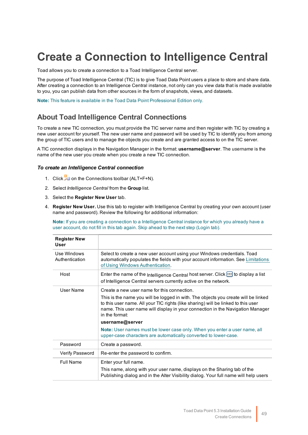# **Create a Connection to Intelligence Central**

Toad allows you to create a connection to a Toad Intelligence Central server.

The purpose of Toad Intelligence Central (TIC) is to give Toad Data Point users a place to store and share data. After creating a connection to an Intelligence Central instance, not only can you view data that is made available to you, you can publish data from other sources in the form of snapshots, views, and datasets.

**Note:** This feature is available in the Toad Data Point Professional Edition only.

### **About Toad Intelligence Central Connections**

To create a new TIC connection, you must provide the TIC server name and then register with TIC by creating a new user account for yourself. The new user name and password will be used by TIC to identify you from among the group of TIC users and to manage the objects you create and are granted access to on the TIC server.

A TIC connection displays in the Navigation Manager in the format: **username@server**. The *username* is the name of the new user you create when you create a new TIC connection.

#### *To create an Intelligence Central connection*

- 1. Click  $\ddot{=}$  on the Connections toolbar (ALT+F+N).
- 2. Select *Intelligence Central* from the **Group** list.
- 3. Select the **Register New User** tab.
- 4. **Register New User.** Use this tab to register with Intelligence Central by creating your own account (user name and password). Review the following for additional information:

**Note:** If you are creating a connection to a Intelligence Central instance for which you already have a user account, do not fill in this tab again. Skip ahead to the next step (Login tab).

| <b>Register New</b><br><b>User</b> |                                                                                                                                                                                                                                                                                                                                                                                                                                                                                                |
|------------------------------------|------------------------------------------------------------------------------------------------------------------------------------------------------------------------------------------------------------------------------------------------------------------------------------------------------------------------------------------------------------------------------------------------------------------------------------------------------------------------------------------------|
| Use Windows<br>Authentication      | Select to create a new user account using your Windows credentials. Toad<br>automatically populates the fields with your account information. See Limitations<br>of Using Windows Authentication.                                                                                                                                                                                                                                                                                              |
| Host                               | Enter the name of the Intelligence Central host server. Click  to display a list<br>of Intelligence Central servers currently active on the network.                                                                                                                                                                                                                                                                                                                                           |
| User Name                          | Create a new user name for this connection.<br>This is the name you will be logged in with. The objects you create will be linked<br>to this user name. All your TIC rights (like sharing) will be linked to this user<br>name. This user name will display in your connection in the Navigation Manager<br>in the format:<br>username@server<br>Note: User names must be lower case only. When you enter a user name, all<br>upper-case characters are automatically converted to lower-case. |
| Password                           | Create a password.                                                                                                                                                                                                                                                                                                                                                                                                                                                                             |
| <b>Verify Password</b>             | Re-enter the password to confirm.                                                                                                                                                                                                                                                                                                                                                                                                                                                              |
| <b>Full Name</b>                   | Enter your full name.<br>This name, along with your user name, displays on the Sharing tab of the<br>Publishing dialog and in the Alter Visibility dialog. Your full name will help users                                                                                                                                                                                                                                                                                                      |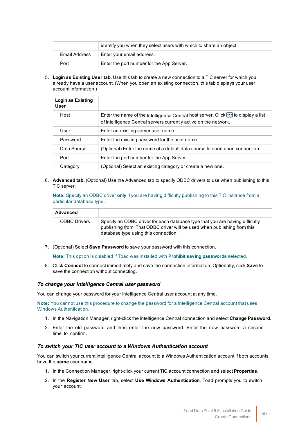|               | identify you when they select users with which to share an object. |
|---------------|--------------------------------------------------------------------|
| Email Address | Enter your email address.                                          |
| Port          | Enter the port number for the App Server.                          |

5. **Login as Existing User tab.** Use this tab to create a new connection to a TIC server for which you already have a user account. (When you open an existing connection, this tab displays your user account information.)

| <b>Login as Existing</b><br>User |                                                                                                                                                      |
|----------------------------------|------------------------------------------------------------------------------------------------------------------------------------------------------|
| Host                             | Enter the name of the Intelligence Central host server. Click  to display a list<br>of Intelligence Central servers currently active on the network. |
| User                             | Enter an existing server user name.                                                                                                                  |
| Password                         | Enter the existing password for the user name.                                                                                                       |
| Data Source                      | (Optional) Enter the name of a default data source to open upon connection.                                                                          |
| Port                             | Enter the port number for the App Server.                                                                                                            |
| Category                         | (Optional) Select an existing category or create a new one.                                                                                          |

6. **Advanced tab.** (Optional) Use the Advanced tab to specify ODBC drivers to use when publishing to this TIC server.

**Note:** Specify an ODBC driver **only** if you are having difficulty publishing to this TIC instance from a particular database type.

| Advanced            |                                                                                                                                                                                                  |
|---------------------|--------------------------------------------------------------------------------------------------------------------------------------------------------------------------------------------------|
| <b>ODBC Drivers</b> | Specify an ODBC driver for each database type that you are having difficulty<br>publishing from. That ODBC driver will be used when publishing from this<br>database type using this connection. |

7. (Optional) Select **Save Password** to save your password with this connection.

**Note:** This option is disabled if Toad was installed with **Prohibit saving passwords** selected.

8. Click **Connect** to connect immediately and save the connection information. Optionally, click **Save** to save the connection without connecting.

#### *To change your Intelligence Central user password*

You can change your password for your Intelligence Central user account at any time.

**Note:** You cannot use this procedure to change the password for a Intelligence Central account that uses Windows Authentication.

- 1. In the Navigation Manager, right-click the Intelligence Central connection and select **Change Password**.
- 2. Enter the old password and then enter the new password. Enter the new password a second time to confirm.

#### *To switch your TIC user account to a Windows Authentication account*

You can switch your current Intelligence Central account to a Windows Authentication account if both accounts have the **same** user name.

- 1. In the Connection Manager, right-click your current TIC account connection and select **Properties**.
- 2. In the **Register New User** tab, select **Use Windows Authentication**. Toad prompts you to switch your account.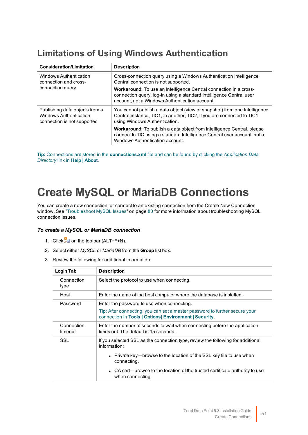## <span id="page-51-0"></span>**Limitations of Using Windows Authentication**

| <b>Consideration/Limitation</b>                                                         | <b>Description</b>                                                                                                                                                                                |  |
|-----------------------------------------------------------------------------------------|---------------------------------------------------------------------------------------------------------------------------------------------------------------------------------------------------|--|
| Windows Authentication<br>connection and cross-                                         | Cross-connection query using a Windows Authentication Intelligence<br>Central connection is not supported.                                                                                        |  |
| connection query                                                                        | <b>Workaround:</b> To use an Intelligence Central connection in a cross-<br>connection query, log-in using a standard Intelligence Central user<br>account, not a Windows Authentication account. |  |
| Publishing data objects from a<br>Windows Authentication<br>connection is not supported | You cannot publish a data object (view or snapshot) from one Intelligence<br>Central instance, TIC1, to another, TIC2, if you are connected to TIC1<br>using Windows Authentication.              |  |
|                                                                                         | <b>Workaround:</b> To publish a data object from Intelligence Central, please<br>connect to TIC using a standard Intelligence Central user account, not a<br>Windows Authentication account.      |  |

**Tip:** Connections are stored in the **connections.xml** file and can be found by clicking the *Application Data Directory* link in **Help | About**.

# **Create MySQL or MariaDB Connections**

You can create a new connection, or connect to an existing connection from the Create New Connection window. See ["Troubleshoot](#page-80-0) MySQL Issues" on page 80 for more information about troubleshooting MySQL connection issues.

#### *To create a MySQL or MariaDB connection*

- 1. Click  $\frac{1}{\sqrt{2}}$  on the toolbar (ALT+F+N).
- 2. Select either *MySQL* or *MariaDB* from the **Group** list box.
- 3. Review the following for additional information:

| Login Tab             | <b>Description</b>                                                                                                                                                                                                                                                                         |
|-----------------------|--------------------------------------------------------------------------------------------------------------------------------------------------------------------------------------------------------------------------------------------------------------------------------------------|
| Connection<br>type    | Select the protocol to use when connecting.                                                                                                                                                                                                                                                |
| Host                  | Enter the name of the host computer where the database is installed.                                                                                                                                                                                                                       |
| Password              | Enter the password to use when connecting.<br><b>Tip:</b> After connecting, you can set a master password to further secure your<br>connection in Tools   Options   Environment   Security.                                                                                                |
| Connection<br>timeout | Enter the number of seconds to wait when connecting before the application<br>times out. The default is 15 seconds.                                                                                                                                                                        |
| SSL                   | If you selected SSL as the connection type, review the following for additional<br>information:<br>• Private key—browse to the location of the SSL key file to use when<br>connecting.<br>• CA cert—browse to the location of the trusted certificate authority to use<br>when connecting. |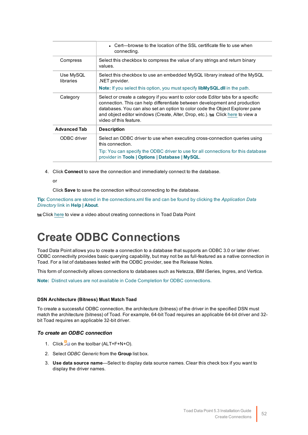|                        | • Cert—browse to the location of the SSL certificate file to use when<br>connecting.                                                                                                                                                                                                                                                                       |
|------------------------|------------------------------------------------------------------------------------------------------------------------------------------------------------------------------------------------------------------------------------------------------------------------------------------------------------------------------------------------------------|
| Compress               | Select this checkbox to compress the value of any strings and return binary<br>values.                                                                                                                                                                                                                                                                     |
| Use MySQL<br>libraries | Select this checkbox to use an embedded MySQL library instead of the MySQL<br>.NET provider.<br><b>Note:</b> If you select this option, you must specify <b>libMySQL.dll</b> in the path.                                                                                                                                                                  |
| Category               | Select or create a category if you want to color code Editor tabs for a specific<br>connection. This can help differentiate between development and production<br>databases. You can also set an option to color code the Object Explorer pane<br>and object editor windows (Create, Alter, Drop, etc.). to Click here to view a<br>video of this feature. |
| <b>Advanced Tab</b>    | <b>Description</b>                                                                                                                                                                                                                                                                                                                                         |
| ODBC driver            | Select an ODBC driver to use when executing cross-connection queries using<br>this connection.                                                                                                                                                                                                                                                             |
|                        | Tip: You can specify the ODBC driver to use for all connections for this database<br>provider in Tools   Options   Database   MySQL.                                                                                                                                                                                                                       |

4. Click **Connect** to save the connection and immediately connect to the database.

or

Click **Save** to save the connection without connecting to the database.

**Tip:** Connections are stored in the connections.xml file and can be found by clicking the *Application Data Directory* link in **Help | About**.

Click [here](http://www.toadworld.com/products/toad-data-point/m/media-library/646.aspx) to view a video about creating connections in Toad Data Point

# **Create ODBC Connections**

Toad Data Point allows you to create a connection to a database that supports an ODBC 3.0 or later driver. ODBC connectivity provides basic querying capability, but may not be as full-featured as a native connection in Toad. For a list of databases tested with the ODBC provider, see the Release Notes.

This form of connectivity allows connections to databases such as Netezza, IBM iSeries, Ingres, and Vertica.

**Note:** Distinct values are not available in Code Completion for ODBC connections.

#### **DSN Architecture (Bitness) Must Match Toad**

To create a successful ODBC connection, the architecture (bitness) of the driver in the specified DSN must match the architecture (bitness) of Toad. For example, 64-bit Toad requires an applicable 64-bit driver and 32 bit Toad requires an applicable 32-bit driver.

#### *To create an ODBC connection*

- 1. Click  $\frac{1}{2}$  on the toolbar (ALT+F+N+O).
- 2. Select *ODBC Generic* from the **Group** list box.
- 3. **Use data source name**—Select to display data source names. Clear this check box if you want to display the driver names.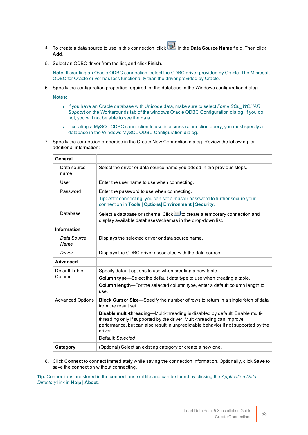- 4. To create a data source to use in this connection, click in the **Data Source Name** field. Then click **Add**.
- 5. Select an ODBC driver from the list, and click **Finish**.

**Note:** If creating an Oracle ODBC connection, select the ODBC driver provided by Oracle. The Microsoft ODBC for Oracle driver has less functionality than the driver provided by Oracle.

6. Specify the configuration properties required for the database in the Windows configuration dialog.

**Notes:**

- <sup>l</sup> If you have an Oracle database with Unicode data, make sure to select *Force SQL\_WCHAR Support* on the Workarounds tab of the windows Oracle ODBC Configuration dialog. If you do not, you will not be able to see the data.
- <sup>l</sup> If creating a MySQL ODBC connection to use in a cross-connection query, you must specify a database in the Windows MySQL ODBC Configuration dialog.
- 7. Specify the connection properties in the Create New Connection dialog. Review the following for additional information:

| General                 |                                                                                                                                                                                                                                                                               |
|-------------------------|-------------------------------------------------------------------------------------------------------------------------------------------------------------------------------------------------------------------------------------------------------------------------------|
| Data source<br>name     | Select the driver or data source name you added in the previous steps.                                                                                                                                                                                                        |
| User                    | Enter the user name to use when connecting.                                                                                                                                                                                                                                   |
| Password                | Enter the password to use when connecting.                                                                                                                                                                                                                                    |
|                         | Tip: After connecting, you can set a master password to further secure your<br>connection in Tools   Options  Environment   Security.                                                                                                                                         |
| Database                | Select a database or schema. Click <b>:</b> to create a temporary connection and<br>display available databases/schemas in the drop-down list.                                                                                                                                |
| <b>Information</b>      |                                                                                                                                                                                                                                                                               |
| Data Source<br>Name     | Displays the selected driver or data source name.                                                                                                                                                                                                                             |
| Driver                  | Displays the ODBC driver associated with the data source.                                                                                                                                                                                                                     |
| <b>Advanced</b>         |                                                                                                                                                                                                                                                                               |
| Default Table           | Specify default options to use when creating a new table.                                                                                                                                                                                                                     |
| Column                  | Column type-Select the default data type to use when creating a table.                                                                                                                                                                                                        |
|                         | Column length-For the selected column type, enter a default column length to<br>use.                                                                                                                                                                                          |
| <b>Advanced Options</b> | Block Cursor Size-Specify the number of rows to return in a single fetch of data<br>from the result set.                                                                                                                                                                      |
|                         | Disable multi-threading-Multi-threading is disabled by default. Enable multi-<br>threading only if supported by the driver. Multi-threading can improve<br>performance, but can also result in unpredictable behavior if not supported by the<br>driver.<br>Default: Selected |
| Category                | (Optional) Select an existing category or create a new one.                                                                                                                                                                                                                   |

8. Click **Connect** to connect immediately while saving the connection information. Optionally, click **Save** to save the connection without connecting.

**Tip:** Connections are stored in the connections.xml file and can be found by clicking the *Application Data Directory* link in **Help | About**.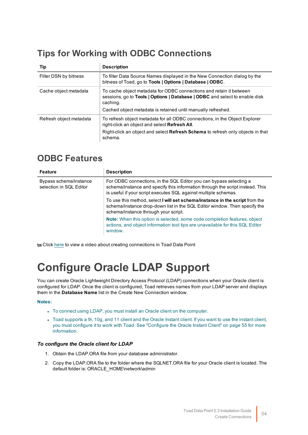# **Tips for Working with ODBC Connections**

| Tip                     | <b>Description</b>                                                                                                                                                                                                                |
|-------------------------|-----------------------------------------------------------------------------------------------------------------------------------------------------------------------------------------------------------------------------------|
| Filter DSN by bitness   | To filter Data Source Names displayed in the New Connection dialog by the<br>bitness of Toad, go to Tools   Options   Database   ODBC.                                                                                            |
| Cache object metadata   | To cache object metadata for ODBC connections and retain it between<br>sessions, go to Tools   Options   Database   ODBC and select to enable disk<br>caching.<br>Cached object metadata is retained until manually refreshed.    |
| Refresh object metadata | To refresh object metadata for all ODBC connections, in the Object Explorer<br>right-click an object and select Refresh All.<br>Right-click an object and select <b>Refresh Schema</b> to refresh only objects in that<br>schema. |

### **ODBC Features**

| <b>Feature</b>                                    | <b>Description</b>                                                                                                                                                                                                     |
|---------------------------------------------------|------------------------------------------------------------------------------------------------------------------------------------------------------------------------------------------------------------------------|
| Bypass schema/instance<br>selection in SQL Editor | For ODBC connections, in the SQL Editor you can bypass selecting a<br>schema/instance and specify this information through the script instead. This<br>is useful if your script executes SQL against multiple schemas. |
|                                                   | To use this method, select I will set schema/instance in the script from the<br>schema/instance drop-down list in the SQL Editor window. Then specify the<br>schema/instance through your script.                      |
|                                                   | <b>Note:</b> When this option is selected, some code completion features, object<br>actions, and object information tool tips are unavailable for this SQL Editor<br>window.                                           |

Click [here](http://www.toadworld.com/products/toad-data-point/m/media-library/646.aspx) to view a video about creating connections in Toad Data Point

# **Configure Oracle LDAP Support**

You can create Oracle Lightweight Directory Access Protocol (LDAP) connections when your Oracle client is configured for LDAP. Once the client is configured, Toad retrieves names from your LDAP server and displays them in the **Database Name** list in the Create New Connection window.

#### **Notes:**

- To connect using LDAP, you must install an Oracle client on the computer.
- Toad supports a 9i, 10g, and 11 client and the Oracle Instant client. If you want to use the instant client, you must configure it to work with Toad. See ["Configure](#page-55-0) the Oracle Instant Client" on page 55 for more [information.](#page-55-0)

#### *To configure the Oracle client for LDAP*

- 1. Obtain the LDAP.ORA file from your database administrator.
- 2. Copy the LDAP.ORA file to the folder where the SQLNET.ORA file for your Oracle client is located. The default folder is: ORACLE\_HOME\network\admin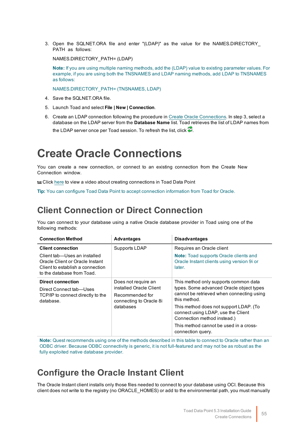3. Open the SQLNET.ORA file and enter "(LDAP)" as the value for the NAMES.DIRECTORY\_ PATH as follows:

NAMES.DIRECTORY\_PATH= (LDAP)

**Note:** If you are using multiple naming methods, add the (LDAP) value to existing parameter values. For example, if you are using both the TNSNAMES and LDAP naming methods, add LDAP to TNSNAMES as follows:

NAMES.DIRECTORY\_PATH= (TNSNAMES, LDAP)

- 4. Save the SQLNET.ORA file.
- 5. Launch Toad and select **File | New | Connection**.
- 6. Create an LDAP connection following the procedure in Create Oracle [Connections](#page-55-1). In step 3, select a database on the LDAP server from the **Database Name** list. Toad retrieves the list of LDAP names from the LDAP server once per Toad session. To refresh the list, click  $\ddot{\bullet}$ .

# <span id="page-55-1"></span>**Create Oracle Connections**

You can create a new connection, or connect to an existing connection from the Create New Connection window.

Click [here](http://www.toadworld.com/products/toad-data-point/m/media-library/646.aspx) to view a video about creating connections in Toad Data Point

**Tip:** You can configure Toad Data Point to accept connection information from Toad for Oracle.

### **Client Connection or Direct Connection**

You can connect to your database using a native Oracle database provider in Toad using one of the following methods:

| <b>Connection Method</b>                                                                                                          | <b>Advantages</b>                                                                                         | <b>Disadvantages</b>                                                                                                                                                                                                                                                                                                         |
|-----------------------------------------------------------------------------------------------------------------------------------|-----------------------------------------------------------------------------------------------------------|------------------------------------------------------------------------------------------------------------------------------------------------------------------------------------------------------------------------------------------------------------------------------------------------------------------------------|
| <b>Client connection</b>                                                                                                          | Supports LDAP                                                                                             | Requires an Oracle client                                                                                                                                                                                                                                                                                                    |
| Client tab-Uses an installed<br>Oracle Client or Oracle Instant<br>Client to establish a connection<br>to the database from Toad. |                                                                                                           | <b>Note:</b> Toad supports Oracle clients and<br>Oracle Instant clients using version 9i or<br>later.                                                                                                                                                                                                                        |
| <b>Direct connection</b><br>Direct Connect tab—Uses<br>TCP/IP to connect directly to the<br>database.                             | Does not require an<br>installed Oracle Client<br>Recommended for<br>connecting to Oracle 8i<br>databases | This method only supports common data<br>types. Some advanced Oracle object types<br>cannot be retrieved when connecting using<br>this method.<br>This method does not support LDAP. (To<br>connect using LDAP, use the Client<br>Connection method instead.)<br>This method cannot be used in a cross-<br>connection query. |

**Note:** Quest recommends using one of the methods described in this table to connect to Oracle rather than an ODBC driver. Because ODBC connectivity is generic, it is not full-featured and may not be as robust as the fully exploited native database provider.

### <span id="page-55-0"></span>**Configure the Oracle Instant Client**

The Oracle Instant client installs only those files needed to connect to your database using OCI. Because this client does not write to the registry (no ORACLE\_HOMES) or add to the environmental path, you must manually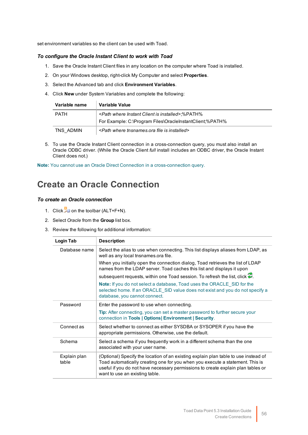set environment variables so the client can be used with Toad.

#### *To configure the Oracle Instant Client to work with Toad*

- 1. Save the Oracle Instant Client files in any location on the computer where Toad is installed.
- 2. On your Windows desktop, right-click My Computer and select **Properties**.
- 3. Select the Advanced tab and click **Environment Variables**.
- 4. Click **New** under System Variables and complete the following:

| Variable name                                                                         | Variable Value                                                    |  |
|---------------------------------------------------------------------------------------|-------------------------------------------------------------------|--|
| <path client="" installed="" instant="" is="" where="">:%PATH%<br/><b>PATH</b></path> |                                                                   |  |
|                                                                                       | For Example: C:\Program Files\OracleInstantClient:%PATH%          |  |
| TNS ADMIN                                                                             | <path file="" installed="" is="" tnsnames.ora="" where=""></path> |  |

5. To use the Oracle Instant Client connection in a cross-connection query, you must also install an Oracle ODBC driver. (While the Oracle Client *full* install includes an ODBC driver, the Oracle Instant Client does not.)

**Note:** You cannot use an Oracle Direct Connection in a cross-connection query.

### **Create an Oracle Connection**

#### *To create an Oracle connection*

- 1. Click  $\ddot{=}$  on the toolbar (ALT+F+N).
- 2. Select *Oracle* from the **Group** list box.
- 3. Review the following for additional information:

| Login Tab             | <b>Description</b>                                                                                                                                                                                                                                                                         |
|-----------------------|--------------------------------------------------------------------------------------------------------------------------------------------------------------------------------------------------------------------------------------------------------------------------------------------|
| Database name         | Select the alias to use when connecting. This list displays aliases from LDAP, as<br>well as any local tnsnames.ora file.                                                                                                                                                                  |
|                       | When you initially open the connection dialog, Toad retrieves the list of LDAP<br>names from the LDAP server. Toad caches this list and displays it upon                                                                                                                                   |
|                       | subsequent requests, within one Toad session. To refresh the list, click $\bullet$ .                                                                                                                                                                                                       |
|                       | <b>Note:</b> If you do not select a database, Toad uses the ORACLE SID for the<br>selected home. If an ORACLE SID value does not exist and you do not specify a<br>database, you cannot connect.                                                                                           |
| Password              | Enter the password to use when connecting.                                                                                                                                                                                                                                                 |
|                       | <b>Tip:</b> After connecting, you can set a master password to further secure your<br>connection in Tools   Options  Environment   Security.                                                                                                                                               |
| Connect as            | Select whether to connect as either SYSDBA or SYSOPER if you have the<br>appropriate permissions. Otherwise, use the default.                                                                                                                                                              |
| Schema                | Select a schema if you frequently work in a different schema than the one<br>associated with your user name.                                                                                                                                                                               |
| Explain plan<br>table | (Optional) Specify the location of an existing explain plan table to use instead of<br>Toad automatically creating one for you when you execute a statement. This is<br>useful if you do not have necessary permissions to create explain plan tables or<br>want to use an existing table. |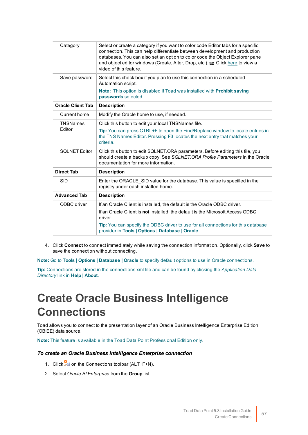| Category                 | Select or create a category if you want to color code Editor tabs for a specific<br>connection. This can help differentiate between development and production<br>databases. You can also set an option to color code the Object Explorer pane<br>and object editor windows (Create, Alter, Drop, etc.). to Click here to view a<br>video of this feature. |
|--------------------------|------------------------------------------------------------------------------------------------------------------------------------------------------------------------------------------------------------------------------------------------------------------------------------------------------------------------------------------------------------|
| Save password            | Select this check box if you plan to use this connection in a scheduled<br>Automation script.                                                                                                                                                                                                                                                              |
|                          | <b>Note:</b> This option is disabled if Toad was installed with <b>Prohibit saving</b><br>passwords selected.                                                                                                                                                                                                                                              |
| <b>Oracle Client Tab</b> | <b>Description</b>                                                                                                                                                                                                                                                                                                                                         |
| Current home             | Modify the Oracle home to use, if needed.                                                                                                                                                                                                                                                                                                                  |
| <b>TNSNames</b>          | Click this button to edit your local TNSNames file.                                                                                                                                                                                                                                                                                                        |
| Editor                   | Tip: You can press CTRL+F to open the Find/Replace window to locate entries in<br>the TNS Names Editor. Pressing F3 locates the next entry that matches your<br>criteria.                                                                                                                                                                                  |
| <b>SQLNET Editor</b>     | Click this button to edit SQLNET.ORA parameters. Before editing this file, you<br>should create a backup copy. See SQLNET.ORA Profile Parameters in the Oracle<br>documentation for more information.                                                                                                                                                      |
| <b>Direct Tab</b>        | <b>Description</b>                                                                                                                                                                                                                                                                                                                                         |
| <b>SID</b>               | Enter the ORACLE SID value for the database. This value is specified in the<br>registry under each installed home.                                                                                                                                                                                                                                         |
| <b>Advanced Tab</b>      | <b>Description</b>                                                                                                                                                                                                                                                                                                                                         |
| ODBC driver              | If an Oracle Client is installed, the default is the Oracle ODBC driver.                                                                                                                                                                                                                                                                                   |
|                          | If an Oracle Client is not installed, the default is the Microsoft Access ODBC<br>driver.                                                                                                                                                                                                                                                                  |
|                          | Tip: You can specify the ODBC driver to use for all connections for this database<br>provider in Tools   Options   Database   Oracle.                                                                                                                                                                                                                      |

4. Click **Connect** to connect immediately while saving the connection information. Optionally, click **Save** to save the connection without connecting.

**Note:** Go to **Tools | Options | Database | Oracle** to specify default options to use in Oracle connections.

**Tip:** Connections are stored in the connections.xml file and can be found by clicking the *Application Data Directory* link in **Help | About**.

# **Create Oracle Business Intelligence Connections**

Toad allows you to connect to the presentation layer of an Oracle Business Intelligence Enterprise Edition (OBIEE) data source.

**Note:** This feature is available in the Toad Data Point Professional Edition only.

#### *To create an Oracle Business Intelligence Enterprise connection*

- 1. Click  $\frac{1}{2}$  on the Connections toolbar (ALT+F+N).
- 2. Select *Oracle BI Enterprise* from the **Group** list.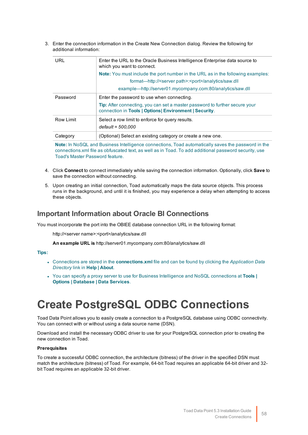3. Enter the connection information in the Create New Connection dialog. Review the following for additional information:

| URL       | Enter the URL to the Oracle Business Intelligence Enterprise data source to<br>which you want to connect.                                    |
|-----------|----------------------------------------------------------------------------------------------------------------------------------------------|
|           | <b>Note:</b> You must include the port number in the URL as in the following examples:                                                       |
|           | format—http:// <server path="">:<port>/analytics/saw.dll</port></server>                                                                     |
|           | example—http://server01.mycompany.com:80/analytics/saw.dll                                                                                   |
| Password  | Enter the password to use when connecting.                                                                                                   |
|           | <b>Tip:</b> After connecting, you can set a master password to further secure your<br>connection in Tools   Options  Environment   Security. |
| Row Limit | Select a row limit to enforce for query results.                                                                                             |
|           | $default = 500,000$                                                                                                                          |
| Category  | (Optional) Select an existing category or create a new one.                                                                                  |
|           |                                                                                                                                              |

**Note:** In NoSQL and Business Intelligence connections, Toad automatically saves the password in the connections.xml file as obfuscated text, as well as in Toad. To add additional password security, use Toad's Master Password feature.

- 4. Click **Connect** to connect immediately while saving the connection information. Optionally, click **Save** to save the connection without connecting.
- 5. Upon creating an initial connection, Toad automatically maps the data source objects. This process runs in the background, and until it is finished, you may experience a delay when attempting to access these objects.

### **Important Information about Oracle BI Connections**

You must incorporate the port into the OBIEE database connection URL in the following format:

http://<server name>:<port>/analytics/saw.dll

**An example URL is** http://server01.mycompany.com:80/analytics/saw.dll

#### **Tips:**

- <sup>l</sup> Connections are stored in the **connections.xml** file and can be found by clicking the *Application Data Directory* link in **Help | About**.
- <sup>l</sup> You can specify a proxy server to use for Business Intelligence and NoSQL connections at **Tools | Options | Database | Data Services**.

# **Create PostgreSQL ODBC Connections**

Toad Data Point allows you to easily create a connection to a PostgreSQL database using ODBC connectivity. You can connect with or without using a data source name (DSN).

Download and install the necessary ODBC driver to use for your PostgreSQL connection prior to creating the new connection in Toad.

#### **Prerequisites**

To create a successful ODBC connection, the architecture (bitness) of the driver in the specified DSN must match the architecture (bitness) of Toad. For example, 64-bit Toad requires an applicable 64-bit driver and 32 bit Toad requires an applicable 32-bit driver.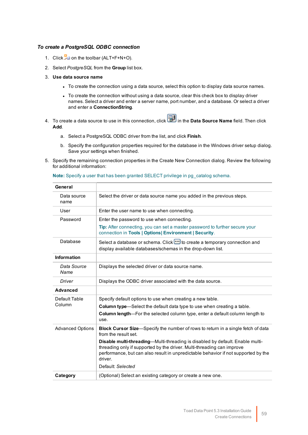#### *To create a PostgreSQL ODBC connection*

- 1. Click  $\frac{11}{24}$  on the toolbar (ALT+F+N+O).
- 2. Select *PostgreSQL* from the **Group** list box.
- 3. **Use data source name**
	- To create the connection using a data source, select this option to display data source names.
	- To create the connection without using a data source, clear this check box to display driver names. Select a driver and enter a server name, port number, and a database. Or select a driver and enter a **ConnectionString**.
- 4. To create a data source to use in this connection, click in the **Data Source Name** field. Then click **Add**.
	- a. Select a PostgreSQL ODBC driver from the list, and click **Finish**.
	- b. Specify the configuration properties required for the database in the Windows driver setup dialog. Save your settings when finished.
- 5. Specify the remaining connection properties in the Create New Connection dialog. Review the following for additional information:

**Note:** Specify a user that has been granted SELECT privilege in pg\_catalog schema.

| General                 |                                                                                                                                                                                                                                                          |
|-------------------------|----------------------------------------------------------------------------------------------------------------------------------------------------------------------------------------------------------------------------------------------------------|
| Data source<br>name     | Select the driver or data source name you added in the previous steps.                                                                                                                                                                                   |
| User                    | Enter the user name to use when connecting.                                                                                                                                                                                                              |
| Password                | Enter the password to use when connecting.                                                                                                                                                                                                               |
|                         | Tip: After connecting, you can set a master password to further secure your<br>connection in Tools   Options  Environment   Security.                                                                                                                    |
| Database                | Select a database or schema. Click <b>b</b> to create a temporary connection and<br>display available databases/schemas in the drop-down list.                                                                                                           |
| <b>Information</b>      |                                                                                                                                                                                                                                                          |
| Data Source<br>Name     | Displays the selected driver or data source name.                                                                                                                                                                                                        |
| Driver                  | Displays the ODBC driver associated with the data source.                                                                                                                                                                                                |
| <b>Advanced</b>         |                                                                                                                                                                                                                                                          |
| Default Table           | Specify default options to use when creating a new table.                                                                                                                                                                                                |
| Column                  | Column type-Select the default data type to use when creating a table.                                                                                                                                                                                   |
|                         | Column length-For the selected column type, enter a default column length to<br>use.                                                                                                                                                                     |
| <b>Advanced Options</b> | <b>Block Cursor Size</b> —Specify the number of rows to return in a single fetch of data<br>from the result set.                                                                                                                                         |
|                         | Disable multi-threading-Multi-threading is disabled by default. Enable multi-<br>threading only if supported by the driver. Multi-threading can improve<br>performance, but can also result in unpredictable behavior if not supported by the<br>driver. |
|                         | Default: Selected                                                                                                                                                                                                                                        |
| Category                | (Optional) Select an existing category or create a new one.                                                                                                                                                                                              |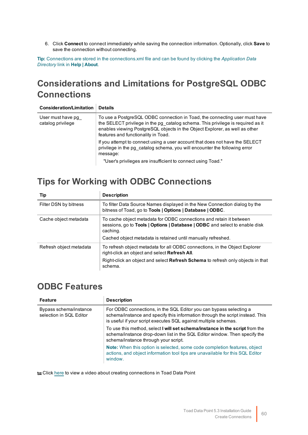6. Click **Connect** to connect immediately while saving the connection information. Optionally, click **Save** to save the connection without connecting.

**Tip:** Connections are stored in the connections.xml file and can be found by clicking the *Application Data Directory* link in **Help | About**.

## **Considerations and Limitations for PostgreSQL ODBC Connections**

| <b>Consideration/Limitation</b>        | <b>Details</b>                                                                                                                                                                                                                                                                      |
|----------------------------------------|-------------------------------------------------------------------------------------------------------------------------------------------------------------------------------------------------------------------------------------------------------------------------------------|
| User must have pg<br>catalog privilege | To use a PostgreSQL ODBC connection in Toad, the connecting user must have<br>the SELECT privilege in the pg catalog schema. This privilege is required as it<br>enables viewing PostgreSQL objects in the Object Explorer, as well as other<br>features and functionality in Toad. |
|                                        | If you attempt to connect using a user account that does not have the SELECT<br>privilege in the pg catalog schema, you will encounter the following error<br>message:                                                                                                              |
|                                        | "User's privileges are insufficient to connect using Toad."                                                                                                                                                                                                                         |

## **Tips for Working with ODBC Connections**

| <b>Tip</b>              | <b>Description</b>                                                                                                                                                                                                             |
|-------------------------|--------------------------------------------------------------------------------------------------------------------------------------------------------------------------------------------------------------------------------|
| Filter DSN by bitness   | To filter Data Source Names displayed in the New Connection dialog by the<br>bitness of Toad, go to Tools   Options   Database   ODBC.                                                                                         |
| Cache object metadata   | To cache object metadata for ODBC connections and retain it between<br>sessions, go to Tools   Options   Database   ODBC and select to enable disk<br>caching.<br>Cached object metadata is retained until manually refreshed. |
| Refresh object metadata | To refresh object metadata for all ODBC connections, in the Object Explorer<br>right-click an object and select Refresh All.<br>Right-click an object and select Refresh Schema to refresh only objects in that<br>schema.     |

### **ODBC Features**

| <b>Feature</b>                                    | <b>Description</b>                                                                                                                                                                                                     |
|---------------------------------------------------|------------------------------------------------------------------------------------------------------------------------------------------------------------------------------------------------------------------------|
| Bypass schema/instance<br>selection in SQL Editor | For ODBC connections, in the SQL Editor you can bypass selecting a<br>schema/instance and specify this information through the script instead. This<br>is useful if your script executes SQL against multiple schemas. |
|                                                   | To use this method, select I will set schema/instance in the script from the<br>schema/instance drop-down list in the SQL Editor window. Then specify the<br>schema/instance through your script.                      |
|                                                   | <b>Note:</b> When this option is selected, some code completion features, object<br>actions, and object information tool tips are unavailable for this SQL Editor<br>window.                                           |

Click [here](http://www.toadworld.com/products/toad-data-point/m/media-library/646.aspx) to view a video about creating connections in Toad Data Point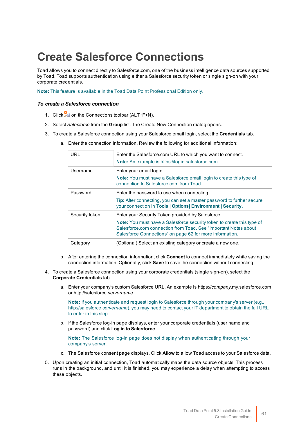# **Create Salesforce Connections**

Toad allows you to connect directly to Salesforce.com, one of the business intelligence data sources supported by Toad. Toad supports authentication using either a Salesforce security token or single sign-on with your corporate credentials.

**Note:** This feature is available in the Toad Data Point Professional Edition only.

#### *To create a Salesforce connection*

- 1. Click  $\ddot{=}$  on the Connections toolbar (ALT+F+N).
- 2. Select *Salesforce* from the **Group** list. The Create New Connection dialog opens.
- 3. To create a Salesforce connection using your Salesforce email login, select the **Credentials** tab.

| URL            | Enter the Salesforce.com URL to which you want to connect.                                                                                                                                                    |
|----------------|---------------------------------------------------------------------------------------------------------------------------------------------------------------------------------------------------------------|
|                | Note: An example is https://login.salesforce.com.                                                                                                                                                             |
| Username       | Enter your email login.                                                                                                                                                                                       |
|                | <b>Note:</b> You must have a Salesforce email login to create this type of<br>connection to Salesforce com from Toad.                                                                                         |
| Password       | Enter the password to use when connecting.                                                                                                                                                                    |
|                | <b>Tip:</b> After connecting, you can set a master password to further secure<br>your connection in Tools   Options  Environment   Security.                                                                  |
| Security token | Enter your Security Token provided by Salesforce.                                                                                                                                                             |
|                | <b>Note:</b> You must have a Salesforce security token to create this type of<br>Salesforce.com connection from Toad. See "Important Notes about"<br>Salesforce Connections" on page 62 for more information. |
| Category       | (Optional) Select an existing category or create a new one.                                                                                                                                                   |

a. Enter the connection information. Review the following for additional information:

- b. After entering the connection information, click **Connect** to connect immediately while saving the connection information. Optionally, click **Save** to save the connection without connecting.
- 4. To create a Salesforce connection using your corporate credentials (single sign-on), select the **Corporate Credentials** tab.
	- a. Enter your company's custom Salesforce URL. An example is https://*company*.my.salesforce.com or http://salesforce.*servername*.

**Note:** If you authenticate and request login to Salesforce through your company's server (e.g., http://salesforce.*servername*), you may need to contact your IT department to obtain the full URL to enter in this step.

b. If the Salesforce log-in page displays, enter your corporate credentials (user name and password) and click **Log in to Salesforce**.

**Note:** The Salesforce log-in page does not display when authenticating through your company's server.

- c. The Salesforce consent page displays. Click **Allow** to allow Toad access to your Salesforce data.
- 5. Upon creating an initial connection, Toad automatically maps the data source objects. This process runs in the background, and until it is finished, you may experience a delay when attempting to access these objects.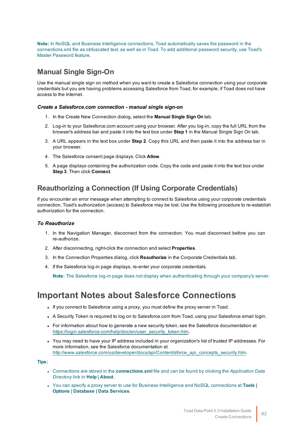**Note:** In NoSQL and Business Intelligence connections, Toad automatically saves the password in the connections.xml file as obfuscated text, as well as in Toad. To add additional password security, use Toad's Master Password feature.

### **Manual Single Sign-On**

Use the manual single sign on method when you want to create a Salesforce connection using your corporate credentials but you are having problems accessing Salesforce from Toad, for example, if Toad does not have access to the Internet.

#### *Create a Salesforce.com connection - manual single sign-on*

- 1. In the Create New Connection dialog, select the **Manual Single Sign On** tab.
- 2. Log-in to your Salesforce.com account using your browser. After you log-in, copy the full URL from the browser's address bar and paste it into the text box under **Step 1** in the Manual Single Sign On tab.
- 3. A URL appears in the text box under **Step 2**. Copy this URL and then paste it into the address bar in your browser.
- 4. The Salesforce consent page displays. Click **Allow**.
- 5. A page displays containing the authorization code. Copy the code and paste it into the text box under **Step 3**. Then click **Connect**.

### **Reauthorizing a Connection (If Using Corporate Credentials)**

If you encounter an error message when attempting to connect to Salesforce using your corporate credentials connection, Toad's authorization (access) to Salesforce may be lost. Use the following procedure to re-establish authorization for the connection.

#### *To Reauthorize*

- 1. In the Navigation Manager, disconnect from the connection. You must disconnect before you can re-authorize.
- 2. After disconnecting, right-click the connection and select **Properties**.
- 3. In the Connection Properties dialog, click **Reauthorize** in the Corporate Credentials tab.
- 4. If the Salesforce log-in page displays, re-enter your corporate credentials.

**Note:** The Salesforce log-in page does not display when authenticating through your company's server.

### <span id="page-62-0"></span>**Important Notes about Salesforce Connections**

- If you connect to Salesforce using a proxy, you must define the proxy server in Toad.
- A Security Token is required to log on to Salesforce.com from Toad, using your Salesforce email login.
- For information about how to generate a new security token, see the Salesforce documentation at [https://login.salesforce.com/help/doc/en/user\\_security\\_token.htm](https://login.salesforce.com/help/doc/en/user_security_token.htm).
- You may need to have your IP address included in your organization's list of trusted IP addresses. For more information, see the Salesforce documentation at [http://www.salesforce.com/us/developer/docs/api/Content/sforce\\_api\\_concepts\\_security.htm.](http://www.salesforce.com/us/developer/docs/api/Content/sforce_api_concepts_security.htm)

**Tips:**

- <sup>l</sup> Connections are stored in the **connections.xml** file and can be found by clicking the *Application Data Directory* link in **Help | About**.
- <sup>l</sup> You can specify a proxy server to use for Business Intelligence and NoSQL connections at **Tools | Options | Database | Data Services**.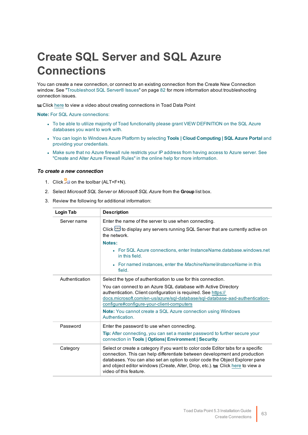# **Create SQL Server and SQL Azure Connections**

You can create a new connection, or connect to an existing connection from the Create New Connection window. See ["Troubleshoot](#page-82-0) SQL Server® Issues" on page 82 for more information about troubleshooting connection issues.

Click [here](http://www.toadworld.com/products/toad-data-point/m/media-library/646.aspx) to view a video about creating connections in Toad Data Point

**Note:** For SQL Azure connections:

- To be able to utilize majority of Toad functionality please grant VIEW DEFINITION on the SQL Azure databases you want to work with.
- <sup>l</sup> You can login to Windows Azure Platform by selecting **Tools | Cloud Computing | SQL Azure Portal** and providing your credentials.
- Make sure that no Azure firewall rule restricts your IP address from having access to Azure server. See "Create and Alter Azure Firewall Rules" in the online help for more information.

#### *To create a new connection*

- 1. Click  $\frac{12}{3}$  on the toolbar (ALT+F+N).
- 2. Select *Microsoft SQL Server* or *Microsoft SQL Azure* from the **Group** list box.
- 3. Review the following for additional information:

| Login Tab      | <b>Description</b>                                                                                                                                                                                                                                                                                                                                         |
|----------------|------------------------------------------------------------------------------------------------------------------------------------------------------------------------------------------------------------------------------------------------------------------------------------------------------------------------------------------------------------|
| Server name    | Enter the name of the server to use when connecting.                                                                                                                                                                                                                                                                                                       |
|                | Click <b>bu</b> to display any servers running SQL Server that are currently active on<br>the network                                                                                                                                                                                                                                                      |
|                | Notes:                                                                                                                                                                                                                                                                                                                                                     |
|                | • For SQL Azure connections, enter InstanceName.database.windows.net<br>in this field.                                                                                                                                                                                                                                                                     |
|                | • For named instances, enter the MachineName\InstanceName in this<br>field.                                                                                                                                                                                                                                                                                |
| Authentication | Select the type of authentication to use for this connection.                                                                                                                                                                                                                                                                                              |
|                | You can connect to an Azure SQL database with Active Directory<br>authentication. Client configuration is required. See https://<br>docs.microsoft.com/en-us/azure/sql-database/sql-database-aad-authentication-<br>configure#configure-your-client-computers<br><b>Note:</b> You cannot create a SQL Azure connection using Windows                       |
|                | Authentication.                                                                                                                                                                                                                                                                                                                                            |
| Password       | Enter the password to use when connecting.                                                                                                                                                                                                                                                                                                                 |
|                | Tip: After connecting, you can set a master password to further secure your<br>connection in Tools   Options  Environment   Security.                                                                                                                                                                                                                      |
| Category       | Select or create a category if you want to color code Editor tabs for a specific<br>connection. This can help differentiate between development and production<br>databases. You can also set an option to color code the Object Explorer pane<br>and object editor windows (Create, Alter, Drop, etc.). to Click here to view a<br>video of this feature. |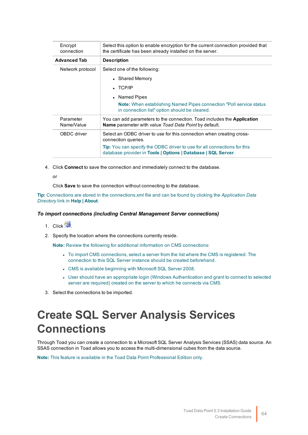| Encrypt<br>connection   | Select this option to enable encryption for the current connection provided that<br>the certificate has been already installed on the server.    |
|-------------------------|--------------------------------------------------------------------------------------------------------------------------------------------------|
| <b>Advanced Tab</b>     | <b>Description</b>                                                                                                                               |
| Network protocol        | Select one of the following:                                                                                                                     |
|                         | • Shared Memory                                                                                                                                  |
|                         | $\cdot$ TCP/IP                                                                                                                                   |
|                         | • Named Pipes                                                                                                                                    |
|                         | <b>Note:</b> When establishing Named Pipes connection "Poll service status"<br>in connection list" option should be cleared.                     |
| Parameter<br>Name/Value | You can add parameters to the connection. Toad includes the <b>Application</b><br><b>Name</b> parameter with value Toad Data Point by default.   |
| OBDC driver             | Select an ODBC driver to use for this connection when creating cross-<br>connection queries.                                                     |
|                         | <b>Tip:</b> You can specify the ODBC driver to use for all connections for this<br>database provider in Tools   Options   Database   SQL Server. |

4. Click **Connect** to save the connection and immediately connect to the database.

or

Click **Save** to save the connection without connecting to the database.

**Tip:** Connections are stored in the connections.xml file and can be found by clicking the *Application Data Directory* link in **Help | About**.

#### *To import connections (including Central Management Server connections)*

#### 1. Click  $\frac{4}{3}$

2. Specify the location where the connections currently reside.

**Note:** Review the following for additional information on CMS connections:

- To import CMS connections, select a server from the list where the CMS is registered. The connection to this SQL Server instance should be created beforehand.
- CMS is available beginning with Microsoft SQL Server 2008.
- User should have an appropriate login (Windows Authentication and grant to connect to selected server are required) created on the server to which he connects via CMS.
- 3. Select the connections to be imported.

# **Create SQL Server Analysis Services Connections**

Through Toad you can create a connection to a Microsoft SQL Server Analysis Services (SSAS) data source. An SSAS connection in Toad allows you to access the multi-dimensional cubes from the data source.

**Note:** This feature is available in the Toad Data Point Professional Edition only.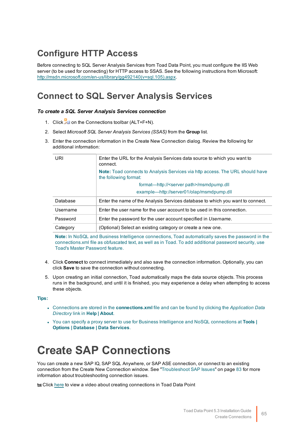# **Configure HTTP Access**

Before connecting to SQL Server Analysis Services from Toad Data Point, you must configure the IIS Web server (to be used for connecting) for HTTP access to SSAS. See the following instructions from Microsoft: [http://msdn.microsoft.com/en-us/library/gg492140\(v=sql.105\).aspx.](http://msdn.microsoft.com/en-us/library/gg492140(v=sql.105).aspx)

## **Connect to SQL Server Analysis Services**

#### *To create a SQL Server Analysis Services connection*

- 1. Click **the Connections toolbar (ALT+F+N).**
- 2. Select *Microsoft SQL Server Analysis Services (SSAS)* from the **Group** list.
- 3. Enter the connection information in the Create New Connection dialog. Review the following for additional information:

| URI      | Enter the URL for the Analysis Services data source to which you want to<br>connect.                          |
|----------|---------------------------------------------------------------------------------------------------------------|
|          | <b>Note:</b> Toad connects to Analysis Services via http access. The URL should have<br>the following format: |
|          | format—http:// <server.path>/msmdpump.dll</server.path>                                                       |
|          | example—http://server01/olap/msmdpump.dll                                                                     |
| Database | Enter the name of the Analysis Services database to which you want to connect.                                |
| Username | Enter the user name for the user account to be used in this connection.                                       |
| Password | Enter the password for the user account specified in Username.                                                |
| Category | (Optional) Select an existing category or create a new one.                                                   |

**Note:** In NoSQL and Business Intelligence connections, Toad automatically saves the password in the connections.xml file as obfuscated text, as well as in Toad. To add additional password security, use Toad's Master Password feature.

- 4. Click **Connect** to connect immediately and also save the connection information. Optionally, you can click **Save** to save the connection without connecting.
- 5. Upon creating an initial connection, Toad automatically maps the data source objects. This process runs in the background, and until it is finished, you may experience a delay when attempting to access these objects.

**Tips:**

- <sup>l</sup> Connections are stored in the **connections.xml** file and can be found by clicking the *Application Data Directory* link in **Help | About**.
- <sup>l</sup> You can specify a proxy server to use for Business Intelligence and NoSQL connections at **Tools | Options | Database | Data Services**.

# **Create SAP Connections**

You can create a new SAP IQ, SAP SQL Anywhere, or SAP ASE connection, or connect to an existing connection from the Create New Connection window. See ["Troubleshoot](#page-83-0) SAP Issues" on page 83 for more [information](#page-83-0) about troubleshooting connection issues.

**to Click** [here](http://www.toadworld.com/products/toad-data-point/m/media-library/646.aspx) to view a video about creating connections in Toad Data Point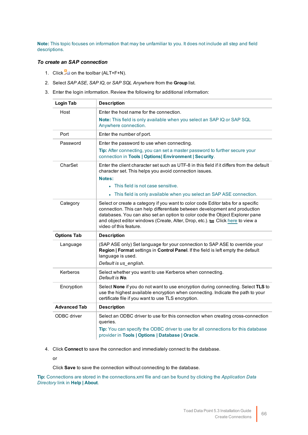**Note:** This topic focuses on information that may be unfamiliar to you. It does not include all step and field descriptions.

#### *To create an SAP connection*

- 1. Click  $\frac{10}{24}$  on the toolbar (ALT+F+N).
- 2. Select *SAP ASE*, *SAP IQ*, or *SAP SQL Anywhere* from the **Group** list.
- 3. Enter the login information. Review the following for additional information:

| <b>Login Tab</b>    | <b>Description</b>                                                                                                                                                                                                                                                                                                                                         |
|---------------------|------------------------------------------------------------------------------------------------------------------------------------------------------------------------------------------------------------------------------------------------------------------------------------------------------------------------------------------------------------|
| Host                | Enter the host name for the connection.                                                                                                                                                                                                                                                                                                                    |
|                     | Note: This field is only available when you select an SAP IQ or SAP SQL<br>Anywhere connection.                                                                                                                                                                                                                                                            |
| Port                | Enter the number of port.                                                                                                                                                                                                                                                                                                                                  |
| Password            | Enter the password to use when connecting.                                                                                                                                                                                                                                                                                                                 |
|                     | Tip: After connecting, you can set a master password to further secure your<br>connection in Tools   Options  Environment   Security.                                                                                                                                                                                                                      |
| CharSet             | Enter the client character set such as UTF-8 in this field if it differs from the default<br>character set. This helps you avoid connection issues.                                                                                                                                                                                                        |
|                     | Notes:<br>• This field is not case sensitive.                                                                                                                                                                                                                                                                                                              |
|                     | • This field is only available when you select an SAP ASE connection.                                                                                                                                                                                                                                                                                      |
|                     |                                                                                                                                                                                                                                                                                                                                                            |
| Category            | Select or create a category if you want to color code Editor tabs for a specific<br>connection. This can help differentiate between development and production<br>databases. You can also set an option to color code the Object Explorer pane<br>and object editor windows (Create, Alter, Drop, etc.). to Click here to view a<br>video of this feature. |
| <b>Options Tab</b>  | <b>Description</b>                                                                                                                                                                                                                                                                                                                                         |
| Language            | (SAP ASE only) Set language for your connection to SAP ASE to override your<br>Region   Format settings in Control Panel. If the field is left empty the default<br>language is used.<br>Default is us_english.                                                                                                                                            |
| Kerberos            | Select whether you want to use Kerberos when connecting.<br>Default is No.                                                                                                                                                                                                                                                                                 |
| Encryption          | Select None if you do not want to use encryption during connecting. Select TLS to<br>use the highest available encryption when connecting. Indicate the path to your<br>certificate file if you want to use TLS encryption.                                                                                                                                |
| <b>Advanced Tab</b> | <b>Description</b>                                                                                                                                                                                                                                                                                                                                         |
| ODBC driver         | Select an ODBC driver to use for this connection when creating cross-connection<br>queries.                                                                                                                                                                                                                                                                |
|                     | Tip: You can specify the ODBC driver to use for all connections for this database<br>provider in Tools   Options   Database   Oracle.                                                                                                                                                                                                                      |

4. Click **Connect** to save the connection and immediately connect to the database.

or

Click **Save** to save the connection without connecting to the database.

**Tip:** Connections are stored in the connections.xml file and can be found by clicking the *Application Data Directory* link in **Help | About**.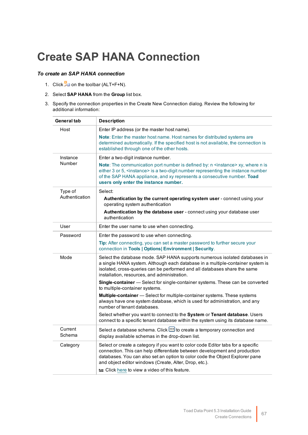# **Create SAP HANA Connection**

#### *To create an SAP HANA connection*

- 1. Click  $\frac{1}{2}$  on the toolbar (ALT+F+N).
- 2. Select **SAP HANA** from the **Group** list box.
- 3. Specify the connection properties in the Create New Connection dialog. Review the following for additional information:

| <b>Description</b>                                                                                                                                                                                                                                                                                                                                      |
|---------------------------------------------------------------------------------------------------------------------------------------------------------------------------------------------------------------------------------------------------------------------------------------------------------------------------------------------------------|
| Enter IP address (or the master host name).                                                                                                                                                                                                                                                                                                             |
| Note: Enter the master host name. Host names for distributed systems are<br>determined automatically. If the specified host is not available, the connection is<br>established through one of the other hosts.                                                                                                                                          |
| Enter a two-digit instance number.                                                                                                                                                                                                                                                                                                                      |
| Note: The communication port number is defined by: n <instance> xy, where n is<br/>either 3 or 5, <instance> is a two-digit number representing the instance number<br/>of the SAP HANA appliance, and xy represents a consecutive number. Toad<br/>users only enter the instance number.</instance></instance>                                         |
| Select:                                                                                                                                                                                                                                                                                                                                                 |
| Authentication by the current operating system user - connect using your<br>operating system authentication                                                                                                                                                                                                                                             |
| Authentication by the database user - connect using your database user<br>authentication                                                                                                                                                                                                                                                                |
| Enter the user name to use when connecting.                                                                                                                                                                                                                                                                                                             |
| Enter the password to use when connecting.                                                                                                                                                                                                                                                                                                              |
| Tip: After connecting, you can set a master password to further secure your<br>connection in Tools   Options  Environment   Security.                                                                                                                                                                                                                   |
| Select the database mode. SAP HANA supports numerous isolated databases in<br>a single HANA system. Although each database in a multiple-container system is<br>isolated, cross-queries can be performed and all databases share the same<br>installation, resources, and administration.                                                               |
| Single-container - Select for single-container systems. These can be converted<br>to multiple-container systems.                                                                                                                                                                                                                                        |
| Multiple-container - Select for multiple-container systems. These systems<br>always have one system database, which is used for administration, and any<br>number of tenant databases.                                                                                                                                                                  |
| Select whether you want to connect to the System or Tenant database. Users<br>connect to a specific tenant database within the system using its database name.                                                                                                                                                                                          |
| Select a database schema. Click <b>:</b> do create a temporary connection and<br>display available schemas in the drop-down list.                                                                                                                                                                                                                       |
| Select or create a category if you want to color code Editor tabs for a specific<br>connection. This can help differentiate between development and production<br>databases. You can also set an option to color code the Object Explorer pane<br>and object editor windows (Create, Alter, Drop, etc.).<br>Click here to view a video of this feature. |
|                                                                                                                                                                                                                                                                                                                                                         |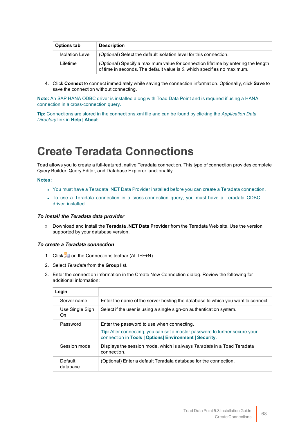| <b>Options tab</b>     | <b>Description</b>                                                                                                                                           |
|------------------------|--------------------------------------------------------------------------------------------------------------------------------------------------------------|
| <b>Isolation Level</b> | (Optional) Select the default isolation level for this connection.                                                                                           |
| Lifetime               | (Optional) Specify a maximum value for connection lifetime by entering the length<br>of time in seconds. The default value is 0, which specifies no maximum. |

4. Click **Connect** to connect immediately while saving the connection information. Optionally, click **Save** to save the connection without connecting.

**Note:** An SAP HANA ODBC driver is installed along with Toad Data Point and is required if using a HANA connection in a cross-connection query.

**Tip:** Connections are stored in the connections.xml file and can be found by clicking the *Application Data Directory* link in **Help | About**.

# **Create Teradata Connections**

Toad allows you to create a full-featured, native Teradata connection. This type of connection provides complete Query Builder, Query Editor, and Database Explorer functionality.

#### **Notes:**

- You must have a Teradata .NET Data Provider installed before you can create a Teradata connection.
- To use a Teradata connection in a cross-connection query, you must have a Teradata ODBC driver installed.

#### *To install the Teradata data provider*

» Download and install the **Teradata .NET Data Provider** from the Teradata Web site. Use the version supported by your database version.

#### *To create a Teradata connection*

- 1. Click **the Connections toolbar (ALT+F+N).**
- 2. Select *Teradata* from the **Group** list.
- 3. Enter the connection information in the Create New Connection dialog. Review the following for additional information:

| Enter the name of the server hosting the database to which you want to connect.                                                              |
|----------------------------------------------------------------------------------------------------------------------------------------------|
| Select if the user is using a single sign-on authentication system.                                                                          |
| Enter the password to use when connecting.                                                                                                   |
| <b>Tip:</b> After connecting, you can set a master password to further secure your<br>connection in Tools   Options  Environment   Security. |
| Displays the session mode, which is always Teradata in a Toad Teradata<br>connection.                                                        |
| (Optional) Enter a default Teradata database for the connection.                                                                             |
|                                                                                                                                              |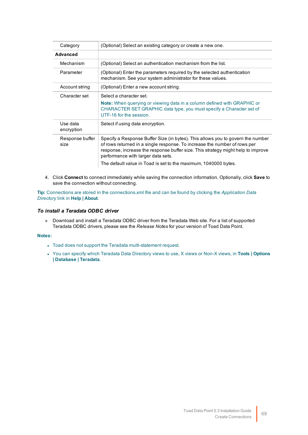| Category                | (Optional) Select an existing category or create a new one.                                                                                                                                                                                                                                                                                               |
|-------------------------|-----------------------------------------------------------------------------------------------------------------------------------------------------------------------------------------------------------------------------------------------------------------------------------------------------------------------------------------------------------|
| <b>Advanced</b>         |                                                                                                                                                                                                                                                                                                                                                           |
| Mechanism               | (Optional) Select an authentication mechanism from the list.                                                                                                                                                                                                                                                                                              |
| Parameter               | (Optional) Enter the parameters required by the selected authentication<br>mechanism. See your system administrator for these values.                                                                                                                                                                                                                     |
| Account string          | (Optional) Enter a new account string.                                                                                                                                                                                                                                                                                                                    |
| Character set           | Select a character set.                                                                                                                                                                                                                                                                                                                                   |
|                         | <b>Note:</b> When querying or viewing data in a column defined with GRAPHIC or<br>CHARACTER SET GRAPHIC data type, you must specify a Character set of<br>UTF-16 for the session.                                                                                                                                                                         |
| Use data<br>encryption  | Select if using data encryption.                                                                                                                                                                                                                                                                                                                          |
| Response buffer<br>size | Specify a Response Buffer Size (in bytes). This allows you to govern the number<br>of rows returned in a single response. To increase the number of rows per<br>response, increase the response buffer size. This strategy might help to improve<br>performance with larger data sets.<br>The default value in Toad is set to the maximum, 1040000 bytes. |

4. Click **Connect** to connect immediately while saving the connection information. Optionally, click **Save** to save the connection without connecting.

**Tip:** Connections are stored in the connections.xml file and can be found by clicking the *Application Data Directory* link in **Help | About**.

#### *To install a Teradata ODBC driver*

» Download and install a Teradata ODBC driver from the Teradata Web site. For a list of supported Teradata ODBC drivers, please see the *Release Notes* for your version of Toad Data Point.

#### **Notes:**

- Toad does not support the Teradata multi-statement request.
- <sup>l</sup> You can specify which Teradata Data Directory views to use, X views or Non-X views, in **Tools | Options | Database | Teradata**.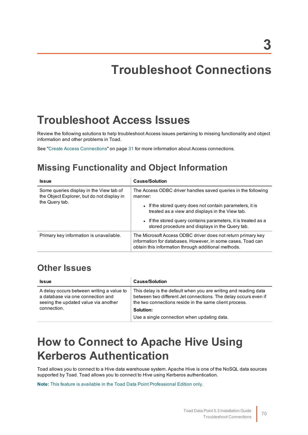# **Troubleshoot Connections**

# **Troubleshoot Access Issues**

Review the following solutions to help troubleshoot Access issues pertaining to missing functionality and object information and other problems in Toad.

See "Create Access [Connections"](#page-31-0) on page 31 for more information about Access connections.

## **Missing Functionality and Object Information**

| <b>Issue</b>                                                                                            | <b>Cause/Solution</b>                                                                                                                                                                                                                                    |
|---------------------------------------------------------------------------------------------------------|----------------------------------------------------------------------------------------------------------------------------------------------------------------------------------------------------------------------------------------------------------|
| Some queries display in the View tab of<br>the Object Explorer, but do not display in<br>the Query tab. | The Access ODBC driver handles saved queries in the following<br>manner:<br>• If the stored query does not contain parameters, it is<br>treated as a view and displays in the View tab.<br>• If the stored query contains parameters, it is treated as a |
|                                                                                                         | stored procedure and displays in the Query tab.                                                                                                                                                                                                          |
| Primary key information is unavailable.                                                                 | The Microsoft Access ODBC driver does not return primary key<br>information for databases. However, in some cases, Toad can<br>obtain this information through additional methods.                                                                       |

### **Other Issues**

| <b>Issue</b>                                                                                                                          | <b>Cause/Solution</b>                                                                                                                                                                        |
|---------------------------------------------------------------------------------------------------------------------------------------|----------------------------------------------------------------------------------------------------------------------------------------------------------------------------------------------|
| A delay occurs between writing a value to<br>a database via one connection and<br>seeing the updated value via another<br>connection. | This delay is the default when you are writing and reading data<br>between two different Jet connections. The delay occurs even if<br>the two connections reside in the same client process. |
|                                                                                                                                       | Solution:                                                                                                                                                                                    |
|                                                                                                                                       | Use a single connection when updating data.                                                                                                                                                  |

# **How to Connect to Apache Hive Using Kerberos Authentication**

Toad allows you to connect to a Hive data warehouse system. Apache Hive is one of the NoSQL data sources supported by Toad. Toad allows you to connect to Hive using Kerberos authentication.

**Note:** This feature is available in the Toad Data Point Professional Edition only.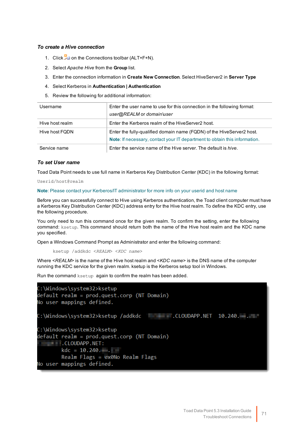#### *To create a Hive connection*

- 1. Click **the Connections toolbar (ALT+F+N).**
- 2. Select *Apache Hive* from the **Group** list.
- 3. Enter the connection information in **Create New Connection**. Select HiveServer2 in **Server Type**
- 4. Select Kerberos in **Authentication | Authentication**
- 5. Review the following for additional information:

| Username        | Enter the user name to use for this connection in the following format:<br>user@REALM or domain\user                                                |
|-----------------|-----------------------------------------------------------------------------------------------------------------------------------------------------|
| Hive host realm | Enter the Kerberos realm of the HiveServer2 host.                                                                                                   |
| Hive host FQDN  | Enter the fully-qualified domain name (FQDN) of the HiveServer2 host.<br>Note: If necessary, contact your IT department to obtain this information. |
| Service name    | Enter the service name of the Hive server. The default is hive.                                                                                     |

#### *To set User name*

Toad Data Point needs to use full name in Kerberos Key Distribution Center (KDC) in the following format:

Userid/host@realm

**Note**: Please contact your Kerberos/IT administrator for more info on your userid and host name

Before you can successfully connect to Hive using Kerberos authentication, the Toad client computer must have a Kerberos Key Distribution Center (KDC) address entry for the Hive host realm. To define the KDC entry, use the following procedure.

You only need to run this command once for the given realm. To confirm the setting, enter the following command: ksetup. This command should return both the name of the Hive host realm and the KDC name you specified.

Open a Windows Command Prompt as Administrator and enter the following command:

ksetup /addkdc <*REALM*> <*KDC name*>

Where <*REALM*> is the name of the Hive host realm and <*KDC name*> is the DNS name of the computer running the KDC service for the given realm. ksetup is the Kerberos setup tool in Windows.

Run the command ksetup again to confirm the realm has been added.

```
C:\Windows\system32>ksetup
default realm = prod.quest.corp (NT Domain)
No user mappings defined.
C:\Windows\system32>ksetup
default realm = prod.quest.corp (NT Domain)
CLOUDAPP.NET:
     kdc = 10.240...Realm Flags = 0x0No Realm Flags
No user mappings defined.
```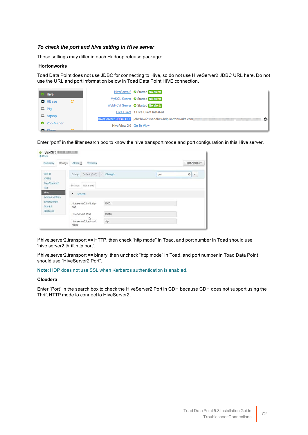#### *To check the port and hive setting in Hive server*

These settings may differ in each Hadoop release package:

#### **Hortonworks**

Toad Data Point does not use JDBC for connecting to Hive, so do not use HiveServer2 JDBC URL here. Do not use the URL and port information below in Toad Data Point HIVE connection.

| <b>Hive</b>        |    |                          | HiveServer2 Started No alerts                                      |
|--------------------|----|--------------------------|--------------------------------------------------------------------|
| <b>D</b> HBase     | e. |                          | MySQL Server ⊙ Started No alerts                                   |
|                    |    |                          | WebHCat Server ⊙ Started No alerts                                 |
| $\Box$ Pig         |    |                          | <b>Hive Client 1 Hive Client Installed</b>                         |
| $\Box$ Sqoop       |    |                          | HiveServer2 JDBC URL jdbc:hive2://sandbox-hdp.hortonworks.com<br>皡 |
| <b>2</b> ZooKeeper |    | Hive View 2.0 Go To View |                                                                    |
| <b>Pu</b> Charm    |    |                          |                                                                    |

Enter "port" in the filter search box to know the hive transport mode and port configuration in this Hive server.

| Configs<br>Summary                                 | Versions<br>Alerts <b>D</b>            |          |      | Host Actions - |
|----------------------------------------------------|----------------------------------------|----------|------|----------------|
| <b>HDFS</b><br>YARN                                | Default (830)<br>Group                 | - Change | port | O<br>$\ddot{}$ |
| MapReduce2<br>Tez-                                 | Settings<br>Advanced                   |          |      |                |
| Hive                                               | * General                              |          |      |                |
| Ambari Metrics<br>SmartSense<br>Spark2<br>Kerberos | hive.server2.thrift.http.<br>port      | 10001    |      |                |
|                                                    | HiveServer2 Port                       | 10010    |      |                |
|                                                    | 1st<br>hive.server2.transport.<br>mode | http     |      |                |

If hive.server2.transport == HTTP, then check "http mode" in Toad, and port number in Toad should use 'hive.server2.thrift.http.port'.

If hive.server2.transport == binary, then uncheck "http mode" in Toad, and port number in Toad Data Point should use "HiveServer2 Port".

#### **Note**: HDP does not use SSL when Kerberos authentication is enabled.

#### **Cloudera**

Enter "Port" in the search box to check the HiveServer2 Port in CDH because CDH does not support using the Thrift HTTP mode to connect to HiveServer2.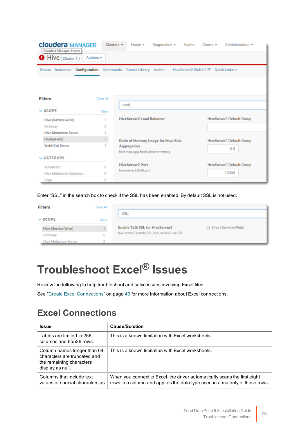| <b>Cloudera MANAGER</b><br>Cloudera Manager: Home<br>Hive (Cluster 1) | Actions $\star$ | Clusters $\star$<br>Hosts $\pm$<br>Diagnostics $\sim$<br>Audits             | Charts $\star$<br>Administration + |
|-----------------------------------------------------------------------|-----------------|-----------------------------------------------------------------------------|------------------------------------|
| <b>Status</b><br>Instances                                            |                 | HiveServer2 Web UI C<br><b>Configuration</b> Commands Charts Library Audits | Quick Links -                      |
| <b>Filters</b>                                                        | Clear All       |                                                                             |                                    |
| $\vee$ SCOPE                                                          | Clear           | port                                                                        |                                    |
| Hive (Service-Wide)                                                   | 7               | <b>HiveServer2 Load Balancer</b>                                            | HiveServer2 Default Group          |
| Gateway                                                               | 0               |                                                                             |                                    |
| <b>Hive Metastore Server</b>                                          |                 |                                                                             |                                    |
| HiveServer2                                                           | $\mathbf{7}$    | Ratio of Memory Usage for Map-Side                                          | HiveServer2 Default Group          |
| <b>WebHCat Server</b>                                                 | 1               | Aggregation<br>hive.map.aggr.hash.percentmemory                             | 0.5                                |
| $\vee$ CATEGORY                                                       |                 |                                                                             |                                    |

Enter "SSL" in the search box to check if the SSL has been enabled. By default SSL is not used.

**HiveServer2 Port** 

hive.server2.thrift.port

| <b>Filters</b>               | Clear All |                                               |                     |
|------------------------------|-----------|-----------------------------------------------|---------------------|
|                              |           | SSL                                           |                     |
| $\vee$ SCOPE                 | Clear     |                                               |                     |
| Hive (Service-Wide)          |           | <b>Enable TLS/SSL for HiveServer2</b>         | Hive (Service-Wide) |
| Gateway                      |           | hive.server2.enable.SSL, hive.server2.use.SSL |                     |
| <b>Hive Metastore Server</b> |           |                                               |                     |

# <span id="page-73-0"></span>**Troubleshoot Excel® Issues**

 $\bf{0}$ 

 $\pmb{0}$ 

 $\mathbf 0$ 

Advanced

Logs

Hive Metastore Database

Review the following to help troubleshoot and solve issues involving Excel files.

See "Create Excel [Connections"](#page-43-0) on page 43 for more information about Excel connections.

## **Excel Connections**

| <b>Issue</b>                                                                                                | <b>Cause/Solution</b>                                                                                                                                    |  |
|-------------------------------------------------------------------------------------------------------------|----------------------------------------------------------------------------------------------------------------------------------------------------------|--|
| Tables are limited to 256<br>columns and 65536 rows.                                                        | This is a known limitation with Excel worksheets.                                                                                                        |  |
| Column names longer than 64<br>characters are truncated and<br>the remaining characters<br>display as null. | This is a known limitation with Excel worksheets.                                                                                                        |  |
| Columns that include text<br>values or special characters as                                                | When you connect to Excel, the driver automatically scans the first eight<br>rows in a column and applies the data type used in a majority of those rows |  |

HiveServer2 Default Group

10000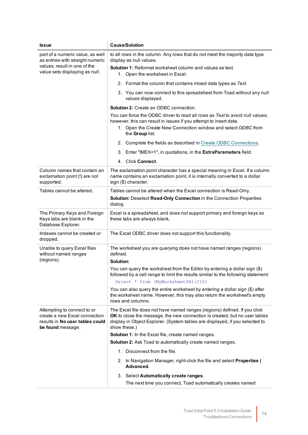| <b>Issue</b>                                                                                                                           | <b>Cause/Solution</b>                                                                                                                                                                                                                                                                  |
|----------------------------------------------------------------------------------------------------------------------------------------|----------------------------------------------------------------------------------------------------------------------------------------------------------------------------------------------------------------------------------------------------------------------------------------|
| part of a numeric value, as well<br>as entries with straight numeric<br>values, result in one of the<br>value sets displaying as null. | to all rows in the column. Any rows that do not meet the majority data type<br>display as null values.<br><b>Solution 1: Reformat worksheet column and values as text.</b><br>1. Open the worksheet in Excel.                                                                          |
|                                                                                                                                        | 2. Format the column that contains mixed data types as Text.                                                                                                                                                                                                                           |
|                                                                                                                                        | 3. You can now connect to this spreadsheet from Toad without any null<br>values displayed.                                                                                                                                                                                             |
|                                                                                                                                        | <b>Solution 2: Create an ODBC connection.</b><br>You can force the ODBC driver to read all rows as Text to avoid null values;<br>however, this can result in issues if you attempt to insert data.<br>1. Open the Create New Connection window and select ODBC from<br>the Group list. |
|                                                                                                                                        | 2. Complete the fields as described in Create ODBC Connections.                                                                                                                                                                                                                        |
|                                                                                                                                        | Enter "IMEX=1", in quotations, in the ExtraParameters field.<br>3.                                                                                                                                                                                                                     |
|                                                                                                                                        | 4. Click Connect.                                                                                                                                                                                                                                                                      |
| Column names that contain an<br>exclamation point (!) are not<br>supported.                                                            | The exclamation point character has a special meaning in Excel. If a column<br>name contains an exclamation point, it is internally converted to a dollar<br>sign (\$) character.                                                                                                      |
| Tables cannot be altered.                                                                                                              | Tables cannot be altered when the Excel connection is Read-Only.                                                                                                                                                                                                                       |
|                                                                                                                                        | Solution: Deselect Read-Only Connection in the Connection Properties<br>dialog.                                                                                                                                                                                                        |
| The Primary Keys and Foreign<br>Keys tabs are blank in the<br>Database Explorer.                                                       | Excel is a spreadsheet, and does not support primary and foreign keys so<br>these tabs are always blank.                                                                                                                                                                               |
| Indexes cannot be created or<br>dropped.                                                                                               | The Excel ODBC driver does not support this functionality.                                                                                                                                                                                                                             |
| Unable to query Excel files<br>without named ranges<br>(regions).                                                                      | The worksheet you are querying does not have named ranges (regions)<br>defined.<br>Solution:                                                                                                                                                                                           |
|                                                                                                                                        | You can query the worksheet from the Editor by entering a dollar sign (\$)<br>followed by a cell range to limit the results similar to the following statement:                                                                                                                        |
|                                                                                                                                        | Select * from (MyWorksheet\$A1:C10)<br>You can also query the entire worksheet by entering a dollar sign (\$) after                                                                                                                                                                    |
|                                                                                                                                        | the worksheet name. However, this may also return the worksheet's empty<br>rows and columns.                                                                                                                                                                                           |
| Attempting to connect to or<br>create a new Excel connection<br>results in No user tables could<br>be found message.                   | The Excel file does not have named ranges (regions) defined. If you click<br>OK to close the message, the new connection is created, but no user tables<br>display in Object Explorer. (System tables are displayed, if you selected to<br>show these.)                                |
|                                                                                                                                        | Solution 1: In the Excel file, create named ranges.                                                                                                                                                                                                                                    |
|                                                                                                                                        | Solution 2: Ask Toad to automatically create named ranges.                                                                                                                                                                                                                             |
|                                                                                                                                        | 1. Disconnect from the file.                                                                                                                                                                                                                                                           |
|                                                                                                                                        | 2. In Navigation Manager, right-click the file and select Properties  <br>Advanced.                                                                                                                                                                                                    |
|                                                                                                                                        | 3. Select Automatically create ranges.                                                                                                                                                                                                                                                 |
|                                                                                                                                        | The next time you connect, Toad automatically creates named                                                                                                                                                                                                                            |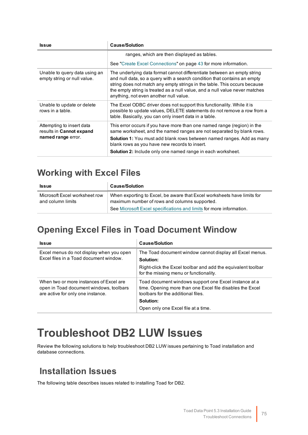| <b>Issue</b>                                                                | <b>Cause/Solution</b>                                                                                                                                                                                                                                                                                                                                     |
|-----------------------------------------------------------------------------|-----------------------------------------------------------------------------------------------------------------------------------------------------------------------------------------------------------------------------------------------------------------------------------------------------------------------------------------------------------|
|                                                                             | ranges, which are then displayed as tables.                                                                                                                                                                                                                                                                                                               |
|                                                                             | See "Create Excel Connections" on page 43 for more information.                                                                                                                                                                                                                                                                                           |
| Unable to query data using an<br>empty string or null value.                | The underlying data format cannot differentiate between an empty string<br>and null data, so a query with a search condition that contains an empty<br>string does not match any empty strings in the table. This occurs because<br>the empty string is treated as a null value, and a null value never matches<br>anything, not even another null value. |
| Unable to update or delete<br>rows in a table.                              | The Excel ODBC driver does not support this functionality. While it is<br>possible to update values, DELETE statements do not remove a row from a<br>table. Basically, you can only insert data in a table.                                                                                                                                               |
| Attempting to insert data<br>results in Cannot expand<br>named range error. | This error occurs if you have more than one named range (region) in the<br>same worksheet, and the named ranges are not separated by blank rows.<br><b>Solution 1:</b> You must add blank rows between named ranges. Add as many<br>blank rows as you have new records to insert.<br><b>Solution 2:</b> Include only one named range in each worksheet.   |

## **Working with Excel Files**

| <b>Issue</b>                                       | <b>Cause/Solution</b>                                                                                                    |
|----------------------------------------------------|--------------------------------------------------------------------------------------------------------------------------|
| Microsoft Excel worksheet row<br>and column limits | When exporting to Excel, be aware that Excel worksheets have limits for<br>maximum number of rows and columns supported. |
|                                                    | See Microsoft Excel specifications and limits for more information.                                                      |

## **Opening Excel Files in Toad Document Window**

| <b>Issue</b>                                                                                                            | <b>Cause/Solution</b>                                                                                                                                    |
|-------------------------------------------------------------------------------------------------------------------------|----------------------------------------------------------------------------------------------------------------------------------------------------------|
| Excel menus do not display when you open<br>Excel files in a Toad document window.                                      | The Toad document window cannot display all Excel menus.<br>Solution:                                                                                    |
|                                                                                                                         | Right-click the Excel toolbar and add the equivalent toolbar<br>for the missing menu or functionality.                                                   |
| When two or more instances of Excel are<br>open in Toad document windows, toolbars<br>are active for only one instance. | Toad document windows support one Excel instance at a<br>time. Opening more than one Excel file disables the Excel<br>toolbars for the additional files. |
|                                                                                                                         | Solution:                                                                                                                                                |
|                                                                                                                         | Open only one Excel file at a time.                                                                                                                      |

# <span id="page-75-0"></span>**Troubleshoot DB2 LUW Issues**

Review the following solutions to help troubleshoot DB2 LUW issues pertaining to Toad installation and database connections.

## **Installation Issues**

The following table describes issues related to installing Toad for DB2.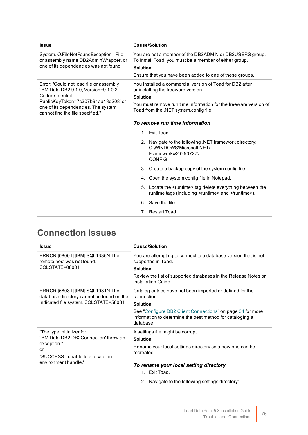| <b>Issue</b>                                                                                                                                                                                                          | <b>Cause/Solution</b>                                                                                                                                                                                                     |
|-----------------------------------------------------------------------------------------------------------------------------------------------------------------------------------------------------------------------|---------------------------------------------------------------------------------------------------------------------------------------------------------------------------------------------------------------------------|
| System.IO.FileNotFoundException - File<br>or assembly name DB2AdminWrapper, or<br>one of its dependencies was not found                                                                                               | You are not a member of the DB2ADMIN or DB2USERS group.<br>To install Toad, you must be a member of either group.<br>Solution:<br>Ensure that you have been added to one of these groups.                                 |
| Error: "Could not load file or assembly<br>'IBM.Data.DB2.9.1.0, Version=9.1.0.2,<br>Culture=neutral.<br>PublicKeyToken=7c307b91aa13d208'or<br>one of its dependencies. The system<br>cannot find the file specified." | You installed a commercial version of Toad for DB2 after<br>uninstalling the freeware version.<br>Solution:<br>You must remove run time information for the freeware version of<br>Toad from the .NET system.config file. |
|                                                                                                                                                                                                                       | To remove run time information                                                                                                                                                                                            |
|                                                                                                                                                                                                                       | 1. Exit Toad.                                                                                                                                                                                                             |
|                                                                                                                                                                                                                       | 2. Navigate to the following .NET framework directory:<br>C:\WINDOWS\Microsoft.NET\<br>Framework\v2.0.50727\<br><b>CONFIG</b>                                                                                             |
|                                                                                                                                                                                                                       | 3. Create a backup copy of the system.config file.                                                                                                                                                                        |
|                                                                                                                                                                                                                       | 4. Open the system.config file in Notepad.                                                                                                                                                                                |
|                                                                                                                                                                                                                       | 5. Locate the <runtime> tag delete everything between the<br/>runtime tags (including <runtime> and </runtime>).</runtime>                                                                                                |
|                                                                                                                                                                                                                       | 6. Save the file.                                                                                                                                                                                                         |
|                                                                                                                                                                                                                       | 7. Restart Toad.                                                                                                                                                                                                          |

# **Connection Issues**

| <b>Issue</b>                                                                  | <b>Cause/Solution</b>                                                                                                                |
|-------------------------------------------------------------------------------|--------------------------------------------------------------------------------------------------------------------------------------|
| ERROR [08001] [IBM] SQL1336N The<br>remote host was not found.                | You are attempting to connect to a database version that is not<br>supported in Toad.                                                |
| SQLSTATE=08001                                                                | Solution:                                                                                                                            |
|                                                                               | Review the list of supported databases in the Release Notes or<br>Installation Guide.                                                |
| ERROR [58031] [IBM] SQL1031N The<br>database directory cannot be found on the | Catalog entries have not been imported or defined for the<br>connection.                                                             |
| indicated file system. SQLSTATE=58031                                         | Solution:                                                                                                                            |
|                                                                               | See "Configure DB2 Client Connections" on page 34 for more<br>information to determine the best method for cataloging a<br>database. |
| "The type initializer for                                                     | A settings file might be corrupt.                                                                                                    |
| 'IBM.Data.DB2.DB2Connection' threw an                                         | Solution:                                                                                                                            |
| exception."<br>or                                                             | Rename your local settings directory so a new one can be                                                                             |
| "SUCCESS - unable to allocate an                                              | recreated.                                                                                                                           |
| environment handle."                                                          | To rename your local setting directory                                                                                               |
|                                                                               | 1. Exit Toad.                                                                                                                        |
|                                                                               | 2. Navigate to the following settings directory:                                                                                     |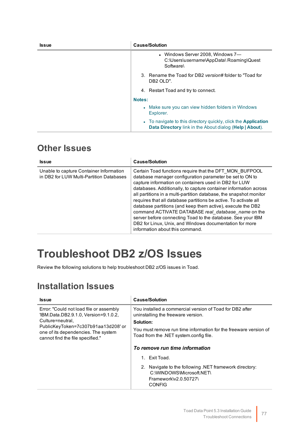| <b>Issue</b> | <b>Cause/Solution</b>                                                                                                                   |
|--------------|-----------------------------------------------------------------------------------------------------------------------------------------|
|              | • Windows Server 2008, Windows 7—<br>C:\Users\username\AppData\ Roaming\Quest<br>Software                                               |
|              | 3. Rename the Toad for DB2 version# folder to "Toad for<br>DB <sub>2</sub> OLD".                                                        |
|              | 4. Restart Toad and try to connect.                                                                                                     |
|              | Notes:                                                                                                                                  |
|              | • Make sure you can view hidden folders in Windows<br>Explorer.                                                                         |
|              | • To navigate to this directory quickly, click the <b>Application</b><br><b>Data Directory</b> link in the About dialog (Help   About). |

## **Other Issues**

| <b>Issue</b>                                                                        | <b>Cause/Solution</b>                                                                                                                                                                                                                                                                                                                                                                                                                                                                                                                                                                                                                                                         |
|-------------------------------------------------------------------------------------|-------------------------------------------------------------------------------------------------------------------------------------------------------------------------------------------------------------------------------------------------------------------------------------------------------------------------------------------------------------------------------------------------------------------------------------------------------------------------------------------------------------------------------------------------------------------------------------------------------------------------------------------------------------------------------|
| Unable to capture Container Information<br>in DB2 for LUW Multi-Partition Databases | Certain Toad functions require that the DFT MON BUFPOOL<br>database manager configuration parameter be set to ON to<br>capture information on containers used in DB2 for LUW<br>databases. Additionally, to capture container information across<br>all partitions in a multi-partition database, the snapshot monitor<br>requires that all database partitions be active. To activate all<br>database partitions (and keep them active), execute the DB2<br>command ACTIVATE DATABASE real_database_name on the<br>server before connecting Toad to the database. See your IBM<br>DB2 for Linux, Unix, and Windows documentation for more<br>information about this command. |

# <span id="page-77-0"></span>**Troubleshoot DB2 z/OS Issues**

Review the following solutions to help troubleshoot DB2 z/OS issues in Toad.

## **Installation Issues**

| <b>Issue</b>                                                                                                                                                                                                          | <b>Cause/Solution</b>                                                                                                                                                                                                     |
|-----------------------------------------------------------------------------------------------------------------------------------------------------------------------------------------------------------------------|---------------------------------------------------------------------------------------------------------------------------------------------------------------------------------------------------------------------------|
| Error: "Could not load file or assembly<br>'IBM.Data.DB2.9.1.0, Version=9.1.0.2,<br>Culture=neutral,<br>PublicKeyToken=7c307b91aa13d208'or<br>one of its dependencies. The system<br>cannot find the file specified." | You installed a commercial version of Toad for DB2 after<br>uninstalling the freeware version.<br>Solution:<br>You must remove run time information for the freeware version of<br>Toad from the .NET system.config file. |
|                                                                                                                                                                                                                       | To remove run time information                                                                                                                                                                                            |
|                                                                                                                                                                                                                       | Fxit Toad<br>$1 \quad$                                                                                                                                                                                                    |
|                                                                                                                                                                                                                       | 2. Navigate to the following .NET framework directory:<br>C:\WINDOWS\Microsoft.NET\<br>Framework\v2.0.50727\<br><b>CONFIG</b>                                                                                             |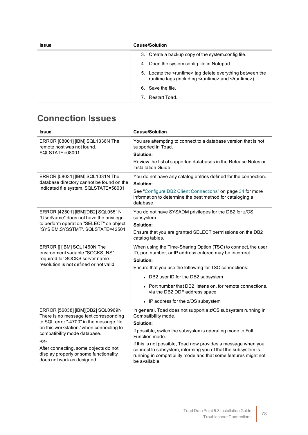| <b>Issue</b> | <b>Cause/Solution</b>                                                                                                     |
|--------------|---------------------------------------------------------------------------------------------------------------------------|
|              | 3. Create a backup copy of the system.config file.                                                                        |
|              | 4. Open the system.config file in Notepad.                                                                                |
|              | 5. Locate the <runtime>tag delete everything between the<br/>runtime tags (including <runtime> and </runtime>).</runtime> |
|              | 6. Save the file.                                                                                                         |
|              | Restart Toad.                                                                                                             |

## **Connection Issues**

| <b>Issue</b>                                                                                                                                                                                                                                                                                                                 | <b>Cause/Solution</b>                                                                                                                                                                                                                                                                                                                                                                                 |
|------------------------------------------------------------------------------------------------------------------------------------------------------------------------------------------------------------------------------------------------------------------------------------------------------------------------------|-------------------------------------------------------------------------------------------------------------------------------------------------------------------------------------------------------------------------------------------------------------------------------------------------------------------------------------------------------------------------------------------------------|
| ERROR [08001] [IBM] SQL1336N The<br>remote host was not found.<br>SQLSTATE=08001                                                                                                                                                                                                                                             | You are attempting to connect to a database version that is not<br>supported in Toad.<br>Solution:                                                                                                                                                                                                                                                                                                    |
|                                                                                                                                                                                                                                                                                                                              | Review the list of supported databases in the Release Notes or<br>Installation Guide.                                                                                                                                                                                                                                                                                                                 |
| ERROR [58031] [IBM] SQL1031N The<br>database directory cannot be found on the<br>indicated file system. SQLSTATE=58031                                                                                                                                                                                                       | You do not have any catalog entries defined for the connection.<br>Solution:<br>See "Configure DB2 Client Connections" on page 34 for more<br>information to determine the best method for cataloging a<br>database.                                                                                                                                                                                  |
| ERROR [42501] [IBM][DB2] SQL0551N<br>"UserName" does not have the privilege<br>to perform operation "SELECT" on object<br>"SYSIBM.SYSSTMT". SQLSTATE=42501                                                                                                                                                                   | You do not have SYSADM privileges for the DB2 for z/OS<br>subsystem.<br>Solution:<br>Ensure that you are granted SELECT permissions on the DB2<br>catalog tables.                                                                                                                                                                                                                                     |
| ERROR [] [IBM] SQL1460N The<br>environment variable "SOCKS NS"<br>required for SOCKS server name<br>resolution is not defined or not valid.                                                                                                                                                                                  | When using the Time-Sharing Option (TSO) to connect, the user<br>ID, port number, or IP address entered may be incorrect.<br>Solution:<br>Ensure that you use the following for TSO connections:<br>• DB2 user ID for the DB2 subsystem<br>• Port number that DB2 listens on, for remote connections,<br>via the DB2 DDF address space<br>• IP address for the z/OS subsystem                         |
| ERROR [56038] [IBM][DB2] SQL0969N<br>There is no message text corresponding<br>to SQL error "-4700" in the message file<br>on this workstation.' when connecting to<br>compatibility mode database.<br>-or-<br>After connecting, some objects do not<br>display properly or some functionality<br>does not work as designed. | In general, Toad does not support a z/OS subsystem running in<br>Compatibility mode.<br>Solution:<br>If possible, switch the subsystem's operating mode to Full<br>Function mode.<br>If this is not possible, Toad now provides a message when you<br>connect to subsystem, informing you of that the subsystem is<br>running in compatibility mode and that some features might not<br>be available. |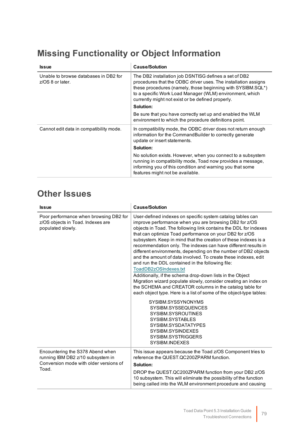# **Missing Functionality or Object Information**

| <b>Issue</b>                                                 | <b>Cause/Solution</b>                                                                                                                                                                                                                                                                                   |
|--------------------------------------------------------------|---------------------------------------------------------------------------------------------------------------------------------------------------------------------------------------------------------------------------------------------------------------------------------------------------------|
| Unable to browse databases in DB2 for<br>$z$ /OS 8 or later. | The DB2 installation job DSNTISG defines a set of DB2<br>procedures that the ODBC driver uses. The installation assigns<br>these procedures (namely, those beginning with SYSIBM.SQL*)<br>to a specific Work Load Manager (WLM) environment, which<br>currently might not exist or be defined properly. |
|                                                              | Solution:                                                                                                                                                                                                                                                                                               |
|                                                              | Be sure that you have correctly set up and enabled the WLM<br>environment to which the procedure definitions point.                                                                                                                                                                                     |
| Cannot edit data in compatibility mode.                      | In compatibility mode, the ODBC driver does not return enough<br>information for the Command Builder to correctly generate<br>update or insert statements.                                                                                                                                              |
|                                                              | Solution:                                                                                                                                                                                                                                                                                               |
|                                                              | No solution exists. However, when you connect to a subsystem<br>running in compatibility mode, Toad now provides a message,<br>informing you of this condition and warning you that some<br>features might not be available.                                                                            |

## **Other Issues**

| <b>Issue</b>                                                                                                    | <b>Cause/Solution</b>                                                                                                                                                                                                                                                                                                                                                                                                                                                                                                                                                                                                                                                                                                                                                                                                                                                                                                                                              |
|-----------------------------------------------------------------------------------------------------------------|--------------------------------------------------------------------------------------------------------------------------------------------------------------------------------------------------------------------------------------------------------------------------------------------------------------------------------------------------------------------------------------------------------------------------------------------------------------------------------------------------------------------------------------------------------------------------------------------------------------------------------------------------------------------------------------------------------------------------------------------------------------------------------------------------------------------------------------------------------------------------------------------------------------------------------------------------------------------|
| Poor performance when browsing DB2 for<br>z/OS objects in Toad. Indexes are<br>populated slowly.                | User-defined indexes on specific system catalog tables can<br>improve performance when you are browsing DB2 for z/OS<br>objects in Toad. The following link contains the DDL for indexes<br>that can optimize Toad performance on your DB2 for z/OS<br>subsystem. Keep in mind that the creation of these indexes is a<br>recommendation only. The indexes can have different results in<br>different environments, depending on the number of DB2 objects<br>and the amount of data involved. To create these indexes, edit<br>and run the DDL contained in the following file:<br>ToadDB2zOSIndexes.txt<br>Additionally, if the schema drop-down lists in the Object<br>Migration wizard populate slowly, consider creating an index on<br>the SCHEMA and CREATOR columns in the catalog table for<br>each object type. Here is a list of some of the object-type tables:<br>SYSIBM.SYSSYNONYMS<br>SYSIBM.SYSSEQUENCES<br>SYSIBM.SYSROUTINES<br>SYSIBM.SYSTABLES |
|                                                                                                                 | SYSIBM.SYSDATATYPES<br>SYSIBM.SYSINDEXES<br>SYSIBM.SYSTRIGGERS<br>SYSIBM.INDEXES                                                                                                                                                                                                                                                                                                                                                                                                                                                                                                                                                                                                                                                                                                                                                                                                                                                                                   |
| Encountering the S378 Abend when<br>running IBM DB2 z/10 subsystem in<br>Conversion mode with older versions of | This issue appears because the Toad z/OS Component tries to<br>reference the QUEST.QC200ZPARM function.<br>Solution:                                                                                                                                                                                                                                                                                                                                                                                                                                                                                                                                                                                                                                                                                                                                                                                                                                               |
| Toad.                                                                                                           | DROP the QUEST.QC200ZPARM function from your DB2 z/OS<br>10 subsystem. This will eliminate the possibility of the function<br>being called into the WLM environment procedure and causing                                                                                                                                                                                                                                                                                                                                                                                                                                                                                                                                                                                                                                                                                                                                                                          |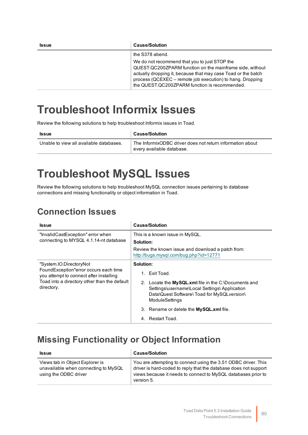| <b>Issue</b> | <b>Cause/Solution</b>                                                                                                                                                                                                                                                                    |
|--------------|------------------------------------------------------------------------------------------------------------------------------------------------------------------------------------------------------------------------------------------------------------------------------------------|
|              | the S378 abend.                                                                                                                                                                                                                                                                          |
|              | We do not recommend that you to just STOP the<br>QUEST.QC200ZPARM function on the mainframe side, without<br>actually dropping it, because that may case Toad or the batch<br>process (QCEXEC - remote job execution) to hang. Dropping<br>the QUEST.QC200ZPARM function is recommended. |

# <span id="page-80-0"></span>**Troubleshoot Informix Issues**

Review the following solutions to help troubleshoot Informix issues in Toad.

| <b>Issue</b>                            | <b>Cause/Solution</b>                                                                  |
|-----------------------------------------|----------------------------------------------------------------------------------------|
| Unable to view all available databases. | The InformixODBC driver does not return information about<br>every available database. |

# <span id="page-80-1"></span>**Troubleshoot MySQL Issues**

Review the following solutions to help troubleshoot MySQL connection issues pertaining to database connections and missing functionality or object information in Toad.

## **Connection Issues**

| <b>Issue</b>                                                                                                                                                              | <b>Cause/Solution</b>                                                                                                                                                 |
|---------------------------------------------------------------------------------------------------------------------------------------------------------------------------|-----------------------------------------------------------------------------------------------------------------------------------------------------------------------|
| "InvalidCastException" error when                                                                                                                                         | This is a known issue in MySQL.                                                                                                                                       |
| connecting to MYSQL 4.1.14-nt database                                                                                                                                    | Solution:                                                                                                                                                             |
|                                                                                                                                                                           | Review the known issue and download a patch from:<br>http://bugs.mysql.com/bug.php?id=12771                                                                           |
| "System.IO.DirectoryNot<br>FoundException"error occurs each time<br>you attempt to connect after installing<br>Toad into a directory other than the default<br>directory. | Solution:                                                                                                                                                             |
|                                                                                                                                                                           | Exit Toad.<br>1.                                                                                                                                                      |
|                                                                                                                                                                           | 2. Locate the MySQL.xml file in the C:\Documents and<br>Settings\username\Local Settings\ Application<br>Data\Quest Software\Toad for MySQLversion\<br>ModuleSettings |
|                                                                                                                                                                           | 3. Rename or delete the <b>MySQL</b> .xml file.                                                                                                                       |
|                                                                                                                                                                           | - Restart Toad<br>4.                                                                                                                                                  |

## **Missing Functionality or Object Information**

| <b>Issue</b>                                                                                     | <b>Cause/Solution</b>                                                                                                                                                                                             |
|--------------------------------------------------------------------------------------------------|-------------------------------------------------------------------------------------------------------------------------------------------------------------------------------------------------------------------|
| Views tab in Object Explorer is<br>unavailable when connecting to MySQL<br>using the ODBC driver | You are attempting to connect using the 3.51 ODBC driver. This<br>driver is hard-coded to reply that the database does not support<br>views because it needs to connect to MySQL databases prior to<br>version 5. |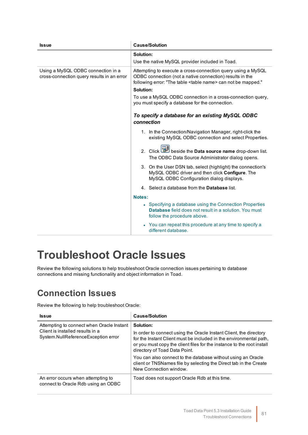| <b>Issue</b>                                                                     | <b>Cause/Solution</b>                                                                                                                                                                               |
|----------------------------------------------------------------------------------|-----------------------------------------------------------------------------------------------------------------------------------------------------------------------------------------------------|
|                                                                                  | Solution:                                                                                                                                                                                           |
|                                                                                  | Use the native MySQL provider included in Toad.                                                                                                                                                     |
| Using a MySQL ODBC connection in a<br>cross-connection query results in an error | Attempting to execute a cross-connection query using a MySQL<br>ODBC connection (not a native connection) results in the<br>following error: "The table <table name=""> can not be mapped."</table> |
|                                                                                  | Solution:                                                                                                                                                                                           |
|                                                                                  | To use a MySQL ODBC connection in a cross-connection query,<br>you must specify a database for the connection.                                                                                      |
|                                                                                  | To specify a database for an existing MySQL ODBC<br>connection                                                                                                                                      |
|                                                                                  | 1. In the Connection/Navigation Manager, right-click the<br>existing MySQL ODBC connection and select Properties.                                                                                   |
|                                                                                  | 2. Click <b>Data source name</b> drop-down list.<br>The ODBC Data Source Administrator dialog opens.                                                                                                |
|                                                                                  | 3. On the User DSN tab, select (highlight) the connection's<br>MySQL ODBC driver and then click Configure. The<br>MySQL ODBC Configuration dialog displays.                                         |
|                                                                                  | 4. Select a database from the <b>Database</b> list.                                                                                                                                                 |
|                                                                                  | Notes:                                                                                                                                                                                              |
|                                                                                  | • Specifying a database using the Connection Properties<br><b>Database</b> field does not result in a solution. You must<br>follow the procedure above.                                             |
|                                                                                  | • You can repeat this procedure at any time to specify a<br>different database.                                                                                                                     |

# <span id="page-81-0"></span>**Troubleshoot Oracle Issues**

Review the following solutions to help troubleshoot Oracle connection issues pertaining to database connections and missing functionality and object information in Toad.

## **Connection Issues**

Review the following to help troubleshoot Oracle:

| <b>Issue</b>                                                                                                         | <b>Cause/Solution</b>                                                                                                                                                                                                                                                                                                            |
|----------------------------------------------------------------------------------------------------------------------|----------------------------------------------------------------------------------------------------------------------------------------------------------------------------------------------------------------------------------------------------------------------------------------------------------------------------------|
| Attempting to connect when Oracle Instant<br>Client is installed results in a<br>System.NullReferenceException error | Solution:<br>In order to connect using the Oracle Instant Client, the directory<br>for the Instant Client must be included in the environmental path,<br>or you must copy the client files for the instance to the root install<br>directory of Toad Data Point.<br>You can also connect to the database without using an Oracle |
|                                                                                                                      | client or TNSNames file by selecting the Direct tab in the Create<br>New Connection window.                                                                                                                                                                                                                                      |
| An error occurs when attempting to<br>connect to Oracle Rdb using an ODBC                                            | Toad does not support Oracle Rdb at this time.                                                                                                                                                                                                                                                                                   |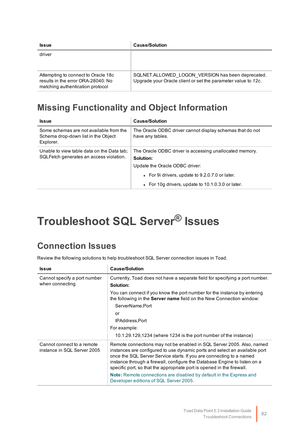| <b>Issue</b>                                                                                                  | <b>Cause/Solution</b>                                                                                              |
|---------------------------------------------------------------------------------------------------------------|--------------------------------------------------------------------------------------------------------------------|
| driver                                                                                                        |                                                                                                                    |
| Attempting to connect to Oracle 18c<br>results in the error ORA-28040: No<br>matching authentication protocol | SQLNET.ALLOWED LOGON VERSION has been deprecated.<br>Upgrade your Oracle client or set the parameter value to 12c. |

## **Missing Functionality and Object Information**

| <b>Issue</b>                                                                                | <b>Cause/Solution</b>                                                                                                                                                                                         |
|---------------------------------------------------------------------------------------------|---------------------------------------------------------------------------------------------------------------------------------------------------------------------------------------------------------------|
| Some schemas are not available from the<br>Schema drop-down list in the Object<br>Explorer. | The Oracle ODBC driver cannot display schemas that do not<br>have any tables.                                                                                                                                 |
| Unable to view table data on the Data tab;<br>SQLFetch generates an access violation.       | The Oracle ODBC driver is accessing unallocated memory.<br>Solution:<br>Update the Oracle ODBC driver:<br>• For 9 drivers, update to 9.2.0.7.0 or later.<br>• For 10g drivers, update to 10.1.0.3.0 or later. |

# <span id="page-82-0"></span>**Troubleshoot SQL Server® Issues**

## **Connection Issues**

Review the following solutions to help troubleshoot SQL Server connection issues in Toad.

| <b>Issue</b>                                              | <b>Cause/Solution</b>                                                                                                                                                                                                                                                                                                                                                              |
|-----------------------------------------------------------|------------------------------------------------------------------------------------------------------------------------------------------------------------------------------------------------------------------------------------------------------------------------------------------------------------------------------------------------------------------------------------|
| Cannot specify a port number<br>when connecting           | Currently, Toad does not have a separate field for specifying a port number.<br>Solution:                                                                                                                                                                                                                                                                                          |
|                                                           | You can connect if you know the port number for the instance by entering<br>the following in the <b>Server name</b> field on the New Connection window:                                                                                                                                                                                                                            |
|                                                           | ServerName, Port                                                                                                                                                                                                                                                                                                                                                                   |
|                                                           | or                                                                                                                                                                                                                                                                                                                                                                                 |
|                                                           | IPAddress, Port                                                                                                                                                                                                                                                                                                                                                                    |
|                                                           | For example:                                                                                                                                                                                                                                                                                                                                                                       |
|                                                           | $10.1.29.129.1234$ (where 1234 is the port number of the instance)                                                                                                                                                                                                                                                                                                                 |
| Cannot connect to a remote<br>instance in SQL Server 2005 | Remote connections may not be enabled in SQL Server 2005. Also, named<br>instances are configured to use dynamic ports and select an available port<br>once the SQL Server Service starts. If you are connecting to a named<br>instance through a firewall, configure the Database Engine to listen on a<br>specific port, so that the appropriate port is opened in the firewall. |
|                                                           | Note: Remote connections are disabled by default in the Express and<br>Developer editions of SQL Server 2005.                                                                                                                                                                                                                                                                      |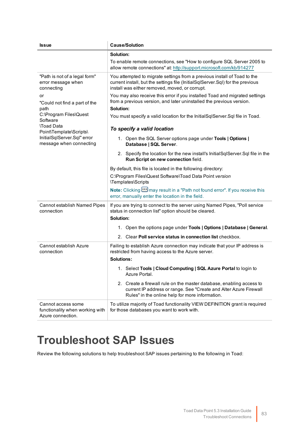| <b>Issue</b>                                                               | <b>Cause/Solution</b>                                                                                                                                                                                        |
|----------------------------------------------------------------------------|--------------------------------------------------------------------------------------------------------------------------------------------------------------------------------------------------------------|
|                                                                            | Solution:<br>To enable remote connections, see "How to configure SQL Server 2005 to<br>allow remote connections" at: http://support.microsoft.com/kb/914277                                                  |
| "Path is not of a legal form"<br>error message when<br>connecting          | You attempted to migrate settings from a previous install of Toad to the<br>current install, but the settings file (InitialSqlServer.Sql) for the previous<br>install was either removed, moved, or corrupt. |
| or<br>"Could not find a part of the<br>path                                | You may also receive this error if you installed Toad and migrated settings<br>from a previous version, and later uninstalled the previous version.<br>Solution:                                             |
| C:\Program Files\Quest<br>Software<br><b>\Toad Data</b>                    | You must specify a valid location for the InitialSqlServer.Sql file in Toad.                                                                                                                                 |
| Point\Template\Scripts\                                                    | To specify a valid location                                                                                                                                                                                  |
| InitialSqlServer.Sql" error<br>message when connecting                     | 1. Open the SQL Server options page under Tools   Options  <br>Database   SQL Server.                                                                                                                        |
|                                                                            | 2. Specify the location for the new install's InitialSqlServer.Sql file in the<br>Run Script on new connection field.                                                                                        |
|                                                                            | By default, this file is located in the following directory:                                                                                                                                                 |
|                                                                            | C:\Program Files\Quest Software\Toad Data Point version<br>\Templates\Scripts                                                                                                                                |
|                                                                            | Note: Clicking way result in a "Path not found error". If you receive this<br>error, manually enter the location in the field.                                                                               |
| Cannot establish Named Pipes<br>connection                                 | If you are trying to connect to the server using Named Pipes, "Poll service<br>status in connection list" option should be cleared.<br>Solution:                                                             |
|                                                                            | 1. Open the options page under Tools   Options   Database   General.                                                                                                                                         |
|                                                                            | 2. Clear Poll service status in connection list checkbox.                                                                                                                                                    |
| Cannot establish Azure<br>connection                                       | Failing to establish Azure connection may indicate that your IP address is<br>restricted from having access to the Azure server.<br><b>Solutions:</b>                                                        |
|                                                                            | 1. Select Tools   Cloud Computing   SQL Azure Portal to login to<br>Azure Portal.                                                                                                                            |
|                                                                            | 2. Create a firewall rule on the master database, enabling access to<br>current IP address or range. See "Create and Alter Azure Firewall<br>Rules" in the online help for more information.                 |
| Cannot access some<br>functionality when working with<br>Azure connection. | To utilize majority of Toad functionality VIEW DEFINITION grant is required<br>for those databases you want to work with.                                                                                    |

# <span id="page-83-0"></span>**Troubleshoot SAP Issues**

Review the following solutions to help troubleshoot SAP issues pertaining to the following in Toad: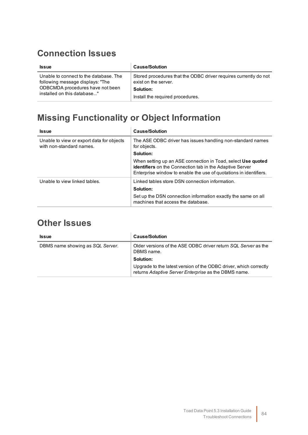## **Connection Issues**

| <b>Issue</b>                           | <b>Cause/Solution</b>                                            |
|----------------------------------------|------------------------------------------------------------------|
| Unable to connect to the database. The | Stored procedures that the ODBC driver requires currently do not |
| following message displays: "The       | exist on the server.                                             |
| ODBCMDA procedures have not been       | Solution:                                                        |
| installed on this database"            | Install the required procedures.                                 |

# **Missing Functionality or Object Information**

| <b>Issue</b>                                                          | <b>Cause/Solution</b>                                                                                                                                                                                |
|-----------------------------------------------------------------------|------------------------------------------------------------------------------------------------------------------------------------------------------------------------------------------------------|
| Unable to view or export data for objects<br>with non-standard names. | The ASE ODBC driver has issues handling non-standard names<br>for objects.                                                                                                                           |
|                                                                       | Solution:                                                                                                                                                                                            |
|                                                                       | When setting up an ASE connection in Toad, select Use quoted<br><b>identifiers</b> on the Connection tab in the Adaptive Server<br>Enterprise window to enable the use of quotations in identifiers. |
| Unable to view linked tables.                                         | Linked tables store DSN connection information.                                                                                                                                                      |
|                                                                       | Solution:                                                                                                                                                                                            |
|                                                                       | Set up the DSN connection information exactly the same on all<br>machines that access the database.                                                                                                  |

## **Other Issues**

| <b>Issue</b>                     | <b>Cause/Solution</b>                                                                                                     |
|----------------------------------|---------------------------------------------------------------------------------------------------------------------------|
| DBMS name showing as SQL Server. | Older versions of the ASE ODBC driver return SQL Server as the<br>DBMS name.                                              |
|                                  | Solution:                                                                                                                 |
|                                  | Upgrade to the latest version of the ODBC driver, which correctly<br>returns Adaptive Server Enterprise as the DBMS name. |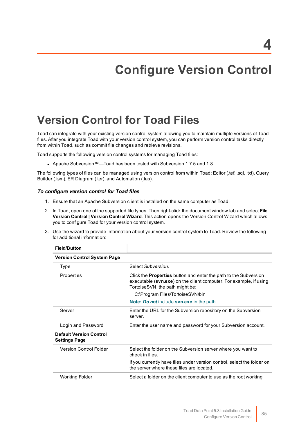# **Configure Version Control**

# **Version Control for Toad Files**

Toad can integrate with your existing version control system allowing you to maintain multiple versions of Toad files. After you integrate Toad with your version control system, you can perform version control tasks directly from within Toad, such as commit file changes and retrieve revisions.

Toad supports the following version control systems for managing Toad files:

• Apache Subversion™—Toad has been tested with Subversion 1.7.5 and 1.8.

The following types of files can be managed using version control from within Toad: Editor (.tef, .sql, .txt), Query Builder (.tsm), ER Diagram (.ter), and Automation (.tas).

#### *To configure version control for Toad files*

- 1. Ensure that an Apache Subversion client is installed on the same computer as Toad.
- 2. In Toad, open one of the supported file types. Then right-click the document window tab and select **File Version Control | Version Control Wizard**. This action opens the Version Control Wizard which allows you to configure Toad for your version control system.
- 3. Use the wizard to provide information about your version control system to Toad. Review the following for additional information:

| i iciu/Dullvii                                         |                                                                                                                                                                                  |
|--------------------------------------------------------|----------------------------------------------------------------------------------------------------------------------------------------------------------------------------------|
| <b>Version Control System Page</b>                     |                                                                                                                                                                                  |
| Type                                                   | Select Subversion.                                                                                                                                                               |
| Properties                                             | Click the <b>Properties</b> button and enter the path to the Subversion<br>executable (svn.exe) on the client computer. For example, if using<br>TortoiseSVN, the path might be: |
|                                                        | C:\Program Files\TortoiseSVN\bin                                                                                                                                                 |
|                                                        | <b>Note: Do not include svn.exe in the path.</b>                                                                                                                                 |
| Server                                                 | Enter the URL for the Subversion repository on the Subversion<br>server.                                                                                                         |
| Login and Password                                     | Enter the user name and password for your Subversion account.                                                                                                                    |
| <b>Default Version Control</b><br><b>Settings Page</b> |                                                                                                                                                                                  |
| <b>Version Control Folder</b>                          | Select the folder on the Subversion server where you want to<br>check in files.                                                                                                  |
|                                                        | If you currently have files under version control, select the folder on<br>the server where these files are located.                                                             |
| <b>Working Folder</b>                                  | Select a folder on the client computer to use as the root working                                                                                                                |

#### **Field/Button**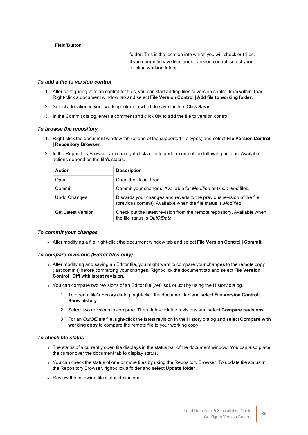| <b>Field/Button</b> |                                                                                            |
|---------------------|--------------------------------------------------------------------------------------------|
|                     | folder. This is the location into which you will check out files.                          |
|                     | If you currently have files under version control, select your<br>existing working folder. |

#### *To add a file to version control*

- 1. After configuring version control for files, you can start adding files to version control from within Toad. Right-click a document window tab and select **File Version Control | Add file to working folder**.
- 2. Select a location in your working folder in which to save the file. Click **Save**.
- 3. In the Commit dialog, enter a comment and click **OK** to add the file to version control.

#### *To browse the repository*

- 1. Right-click the document window tab (of one of the supported file types) and select **File Version Control | Repository Browser**.
- 2. In the Repository Browser you can right-click a file to perform one of the following actions. Available actions depend on the file's status.

| <b>Action</b>             | <b>Description</b>                                                                                                                       |
|---------------------------|------------------------------------------------------------------------------------------------------------------------------------------|
| Open                      | Open the file in Toad.                                                                                                                   |
| Commit                    | Commit your changes. Available for Modified or Untracked files.                                                                          |
| Undo Changes              | Discards your changes and reverts to the previous revision of the file<br>(previous commit). Available when the file status is Modified. |
| <b>Get Latest Version</b> | Check out the latest revision from the remote repository. Available when<br>the file status is OutOfDate.                                |

#### *To commit your changes*

<sup>l</sup> After modifying a file, right-click the document window tab and select **File Version Control | Commit**.

#### *To compare revisions (Editor files only)*

- After modifying and saving an Editor file, you might want to compare your changes to the remote copy (last commit) before committing your changes. Right-click the document tab and select **File Version Control | Diff with latest revision**.
- You can compare two revisions of an Editor file (.tef, .sql, or .txt) by using the History dialog.
	- 1. To open a file's History dialog, right-click the document tab and select **File Version Control | Show history**.
	- 2. Select two revisions to compare. Then right-click the revisions and select **Compare revisions**.
	- 3. For an *OutOfDate* file, right-click the latest revision in the History dialog and select **Compare with working copy** to compare the remote file to your working copy.

#### *To check file status*

- The status of a currently open file displays in the status bar of the document window. You can also place the cursor over the document tab to display status.
- You can check the status of one or more files by using the Repository Browser. To update file status in the Repository Browser, right-click a folder and select **Update folder**.
- Review the following file status definitions.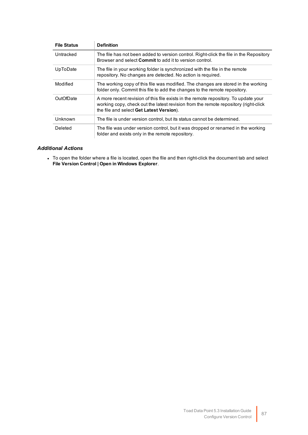| <b>File Status</b> | <b>Definition</b>                                                                                                                                                                                                      |
|--------------------|------------------------------------------------------------------------------------------------------------------------------------------------------------------------------------------------------------------------|
| Untracked          | The file has not been added to version control. Right-click the file in the Repository<br>Browser and select <b>Commit</b> to add it to version control.                                                               |
| UpToDate           | The file in your working folder is synchronized with the file in the remote<br>repository. No changes are detected. No action is required.                                                                             |
| Modified           | The working copy of this file was modified. The changes are stored in the working<br>folder only. Commit this file to add the changes to the remote repository.                                                        |
| OutOfDate          | A more recent revision of this file exists in the remote repository. To update your<br>working copy, check out the latest revision from the remote repository (right-click<br>the file and select Get Latest Version). |
| Unknown            | The file is under version control, but its status cannot be determined.                                                                                                                                                |
| Deleted            | The file was under version control, but it was dropped or renamed in the working<br>folder and exists only in the remote repository.                                                                                   |

#### *Additional Actions*

 $\bullet~$  To open the folder where a file is located, open the file and then right-click the document tab and select **File Version Control | Open in Windows Explorer**.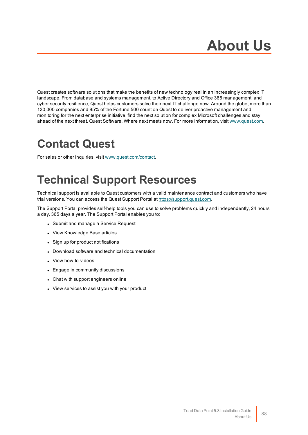Quest creates software solutions that make the benefits of new technology real in an increasingly complex IT landscape. From database and systems management, to Active Directory and Office 365 management, and cyber security resilience, Quest helps customers solve their next IT challenge now. Around the globe, more than 130,000 companies and 95% of the Fortune 500 count on Quest to deliver proactive management and monitoring for the next enterprise initiative, find the next solution for complex Microsoft challenges and stay ahead of the next threat. Quest Software. Where next meets now. For more information, visit [www.quest.com](https://www.quest.com/).

# **Contact Quest**

For sales or other inquiries, visit [www.quest.com/contact](https://www.quest.com/contact).

# **Technical Support Resources**

Technical support is available to Quest customers with a valid maintenance contract and customers who have trial versions. You can access the Quest Support Portal at [https://support.quest.com](https://support.quest.com/).

The Support Portal provides self-help tools you can use to solve problems quickly and independently, 24 hours a day, 365 days a year. The Support Portal enables you to:

- Submit and manage a Service Request
- View Knowledge Base articles
- Sign up for product notifications
- Download software and technical documentation
- View how-to-videos
- Engage in community discussions
- Chat with support engineers online
- View services to assist you with your product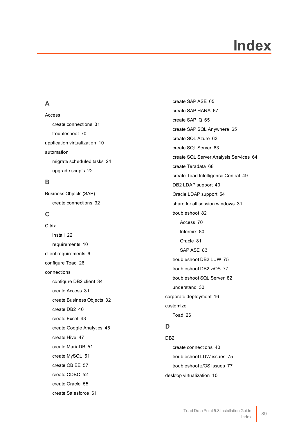# **Index**

### **A**

Access create connections [31](#page-31-0) troubleshoot [70](#page-70-0) application virtualization [10](#page-10-0) automation migrate scheduled tasks [24](#page-24-0) upgrade scripts [22](#page-22-0)

### **B**

Business Objects (SAP) create connections [32](#page-32-0)

### **C**

**Citrix** install [22](#page-22-1) requirements [10](#page-10-0) client requirements [6](#page-6-0) configure Toad [26](#page-26-0) connections configure DB2 client [34](#page-34-0) create Access [31](#page-31-0) create Business Objects [32](#page-32-0) create DB2 [40](#page-40-0) create Excel [43](#page-43-0) create Google Analytics [45](#page-45-0) create Hive [47](#page-47-0) create MariaDB [51](#page-51-0) create MySQL [51](#page-51-0) create OBIEE [57](#page-57-0) create ODBC [52](#page-52-0) create Oracle [55](#page-55-0) create Salesforce [61](#page-61-0)

create SAP ASE [65](#page-65-0) create SAP HANA [67](#page-67-0) create SAP IQ [65](#page-65-0) create SAP SQL Anywhere [65](#page-65-0) create SQL Azure [63](#page-63-0) create SQL Server [63](#page-63-0) create SQL Server Analysis Services [64](#page-64-0) create Teradata [68](#page-68-0) create Toad Intelligence Central [49](#page-49-0) DB2 LDAP support [40](#page-40-1) Oracle LDAP support [54](#page-54-0) share for all session windows [31](#page-31-1) troubleshoot [82](#page-82-0) Access [70](#page-70-0) Informix [80](#page-80-0) Oracle [81](#page-81-0) SAP ASE [83](#page-83-0) troubleshoot DB2 LUW [75](#page-75-0) troubleshoot DB2 z/OS [77](#page-77-0) troubleshoot SQL Server [82](#page-82-0) understand [30](#page-30-0) corporate deployment [16](#page-16-0) customize Toad [26](#page-26-0)

## **D**

DB2 create connections [40](#page-40-0) troubleshoot LUW issues [75](#page-75-0) troubleshoot z/OS issues [77](#page-77-0) desktop virtualization [10](#page-10-0)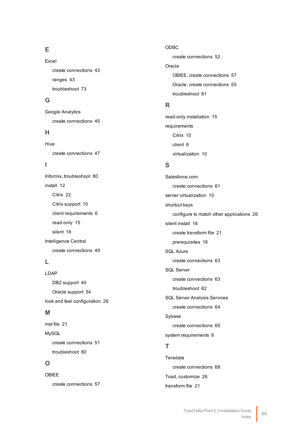## **E**

Excel create connections [43](#page-43-0) ranges [43](#page-43-0) troubleshoot [73](#page-73-0)

### **G**

Google Analytics create connections [45](#page-45-0)

### **H**

Hive create connections [47](#page-47-0)

### **I**

Informix, troubleshoot [80](#page-80-0) install [12](#page-12-0) Citrix [22](#page-22-1) Citrix support [10](#page-10-0) client requirements [6](#page-6-0) read-only [15](#page-15-0) silent [16](#page-16-0) Intelligence Central create connections [49](#page-49-0)

### **L**

LDAP DB2 support [40](#page-40-1) Oracle support [54](#page-54-0) look and feel configuration [26](#page-26-0)

### **M**

mst file [21](#page-21-0) MySQL create connections [51](#page-51-0) troubleshoot [80](#page-80-1)

### **O**

OBIEE create connections [57](#page-57-0) ODBC create connections [52](#page-52-0) Oracle OBIEE, create connections [57](#page-57-0) Oracle, create connections [55](#page-55-0) troubleshoot [81](#page-81-0)

### **R**

read-only installation [15](#page-15-0) requirements Citrix [10](#page-10-0) client [6](#page-6-0) virtualization [10](#page-10-0)

## **S**

Salesforce.com create connections [61](#page-61-0) server virtualization [10](#page-10-0) shortcut keys configure to match other applications [26](#page-26-0) silent install [16](#page-16-0) create transform file [21](#page-21-0) prerequisites [16](#page-16-1) SQL Azure create connections [63](#page-63-0) SQL Server create connections [63](#page-63-0) troubleshoot [82](#page-82-0) SQL Server Analysis Services create connections [64](#page-64-0) Sybase create connections [65](#page-65-0) system requirements [6](#page-6-0)

## **T**

Teradata create connections [68](#page-68-0) Toad, customize [26](#page-26-0) transform file [21](#page-21-0)